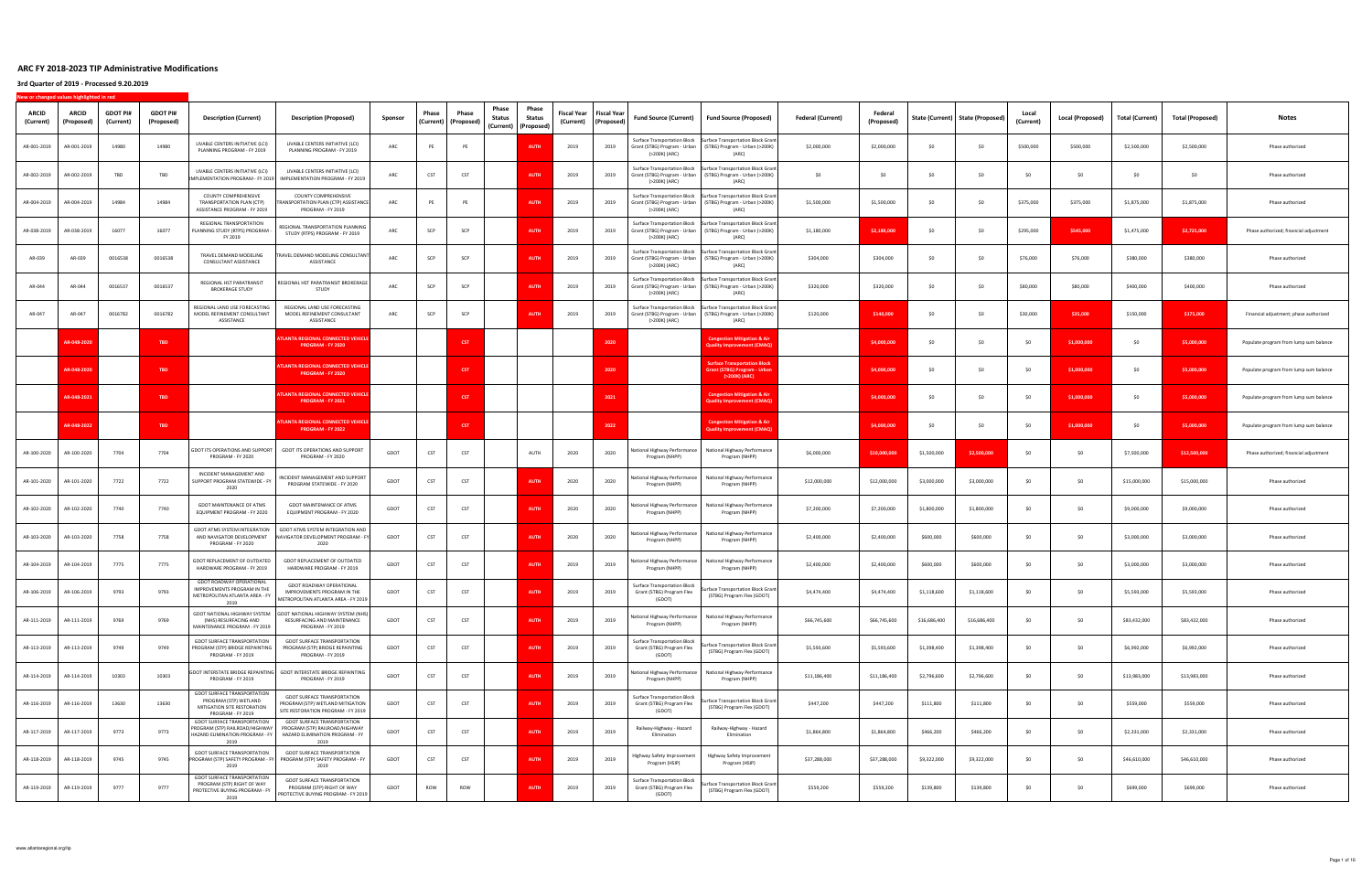| ARCID<br>(Current) | <b>ARCID</b><br>(Proposed) | <b>GDOT PI#</b><br>(Current) | <b>GDOT PI#</b><br>(Proposed) | <b>Description (Current)</b>                                                                                    | <b>Description (Proposed)</b>                                                                                       | Sponsor | Phase | Phase<br>(Current)   (Proposed) | Phase<br><b>Status</b> | Phase<br>Status<br>(Current) (Proposed) | Fiscal Year<br>(Current) | <b>Fiscal Year</b><br>(Proposed) | <b>Fund Source (Current)</b>                                                         | <b>Fund Source (Proposed)</b>                                                                              | <b>Federal (Current)</b> | Federal<br>(Proposed) |              | State (Current) State (Proposed) | Local<br>(Current) | <b>Local (Proposed)</b> | <b>Total (Current)</b> | <b>Total (Proposed)</b> | Notes                                  |
|--------------------|----------------------------|------------------------------|-------------------------------|-----------------------------------------------------------------------------------------------------------------|---------------------------------------------------------------------------------------------------------------------|---------|-------|---------------------------------|------------------------|-----------------------------------------|--------------------------|----------------------------------|--------------------------------------------------------------------------------------|------------------------------------------------------------------------------------------------------------|--------------------------|-----------------------|--------------|----------------------------------|--------------------|-------------------------|------------------------|-------------------------|----------------------------------------|
| AR-001-2019        | AR-001-2019                | 14980                        | 14980                         | LIVABLE CENTERS INITIATIVE (LCI)<br>PLANNING PROGRAM - FY 2019                                                  | LIVABLE CENTERS INITIATIVE (LCI)<br>PLANNING PROGRAM - FY 2019                                                      | ARC     | PE    | PE                              |                        | <b>AUTH</b>                             | 2019                     | 2019                             | <b>Surface Transportation Block</b><br>Grant (STBG) Program - Urban<br>(>200K) (ARC) | <b>Surface Transportation Block Grant</b><br>(STBG) Program - Urban (>200K)<br>(ARC)                       | \$2,000,000              | \$2,000,000           | \$0          | \$0                              | \$500,000          | \$500,000               | \$2,500,000            | \$2,500,000             | Phase authorized                       |
| AR-002-2019        | AR-002-2019                | TBD                          | TBD                           | LIVABLE CENTERS INITIATIVE (LCI)<br>IMPLEMENTATION PROGRAM - FY 2019                                            | LIVABLE CENTERS INITIATIVE (LCI)<br>IMPLEMENTATION PROGRAM - FY 2019                                                | ARC     | CST   | CST                             |                        | <b>AUTH</b>                             | 2019                     | 2019                             | <b>Surface Transportation Block</b><br>Grant (STBG) Program - Urban<br>(>200K) (ARC) | <b>Surface Transportation Block Grant</b><br>(STBG) Program - Urban (>200K)<br>(ARC)                       | \$0                      | \$0                   | \$0          | \$0                              | \$O                | \$0                     | \$0                    | \$0                     | Phase authorized                       |
| AR-004-2019        | AR-004-2019                | 14984                        | 14984                         | COUNTY COMPREHENSIVE<br>TRANSPORTATION PLAN (CTP)<br>ASSISTANCE PROGRAM - FY 2019                               | COUNTY COMPREHENSIVE<br>RANSPORTATION PLAN (CTP) ASSISTANCE<br>PROGRAM - FY 2019                                    | ARC     | PE    | PE                              |                        | <b>AUTH</b>                             | 2019                     | 2019                             | Grant (STBG) Program - Urban<br>(>200K) (ARC)                                        | Surface Transportation Block Surface Transportation Block Grant<br>(STBG) Program - Urban (>200K)<br>(ARC) | \$1,500,000              | \$1,500,000           | SO           | \$0                              | \$375,000          | \$375,000               | \$1,875,000            | \$1,875,000             | Phase authorized                       |
| AR-038-2019        | AR-038-2019                | 16077                        | 16077                         | REGIONAL TRANSPORTATION<br>PLANNING STUDY (RTPS) PROGRAM<br>FY 2019                                             | REGIONAL TRANSPORTATION PLANNING<br>STUDY (RTPS) PROGRAM - FY 2019                                                  | ARC     | SCP   | SCP                             |                        | <b>AUTH</b>                             | 2019                     | 2019                             | Grant (STBG) Program - Urban<br>(>200K) (ARC)                                        | Surface Transportation Block Surface Transportation Block Grant<br>(STBG) Program - Urban (>200K)<br>(ARC) | \$1,180,000              | \$2,180,000           | \$0          | \$0                              | \$295,000          | \$545,000               | \$1,475,000            | \$2,725,000             | Phase authorized; financial adjustment |
| AR-039             | AR-039                     | 0016538                      | 0016538                       | TRAVEL DEMAND MODELING<br>CONSULTANT ASSISTANCE                                                                 | RAVEL DEMAND MODELING CONSULTANT<br>ASSISTANCE                                                                      | ARC     | SCP   | SCP                             |                        | AUTH                                    | 2019                     | 2019                             | <b>Surface Transportation Block</b><br>Grant (STBG) Program - Urban<br>(>200K) (ARC) | <b>Surface Transportation Block Grant</b><br>(STBG) Program - Urban (>200K)<br>(ARC)                       | \$304,000                | \$304,000             | \$0          | \$0                              | \$76,000           | \$76,000                | \$380,000              | \$380,000               | Phase authorized                       |
| AR-044             | AR-044                     | 0016537                      | 0016537                       | REGIONAL HST PARATRANSIT<br><b>BROKERAGE STUDY</b>                                                              | REGIONAL HST PARATRANSIT BROKERAGE<br>STUDY                                                                         | ARC     | SCP   | SCP                             |                        | <b>AUTH</b>                             | 2019                     | 2019                             | <b>Surface Transportation Block</b><br>Grant (STBG) Program - Urban<br>(>200K) (ARC) | <b>Surface Transportation Block Grant</b><br>(STBG) Program - Urban (>200K)<br>(ARC)                       | \$320,000                | \$320,000             | SO           | \$0                              | \$80,000           | \$80,000                | \$400,000              | \$400,000               | Phase authorized                       |
| AR-047             | AR-047                     | 0016782                      | 0016782                       | REGIONAL LAND USE FORECASTING<br>MODEL REFINEMENT CONSULTANT<br>ASSISTANCE                                      | REGIONAL LAND USE FORECASTING<br>MODEL REFINEMENT CONSULTANT<br>ASSISTANCE                                          | ARC     | SCP   | SCP                             |                        | <b>AUT</b>                              | 2019                     | 2019                             | <b>Surface Transportation Block</b><br>Grant (STBG) Program - Urban<br>(>200K) (ARC) | <b>Surface Transportation Block Grant</b><br>(STBG) Program - Urban (>200K)<br>(ARC)                       | \$120,000                | \$140,000             | \$0          | \$0                              | \$30,000           | \$35,000                | \$150,000              | \$175,000               | Financial adjustment; phase authorized |
|                    | AR-048-2020                |                              | <b>TBD</b>                    |                                                                                                                 | <b>TLANTA REGIONAL CONNECTED VEHICLE</b><br>PROGRAM - FY 2020                                                       |         |       | <b>CST</b>                      |                        |                                         |                          | 2020                             |                                                                                      | <b>Congestion Mitigation &amp; Ai</b><br><b>Quality Improvement (CMAQ</b>                                  |                          | \$4,000,000           | \$0          | \$0                              | SO.                | \$1,000,000             | \$0                    | \$5,000,000             | Populate program from lump sum balance |
|                    | AR-048-2020                |                              | TBD                           |                                                                                                                 | <b>ATLANTA REGIONAL CONNECTED VEHICLE</b><br>PROGRAM - FY 2020                                                      |         |       | <b>CST</b>                      |                        |                                         |                          | 2020                             |                                                                                      | <b>Surface Transportation Block</b><br><b>Grant (STBG) Program - Urbar</b><br>(>200K) (ARC)                |                          | \$4,000,000           | \$0          | \$0                              | \$0                | \$1,000,000             | \$0                    | \$5,000,000             | Populate program from lump sum balance |
|                    | AR-048-202:                |                              | <b>TBD</b>                    |                                                                                                                 | <b>TLANTA REGIONAL CONNECTED VEHICLE</b><br>PROGRAM - FY 2021                                                       |         |       | <b>CST</b>                      |                        |                                         |                          | 2021                             |                                                                                      | <b>Congestion Mitigation &amp; Air</b><br><b>Quality Improvement (CMAQ)</b>                                |                          | \$4,000,000           | \$0          | \$0                              | SO.                | \$1,000,000             | \$0                    | \$5,000,000             | Populate program from lump sum balance |
|                    | AR-048-202                 |                              | <b>TBD</b>                    |                                                                                                                 | <b>ATLANTA REGIONAL CONNECTED VEHICLE</b><br>PROGRAM - FY 2022                                                      |         |       | <b>CST</b>                      |                        |                                         |                          | 2022                             |                                                                                      | <b>Congestion Mitigation &amp; Air</b><br><b>Quality Improvement (CMAQ)</b>                                |                          | \$4,000,000           | \$0          | \$0                              | \$0                | \$1,000,000             | \$0                    | \$5,000,000             | Populate program from lump sum balance |
| AR-100-2020        | AR-100-2020                | 7704                         | 7704                          | GDOT ITS OPERATIONS AND SUPPORT<br>PROGRAM - FY 2020                                                            | GDOT ITS OPERATIONS AND SUPPORT<br>PROGRAM - FY 2020                                                                | GDOT    | CST   | CST                             |                        | AUTH                                    | 2020                     | 2020                             | National Highway Performance<br>Program (NHPP)                                       | National Highway Performance<br>Program (NHPP)                                                             | \$6,000,000              | \$10,000,000          | \$1,500,000  | \$2,500,000                      | SO                 | SO                      | \$7,500,000            | \$12,500,000            | Phase authorized; financial adjustment |
| AR-101-2020        | AR-101-2020                | 7722                         | 7722                          | INCIDENT MANAGEMENT AND<br>SUPPORT PROGRAM STATEWIDE - FY<br>2020                                               | NCIDENT MANAGEMENT AND SUPPORT<br>PROGRAM STATEWIDE - FY 2020                                                       | GDOT    | CST   | CST                             |                        | <b>AUTH</b>                             | 2020                     | 2020                             | Vational Highway Performance<br>Program (NHPP)                                       | National Highway Performance<br>Program (NHPP)                                                             | \$12,000,000             | \$12,000,000          | \$3,000,000  | \$3,000,000                      | \$0                | SO.                     | \$15,000,000           | \$15,000,000            | Phase authorized                       |
| AR-102-2020        | AR-102-2020                | 7740                         | 7740                          | GDOT MAINTENANCE OF ATMS<br>EQUIPMENT PROGRAM - FY 2020                                                         | <b>GDOT MAINTENANCE OF ATMS</b><br>EQUIPMENT PROGRAM - FY 2020                                                      | GDOT    | CST   | CST                             |                        | <b>AUTH</b>                             | 2020                     | 2020                             | National Highway Performance<br>Program (NHPP)                                       | National Highway Performance<br>Program (NHPP)                                                             | \$7,200,000              | \$7,200,000           | \$1,800,000  | \$1,800,000                      | SO.                | SO.                     | \$9,000,000            | \$9,000,000             | Phase authorized                       |
| AR-103-2020        | AR-103-2020                | 7758                         | 7758                          | GDOT ATMS SYSTEM INTEGRATION<br>AND NAVIGATOR DEVELOPMENT<br>PROGRAM - FY 2020                                  | GDOT ATMS SYSTEM INTEGRATION AND<br>NAVIGATOR DEVELOPMENT PROGRAM - FY<br>2020                                      | GDOT    | CST   | CST                             |                        | <b>AUTH</b>                             | 2020                     | 2020                             | National Highway Performance<br>Program (NHPP)                                       | National Highway Performance<br>Program (NHPP)                                                             | \$2,400,000              | \$2,400,000           | \$600,000    | \$600,000                        | SO.                | SO                      | \$3,000,000            | \$3,000,000             | Phase authorized                       |
| AR-104-2019        | AR-104-2019                | 7775                         | 7775                          | GDOT REPLACEMENT OF OUTDATED<br>HARDWARE PROGRAM - FY 2019                                                      | GDOT REPLACEMENT OF OUTDATED<br>HARDWARE PROGRAM - FY 2019                                                          | GDOT    | CST   | CST                             |                        | <b>AUTH</b>                             | 2019                     | 2019                             | National Highway Performance<br>Program (NHPP)                                       | National Highway Performance<br>Program (NHPP)                                                             | \$2,400,000              | \$2,400,000           | \$600,000    | \$600,000                        | -SO                | \$0                     | \$3,000,000            | \$3,000,000             | Phase authorized                       |
| AR-106-2019        | AR-106-2019                | 9793                         | 9793                          | GDOT ROADWAY OPERATIONAL<br>IMPROVEMENTS PROGRAM IN THE<br>METROPOLITAN ATLANTA AREA - FY<br>2019               | GDOT ROADWAY OPERATIONAL<br>IMPROVEMENTS PROGRAM IN THE<br>METROPOLITAN ATLANTA AREA - FY 2019                      | GDOT    | CST   | CST                             |                        | <b>AUTH</b>                             | 2019                     | 2019                             | Surface Transportation Block<br>Grant (STBG) Program Flex<br>(GDOT)                  | <b>Surface Transportation Block Grant</b><br>(STBG) Program Flex (GDOT)                                    | \$4,474,400              | \$4,474,400           | \$1,118,600  | \$1,118,600                      | -SO                | SO                      | \$5,593,000            | \$5,593,000             | Phase authorized                       |
| AR-111-2019        | AR-111-2019                | 9769                         | 9769                          | (NHS) RESURFACING AND<br>MAINTENANCE PROGRAM - FY 2019                                                          | GDOT NATIONAL HIGHWAY SYSTEM GDOT NATIONAL HIGHWAY SYSTEM (NHS)<br>RESURFACING AND MAINTENANCE<br>PROGRAM - FY 2019 | GDOT    | CST   | CST                             |                        | <b>AUTH</b>                             | 2019                     | 2019                             | National Highway Performance<br>Program (NHPP)                                       | National Highway Performance<br>Program (NHPP)                                                             | \$66,745,600             | \$66,745,600          | \$16,686,400 | \$16,686,400                     | \$0                | \$0                     | \$83,432,000           | \$83,432,000            | Phase authorized                       |
| AR-113-2019        | AR-113-2019                | 9749                         | 9749                          | GDOT SURFACE TRANSPORTATION<br>PROGRAM (STP) BRIDGE REPAINTING<br>PROGRAM - FY 2019                             | <b>GDOT SURFACE TRANSPORTATION</b><br>PROGRAM (STP) BRIDGE REPAINTING<br>PROGRAM - FY 2019                          | GDOT    | CST   | CST                             |                        | <b>AUTH</b>                             | 2019                     | 2019                             | <b>Surface Transportation Block</b><br>Grant (STBG) Program Flex<br>(GDOT)           | urface Transportation Block Grant<br>(STBG) Program Flex (GDOT)                                            | \$5,593,600              | \$5,593,600           | \$1,398,400  | \$1,398,400                      | \$0                | SO                      | \$6,992,000            | \$6,992,000             | Phase authorized                       |
| AR-114-2019        | AR-114-2019                | 10303                        | 10303                         | PROGRAM - FY 2019                                                                                               | SDOT INTERSTATE BRIDGE REPAINTING   GDOT INTERSTATE BRIDGE REPAINTING<br>PROGRAM - FY 2019                          | GDOT    | CST   | CST                             |                        | <b>AUTH</b>                             | 2019                     | 2019                             | Vational Highway Performance<br>Program (NHPP)                                       | National Highway Performance<br>Program (NHPP)                                                             | \$11,186,400             | \$11,186,400          | \$2,796,600  | \$2,796,600                      | \$0                | \$0                     | \$13,983,000           | \$13,983,000            | Phase authorized                       |
| AR-116-2019        | AR-116-2019                | 13630                        | 13630                         | GDOT SURFACE TRANSPORTATION<br>PROGRAM (STP) WETLAND<br>MITIGATION SITE RESTORATION<br>PROGRAM - FY 2019        | <b>GDOT SURFACE TRANSPORTATION</b><br>PROGRAM (STP) WETLAND MITIGATION<br>SITE RESTORATION PROGRAM - FY 2019        | GDOT    | CST   | CST                             |                        | <b>AUTH</b>                             | 2019                     | 2019                             | Surface Transportation Block<br>Grant (STBG) Program Flex<br>(GDOT)                  | Surface Transportation Block Grant<br>(STBG) Program Flex (GDOT)                                           | \$447,200                | \$447,200             | \$111,800    | \$111,800                        | \$0                | SO                      | \$559,000              | \$559,000               | Phase authorized                       |
| AR-117-2019        | AR-117-2019                | 9773                         | 9773                          | <b>GDOT SURFACE TRANSPORTATION</b><br>PROGRAM (STP) RAILROAD/HIGHWAY<br>HAZARD ELIMINATION PROGRAM - FY<br>2019 | <b>GDOT SURFACE TRANSPORTATION</b><br>PROGRAM (STP) RAILROAD/HIGHWAY<br>HAZARD ELIMINATION PROGRAM - FY<br>2019     | GDOT    | CST   | CST                             |                        | <b>AUTH</b>                             | 2019                     | 2019                             | Railway-Highway - Hazard<br>Elimination                                              | Railway-Highway - Hazard<br>Elimination                                                                    | \$1,864,800              | \$1,864,800           | \$466,200    | \$466,200                        | \$0                | \$0                     | \$2,331,000            | \$2,331,000             | Phase authorized                       |
| AR-118-2019        | AR-118-2019                | 9745                         | 9745                          | <b>GDOT SURFACE TRANSPORTATION</b><br>2019                                                                      | <b>GDOT SURFACE TRANSPORTATION</b><br>PROGRAM (STP) SAFETY PROGRAM - FY PROGRAM (STP) SAFETY PROGRAM - FY<br>2019   | GDOT    | CST   | CST                             |                        | AUTH                                    | 2019                     | 2019                             | Highway Safety Improvement<br>Program (HSIP)                                         | Highway Safety Improvement<br>Program (HSIP)                                                               | \$37,288,000             | \$37,288,000          | \$9,322,000  | \$9,322,000                      | \$0                | \$0                     | \$46,610,000           | \$46,610,000            | Phase authorized                       |
| AR-119-2019        | AR-119-2019                | 9777                         | 9777                          | <b>GDOT SURFACE TRANSPORTATION</b><br>PROGRAM (STP) RIGHT OF WAY<br>PROTECTIVE BUYING PROGRAM - FY<br>2019      | <b>GDOT SURFACE TRANSPORTATION</b><br>PROGRAM (STP) RIGHT OF WAY<br>ROTECTIVE BUYING PROGRAM - FY 2019              | GDOT    | ROW   | ROW                             |                        | <b>AUTH</b>                             | 2019                     | 2019                             | Surface Transportation Block<br>Grant (STBG) Program Flex<br>(GDOT)                  | Surface Transportation Block Grant<br>(STBG) Program Flex (GDOT)                                           | \$559,200                | \$559,200             | \$139,800    | \$139,800                        | SO.                | \$0                     | \$699,000              | \$699,000               | Phase authorized                       |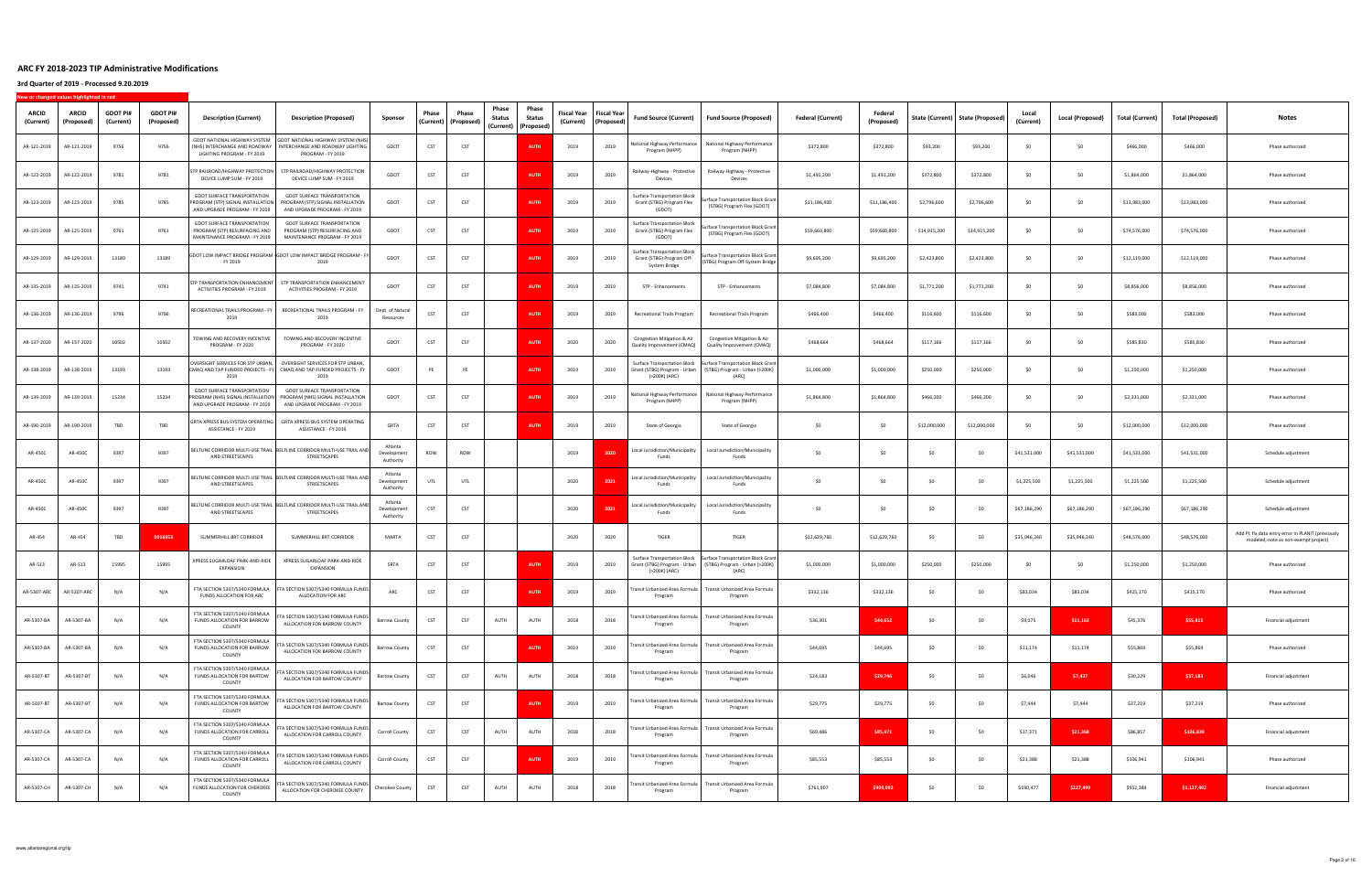| <b>ARCID</b><br>(Current) | ARCID<br>(Proposed) | <b>GDOT PI#</b><br>(Current) | <b>GDOT PI#</b><br>(Proposed) | <b>Description (Current)</b>                                                                             | <b>Description (Proposed)</b>                                                                                            | Sponsor                             | Phase | Phase<br>(Current)   (Proposed) | Phase<br>Status | Phase<br>Status<br>(Current)   (Proposed) | Fiscal Year<br>(Current) | Fiscal Year<br>(Proposed) | Fund Source (Current)                                                             | <b>Fund Source (Proposed)</b>                                                 | <b>Federal (Current)</b> | Federal<br>(Proposed) |              | State (Current)   State (Proposed) | Local<br>(Current) | Local (Proposed) | <b>Total (Current)</b> | <b>Total (Proposed)</b> | Notes                                                                                      |
|---------------------------|---------------------|------------------------------|-------------------------------|----------------------------------------------------------------------------------------------------------|--------------------------------------------------------------------------------------------------------------------------|-------------------------------------|-------|---------------------------------|-----------------|-------------------------------------------|--------------------------|---------------------------|-----------------------------------------------------------------------------------|-------------------------------------------------------------------------------|--------------------------|-----------------------|--------------|------------------------------------|--------------------|------------------|------------------------|-------------------------|--------------------------------------------------------------------------------------------|
| AR-121-2019               | AR-121-2019         | 9756                         | 9756                          | (NHS) INTERCHANGE AND ROADWAY<br>LIGHTING PROGRAM - FY 2019                                              | GDOT NATIONAL HIGHWAY SYSTEM GDOT NATIONAL HIGHWAY SYSTEM (NHS)<br>INTERCHANGE AND ROADWAY LIGHTING<br>PROGRAM - FY 2019 | GDOT                                | CST   | CST                             |                 | <b>AUTH</b>                               | 2019                     | 2019                      | National Highway Performance<br>Program (NHPP)                                    | National Highway Performance<br>Program (NHPP)                                | \$372,800                | \$372,800             | \$93,200     | \$93,200                           | -SO                | -SO              | \$466,000              | \$466,000               | Phase authorized                                                                           |
| AR-122-2019               | AR-122-2019         | 9781                         | 9781                          | TP RAILROAD/HIGHWAY PROTECTION<br>DEVICE LUMP SUM - FY 2019                                              | STP RAILROAD/HIGHWAY PROTECTION<br>DEVICE LUMP SUM - FY 2019                                                             | GDOT                                | CST   | CST                             |                 | <b>AUTH</b>                               | 2019                     | 2019                      | Railway-Highway - Protective<br>Devices                                           | Railway-Highway - Protective<br>Devices                                       | \$1,491,200              | \$1,491,200           | \$372,800    | \$372,800                          | - SO               | SO.              | \$1,864,000            | \$1,864,000             | Phase authorized                                                                           |
| AR-123-2019               | AR-123-2019         | 9785                         | 9785                          | GDOT SURFACE TRANSPORTATION<br>PROGRAM (STP) SIGNAL INSTALLATION<br>AND UPGRADE PROGRAM - FY 2019        | <b>GDOT SURFACE TRANSPORTATION</b><br>PROGRAM (STP) SIGNAL INSTALLATION<br>AND UPGRADE PROGRAM - FY 2019                 | GDOT                                | CST   | CST                             |                 | <b>AUTH</b>                               | 2019                     | 2019                      | <b>Surface Transportation Block</b><br>Grant (STBG) Program Flex<br>(GDOT)        | Surface Transportation Block Grant<br>(STBG) Program Flex (GDOT)              | \$11,186,400             | \$11,186,400          | \$2,796,600  | \$2,796,600                        | S <sub>0</sub>     | SO               | \$13,983,000           | \$13,983,000            | Phase authorized                                                                           |
| AR-125-2019               | AR-125-2019         | 9761                         | 9761                          | <b>GDOT SURFACE TRANSPORTATION</b><br>PROGRAM (STP) RESURFACING AND<br>MAINTENANCE PROGRAM - FY 2019     | <b>GDOT SURFACE TRANSPORTATION</b><br>PROGRAM (STP) RESURFACING AND<br>MAINTENANCE PROGRAM - FY 2019                     | GDOT                                | CST   | CST                             |                 | <b>AUTH</b>                               | 2019                     | 2019                      | <b>Surface Transportation Block</b><br>Grant (STBG) Program Flex<br>(GDOT)        | urface Transportation Block Grant<br>(STBG) Program Flex (GDOT)               | \$59,660,800             | \$59,660,800          | \$14,915,200 | \$14,915,200                       | SO.                | SO.              | \$74,576,000           | \$74,576,000            | Phase authorized                                                                           |
| AR-129-2019               | AR-129-2019         | 13189                        | 13189                         | FY 2019                                                                                                  | SDOT LOW IMPACT BRIDGE PROGRAM - GDOT LOW IMPACT BRIDGE PROGRAM - FY<br>2019                                             | GDOT                                | CST   | CST                             |                 | <b>AUTH</b>                               | 2019                     | 2019                      | <b>Surface Transportation Block</b><br>Grant (STBG) Program Off-<br>System Bridge | ırface Transportation Block Grant<br>(STBG) Program Off-System Bridge         | \$9,695,200              | \$9,695,200           | \$2,423,800  | \$2,423,800                        | -SO                | -SO              | \$12,119,000           | \$12,119,000            | Phase authorized                                                                           |
| AR-135-2019               | AR-135-2019         | 9741                         | 9741                          | TP TRANSPORTATION ENHANCEMENT<br>ACTIVITIES PROGRAM - FY 2019                                            | STP TRANSPORTATION ENHANCEMENT<br>ACTIVITIES PROGRAM - FY 2019                                                           | GDOT                                | CST   | CST                             |                 | <b>AUTH</b>                               | 2019                     | 2019                      | STP - Enhancements                                                                | STP - Enhancements                                                            | \$7,084,800              | \$7,084,800           | \$1,771,200  | \$1,771,200                        | -SO                | -SO              | \$8,856,000            | \$8,856,000             | Phase authorized                                                                           |
| AR-136-2019               | AR-136-2019         | 9796                         | 9796                          | RECREATIONAL TRAILS PROGRAM - FY<br>2019                                                                 | RECREATIONAL TRAILS PROGRAM - FY<br>2019                                                                                 | Dept. of Natural<br>Resources       | CST   | CST                             |                 | <b>AUTI</b>                               | 2019                     | 2019                      | <b>Recreational Trails Program</b>                                                | <b>Recreational Trails Program</b>                                            | \$466,400                | \$466,400             | \$116,600    | \$116,600                          | -SO                | - SO             | \$583,000              | \$583,000               | Phase authorized                                                                           |
| AR-137-2020               | AR-137-2020         | 10502                        | 10502                         | TOWING AND RECOVERY INCENTIVE<br>PROGRAM - FY 2020                                                       | TOWING AND RECOVERY INCENTIVE<br>PROGRAM - FY 2020                                                                       | GDOT                                | CST   | CST                             |                 | <b>AUTI</b>                               | 2020                     | 2020                      | Congestion Mitigation & Air<br>Quality Improvement (CMAQ)                         | Congestion Mitigation & Air<br>Quality Improvement (CMAQ)                     | \$468,664                | \$468,664             | \$117,166    | \$117,166                          | \$0                | SO.              | \$585,830              | \$585,830               | Phase authorized                                                                           |
| AR-138-2019               | AR-138-2019         | 13193                        | 13193                         | OVERSIGHT SERVICES FOR STP URBAN,<br>CMAQ AND TAP FUNDED PROJECTS - FY<br>2019                           | OVERSIGHT SERVICES FOR STP URBAN<br>CMAQ AND TAP FUNDED PROJECTS - FY<br>2019                                            | GDOT                                | PE    | PE                              |                 | <b>AUTH</b>                               | 2019                     | 2019                      | Surface Transportation Block<br>Grant (STBG) Program - Urban<br>(>200K) (ARC)     | Surface Transportation Block Gran<br>(STBG) Program - Urban (>200K)<br>(ARC)  | \$1,000,000              | \$1,000,000           | \$250,000    | \$250,000                          | SO.                | SO.              | \$1,250,000            | \$1,250,000             | Phase authorized                                                                           |
| AR-139-2019               | AR-139-2019         | 15234                        | 15234                         | <b>GDOT SURFACE TRANSPORTATION</b><br>PROGRAM (NHS) SIGNAL INSTALLATION<br>AND UPGRADE PROGRAM - FY 2019 | <b>GDOT SURFACE TRANSPORTATION</b><br>PROGRAM (NHS) SIGNAL INSTALLATION<br>AND UPGRADE PROGRAM - FY 2019                 | GDOT                                | CST   | CST                             |                 | <b>AUTH</b>                               | 2019                     | 2019                      | ational Highway Performance<br>Program (NHPP)                                     | National Highway Performance<br>Program (NHPP)                                | \$1,864,800              | \$1,864,800           | \$466,200    | \$466,200                          | -SO                | SO.              | \$2,331,000            | \$2,331,000             | Phase authorized                                                                           |
| AR-190-2019               | AR-190-2019         | TBD                          | TBD                           | GRTA XPRESS BUS SYSTEM OPERATING<br>ASSISTANCE - FY 2019                                                 | GRTA XPRESS BUS SYSTEM OPERATING<br>ASSISTANCE - FY 2019                                                                 | GRTA                                | CST   | CST                             |                 | <b>AUTH</b>                               | 2019                     | 2019                      | State of Georgia                                                                  | State of Georgia                                                              | \$0                      | \$0                   | \$12,000,000 | \$12,000,000                       | SO.                | SO.              | \$12,000,000           | \$12,000,000            | Phase authorized                                                                           |
| AR-450C                   | AR-450C             | 9397                         | 9397                          | AND STREETSCAPES                                                                                         | BELTLINE CORRIDOR MULTI-USE TRAIL BELTLINE CORRIDOR MULTI-USE TRAIL AND<br>STREETSCAPES                                  | Atlanta<br>Development<br>Authority | ROW   | ROW                             |                 |                                           | 2019                     | 2020                      | Local Jurisdiction/Municipality<br>Funds                                          | Local Jurisdiction/Municipality<br>Funds                                      | SO                       | SO                    | SO           | \$0                                | \$41,531,000       | \$41,531,000     | \$41,531,000           | \$41,531,000            | Schedule adjustment                                                                        |
| AR-450C                   | AR-450C             | 9397                         | 9397                          | AND STREETSCAPES                                                                                         | BELTLINE CORRIDOR MULTI-USE TRAIL BELTLINE CORRIDOR MULTI-USE TRAIL AND<br>STREETSCAPES                                  | Atlanta<br>Development<br>Authority | UTL   | UTL                             |                 |                                           | 2020                     | 2021                      | Local Jurisdiction/Municipality<br>Funds                                          | Local Jurisdiction/Municipality<br>Funds                                      | SO.                      | S <sub>0</sub>        | SO.          | \$0                                | \$1,225,500        | \$1,225,500      | \$1,225,500            | \$1,225,500             | Schedule adjustment                                                                        |
| AR-450C                   | AR-450C             | 9397                         | 9397                          | AND STREETSCAPES                                                                                         | BELTLINE CORRIDOR MULTI-USE TRAIL BELTLINE CORRIDOR MULTI-USE TRAIL AND<br>STREETSCAPES                                  | Atlanta<br>Development<br>Authority | CST   | CST                             |                 |                                           | 2020                     |                           | Local Jurisdiction/Municipality<br>Funds                                          | Local Jurisdiction/Municipality<br>Funds                                      | S <sub>0</sub>           | SO                    | \$0          | \$0                                | \$67,186,290       | \$67,186,290     | \$67,186,290           | \$67,186,290            | Schedule adjustment                                                                        |
| AR-454                    | AR-454              | TBD                          | 0016953                       | SUMMERHILL BRT CORRIDOR                                                                                  | SUMMERHILL BRT CORRIDOR                                                                                                  | MARTA                               | CST   | CST                             |                 |                                           | 2020                     | 2020                      | TIGER                                                                             | TIGER                                                                         | \$12,629,760             | \$12,629,760          | SO           | \$0                                | \$35,946,240       | \$35,946,240     | \$48,576,000           | \$48,576,000            | Add PI; fix data entry error in PLANIT (previously<br>modeled; note as non-exempt project) |
| AR-513                    | AR-513              | 15995                        | 15995                         | XPRESS SUGARLOAF PARK-AND-RIDE<br>EXPANSION                                                              | XPRESS SUGARLOAF PARK-AND-RIDE<br>EXPANSION                                                                              | SRTA                                | CST   | CST                             |                 | <b>AUTH</b>                               | 2019                     | 2019                      | Surface Transportation Block<br>Grant (STBG) Program - Urban<br>(>200K) (ARC)     | Surface Transportation Block Grant<br>(STBG) Program - Urban (>200K)<br>(ARC) | \$1,000,000              | \$1,000,000           | \$250,000    | \$250,000                          | -SO                | SO.              | \$1,250,000            | \$1,250,000             | Phase authorized                                                                           |
| AR-5307-ARC               | AR-5307-ARC         | N/2                          | N/A                           | FTA SECTION 5307/5340 FORMULA<br><b>FUNDS ALLOCATION FOR ARC</b>                                         | FTA SECTION 5307/5340 FORMULA FUNDS<br>ALLOCATION FOR ARC                                                                | ARC                                 | CST   | CST                             |                 | <b>AUTH</b>                               | 2019                     | 2019                      | ransit Urbanized Area Formula<br>Program                                          | Transit Urbanized Area Formula<br>Program                                     | \$332,136                | \$332,136             | SO           | \$0                                | \$83,034           | \$83,034         | \$415,170              | \$415,170               | Phase authorized                                                                           |
| AR-5307-BA                | AR-5307-BA          | N/A                          | N/A                           | FTA SECTION 5307/5340 FORMULA<br>FUNDS ALLOCATION FOR BARROW<br>COUNTY                                   | FTA SECTION 5307/5340 FORMULA FUNDS<br>ALLOCATION FOR BARROW COUNTY                                                      | <b>Barrow County</b>                | CST   | CST                             | AUTH            | AUTH                                      | 2018                     | 2018                      | Transit Urbanized Area Formula<br>Program                                         | Transit Urbanized Area Formula<br>Program                                     | \$36,301                 | \$44,652              | \$0          | \$0                                | \$9,075            | \$11,163         | \$45,376               | \$55,815                | Financial adjustment                                                                       |
| AR-5307-BA                | AR-5307-BA          | N/A                          | N/A                           | FTA SECTION 5307/5340 FORMULA<br>FUNDS ALLOCATION FOR BARROW<br>COUNTY                                   | FTA SECTION 5307/5340 FORMULA FUNDS<br>ALLOCATION FOR BARROW COUNTY                                                      | <b>Barrow County</b>                | CST   | CST                             |                 | <b>AUTH</b>                               | 2019                     | 2019                      | Transit Urbanized Area Formula<br>Program                                         | Transit Urbanized Area Formula<br>Program                                     | \$44,695                 | \$44,695              | \$0          | \$0                                | \$11,174           | \$11,174         | \$55,869               | \$55,869                | Phase authorized                                                                           |
| AR-5307-BT                | AR-5307-BT          | N/A                          | N/A                           | FTA SECTION 5307/5340 FORMULA<br>FUNDS ALLOCATION FOR BARTOW<br>COUNTY                                   | TA SECTION 5307/5340 FORMULA FUNDS<br>ALLOCATION FOR BARTOW COUNTY                                                       | <b>Bartow County</b>                | CST   | CST                             | AUTH            | AUTH                                      | 2018                     | 2018                      | ransit Urbanized Area Formula<br>Program                                          | Transit Urbanized Area Formula<br>Program                                     | \$24,183                 | \$29,746              | \$0          | \$0                                | \$6,046            | \$7,437          | \$30,229               | \$37,183                | Financial adjustment                                                                       |
| AR-5307-BT                | AR-5307-BT          | N/A                          | N/A                           | FTA SECTION 5307/5340 FORMULA<br>FUNDS ALLOCATION FOR BARTOW<br>COUNTY                                   | FTA SECTION 5307/5340 FORMULA FUNDS<br>ALLOCATION FOR BARTOW COUNTY                                                      | <b>Bartow County</b>                | CST   | CST                             |                 | <b>AUTH</b>                               | 2019                     | 2019                      | Program                                                                           | Transit Urbanized Area Formula   Transit Urbanized Area Formula<br>Program    | \$29,775                 | \$29,775              | \$0          | \$0                                | \$7,444            | \$7,444          | \$37,219               | \$37,219                | Phase authorized                                                                           |
| AR-5307-CA                | AR-5307-CA          | N/A                          | N/A                           | FTA SECTION 5307/5340 FORMULA<br>FUNDS ALLOCATION FOR CARROLL<br>COUNTY                                  | FTA SECTION 5307/5340 FORMULA FUNDS<br>ALLOCATION FOR CARROLL COUNTY                                                     | Carroll County                      | CST   | CST                             | AUTH            | AUTH                                      | 2018                     | 2018                      | Transit Urbanized Area Formula<br>Program                                         | Transit Urbanized Area Formula<br>Program                                     | \$69,486                 | \$85,471              | \$0          | \$0                                | \$17,371           | \$21,368         | \$86,857               | \$106,839               | Financial adjustment                                                                       |
| AR-5307-CA                | AR-5307-CA          | N/A                          | N/A                           | FTA SECTION 5307/5340 FORMULA<br>FUNDS ALLOCATION FOR CARROLL<br>COUNTY                                  | FTA SECTION 5307/5340 FORMULA FUNDS<br>ALLOCATION FOR CARROLL COUNTY                                                     | Carroll County                      | CST   | <b>CST</b>                      |                 | <b>AUTH</b>                               | 2019                     | 2019                      | Transit Urbanized Area Formula<br>Program                                         | Transit Urbanized Area Formula<br>Program                                     | \$85,553                 | \$85,553              | \$0          | \$0                                | \$21,388           | \$21,388         | \$106,941              | \$106,941               | Phase authorized                                                                           |
| AR-5307-CH                | AR-5307-CH          | N/A                          | N/A                           | FTA SECTION 5307/5340 FORMULA<br>FUNDS ALLOCATION FOR CHEROKEE<br>COUNTY                                 | FTA SECTION 5307/5340 FORMULA FUNDS<br>ALLOCATION FOR CHEROKEE COUNTY                                                    | Cherokee County                     | CST   | CST                             | AUTH            | AUTH                                      | 2018                     | 2018                      | ransit Urbanized Area Formula<br>Program                                          | Transit Urbanized Area Formula<br>Program                                     | \$761,907                | \$909,993             | \$0          | \$0                                | \$190,477          | \$227,499        | \$952,384              | \$1,137,492             | Financial adjustment                                                                       |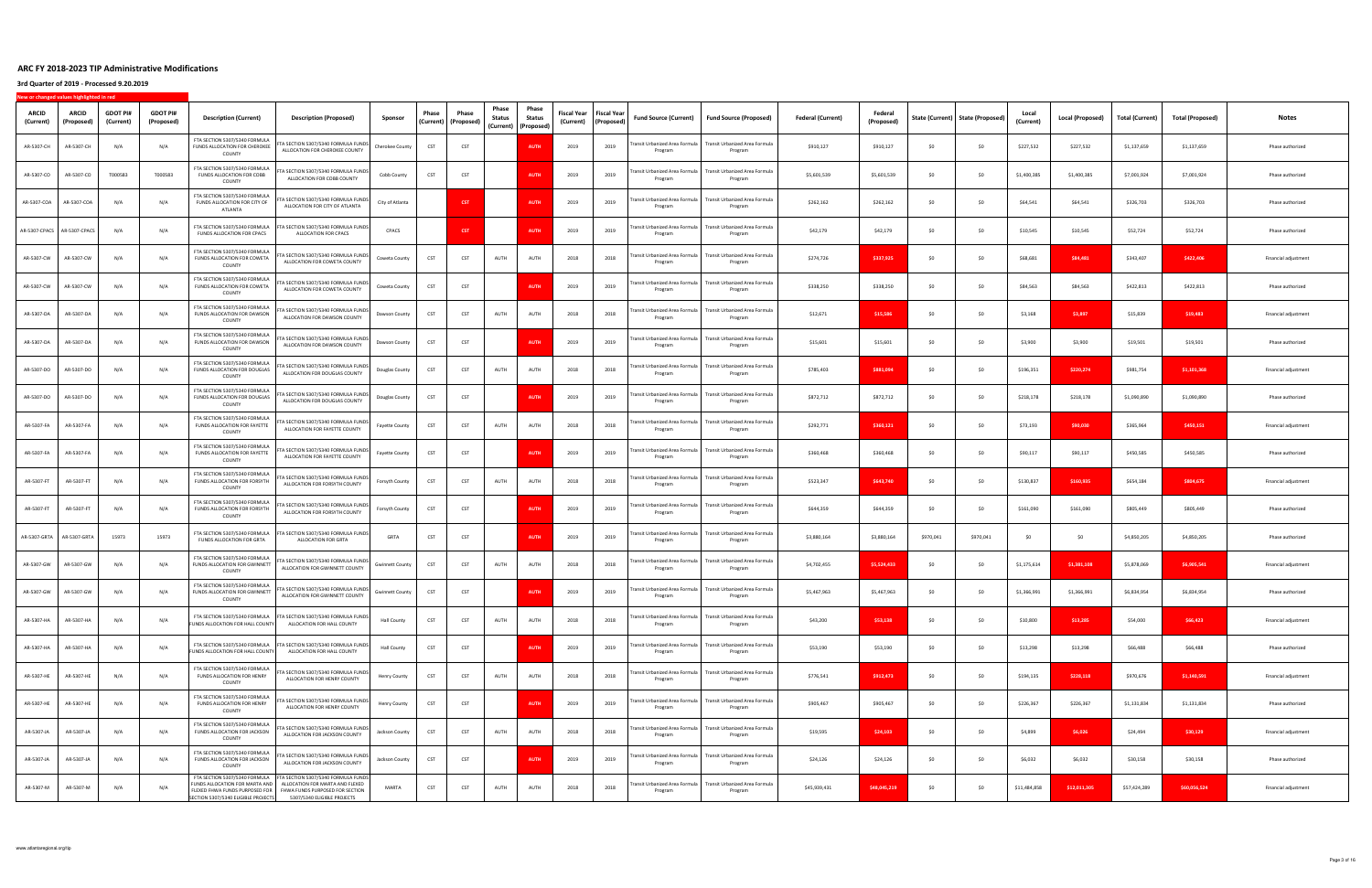| <b>ARCID</b><br>(Current)   | <b>ARCID</b><br>(Proposed) | <b>GDOT PI#</b><br>(Current) | <b>GDOT PI#</b><br>(Proposed) | <b>Description (Current)</b>                                             | <b>Description (Proposed)</b>                                                                                                                                   | Sponsor                | Phase | Phase<br>(Current)   (Proposed) | Phase<br><b>Status</b> | Phase<br>Status<br>(Current)   (Proposed) | Fiscal Year<br>(Current) | <b>Fiscal Year</b><br>(Proposed) | <b>Fund Source (Current)</b>              | <b>Fund Source (Proposed)</b>                                              | <b>Federal (Current)</b> | (Proposed)   |           | State (Current)   State (Proposed) | (Current)    | <b>Local (Proposed)</b> | <b>Total (Current)</b> | <b>Total (Proposed)</b> | Notes                |
|-----------------------------|----------------------------|------------------------------|-------------------------------|--------------------------------------------------------------------------|-----------------------------------------------------------------------------------------------------------------------------------------------------------------|------------------------|-------|---------------------------------|------------------------|-------------------------------------------|--------------------------|----------------------------------|-------------------------------------------|----------------------------------------------------------------------------|--------------------------|--------------|-----------|------------------------------------|--------------|-------------------------|------------------------|-------------------------|----------------------|
| AR-5307-CH                  | AR-5307-CH                 | N/A                          | N/A                           | FTA SECTION 5307/5340 FORMULA<br>FUNDS ALLOCATION FOR CHEROKEE<br>COUNTY | FTA SECTION 5307/5340 FORMULA FUNDS<br>ALLOCATION FOR CHEROKEE COUNTY                                                                                           | Cherokee County        | CST   | CST                             |                        | AUTH                                      | 2019                     | 2019                             | Fransit Urbanized Area Formula<br>Program | Transit Urbanized Area Formula<br>Program                                  | \$910,127                | \$910,127    | SO        | SO                                 | \$227,532    | \$227,532               | \$1,137,659            | \$1,137,659             | Phase authorized     |
| AR-5307-CO                  | AR-5307-CO                 | T000583                      | T000583                       | FTA SECTION 5307/5340 FORMULA<br>FUNDS ALLOCATION FOR COBB<br>COUNTY     | TA SECTION 5307/5340 FORMULA FUNDS<br>ALLOCATION FOR COBB COUNTY                                                                                                | Cobb County            | CST   | CST                             |                        | <b>AUTH</b>                               | 2019                     | 2019                             | ransit Urbanized Area Formula<br>Program  | Transit Urbanized Area Formula<br>Program                                  | \$5,601,539              | \$5,601,539  | S0        | \$0                                | \$1,400,385  | \$1,400,385             | \$7,001,924            | \$7,001,924             | Phase authorized     |
| AR-5307-COA                 | AR-5307-COA                | N/A                          | N/A                           | FTA SECTION 5307/5340 FORMULA<br>FUNDS ALLOCATION FOR CITY OF<br>ATLANTA | FTA SECTION 5307/5340 FORMULA FUNDS<br>ALLOCATION FOR CITY OF ATLANTA                                                                                           | City of Atlanta        |       | <b>CST</b>                      |                        | <b>AUTI</b>                               | 2019                     | 2019                             | Fransit Urbanized Area Formula<br>Program | Transit Urbanized Area Formula<br>Program                                  | \$262,162                | \$262,162    | \$0       | \$0                                | \$64,541     | \$64,541                | \$326,703              | \$326,703               | Phase authorized     |
| AR-5307-CPACS AR-5307-CPACS |                            | N/A                          | N/A                           | FTA SECTION 5307/5340 FORMULA<br>FUNDS ALLOCATION FOR CPACS              | FTA SECTION 5307/5340 FORMULA FUNDS<br>ALLOCATION FOR CPACS                                                                                                     | CPACS                  |       | <b>CST</b>                      |                        | <b>AUTH</b>                               | 2019                     | 2019                             | ransit Urbanized Area Formula<br>Program  | Transit Urbanized Area Formula<br>Program                                  | \$42,179                 | \$42,179     | \$0       | \$0                                | \$10,545     | \$10,545                | \$52,724               | \$52,724                | Phase authorized     |
| AR-5307-CW                  | AR-5307-CW                 | N/A                          | N/A                           | FTA SECTION 5307/5340 FORMULA<br>FUNDS ALLOCATION FOR COWETA<br>COUNTY   | TA SECTION 5307/5340 FORMULA FUNDS<br>ALLOCATION FOR COWETA COUNTY                                                                                              | Coweta County          | CST   | CST                             | AUTH                   | AUTH                                      | 2018                     | 2018                             | ransit Urbanized Area Formula<br>Program  | Transit Urbanized Area Formula<br>Program                                  | \$274,726                | \$337,925    | \$0       | SO                                 | \$68,681     | \$84,481                | \$343,407              | \$422,406               | Financial adjustment |
| AR-5307-CW                  | AR-5307-CW                 | N/A                          | N/A                           | FTA SECTION 5307/5340 FORMULA<br>FUNDS ALLOCATION FOR COWETA<br>COUNTY   | TA SECTION 5307/5340 FORMULA FUNDS<br>ALLOCATION FOR COWETA COUNTY                                                                                              | Coweta County          | CST   | CST                             |                        | <b>AUTH</b>                               | 2019                     | 2019                             | ransit Urbanized Area Formula<br>Program  | Transit Urbanized Area Formula<br>Program                                  | \$338,250                | \$338,250    | \$0       | SO                                 | \$84,563     | \$84,563                | \$422,813              | \$422,813               | Phase authorized     |
| AR-5307-DA                  | AR-5307-DA                 | N/A                          | N/A                           | FTA SECTION 5307/5340 FORMULA<br>FUNDS ALLOCATION FOR DAWSON<br>COUNTY   | FTA SECTION 5307/5340 FORMULA FUNDS<br>ALLOCATION FOR DAWSON COUNTY                                                                                             | Dawson County          | CST   | CST                             | AUTH                   | AUTH                                      | 2018                     | 2018                             | ransit Urbanized Area Formula<br>Program  | Transit Urbanized Area Formula<br>Program                                  | \$12,671                 | \$15,586     | \$0       | SO                                 | \$3,168      | \$3,897                 | \$15,839               | \$19,483                | Financial adjustment |
| AR-5307-DA                  | AR-5307-DA                 | N/A                          | N/A                           | FTA SECTION 5307/5340 FORMULA<br>FUNDS ALLOCATION FOR DAWSON<br>COUNTY   | TA SECTION 5307/5340 FORMULA FUNDS<br>ALLOCATION FOR DAWSON COUNTY                                                                                              | Dawson County          | CST   | CST                             |                        | <b>AUTI</b>                               | 2019                     | 2019                             | ransit Urbanized Area Formula<br>Program  | Transit Urbanized Area Formula<br>Program                                  | \$15,601                 | \$15,601     | \$0       | SO                                 | \$3,900      | \$3,900                 | \$19,501               | \$19,501                | Phase authorized     |
| AR-5307-DO                  | AR-5307-DO                 | N/A                          | N/A                           | FTA SECTION 5307/5340 FORMULA<br>FUNDS ALLOCATION FOR DOUGLAS<br>COUNTY  | TA SECTION 5307/5340 FORMULA FUNDS<br>ALLOCATION FOR DOUGLAS COUNTY                                                                                             | Douglas County         | CST   | CST                             | AUTH                   | AUTH                                      | 2018                     | 2018                             | ansit Urbanized Area Formula<br>Program   | Fransit Urbanized Area Formula<br>Program                                  | \$785,403                | \$881,094    | \$0       | \$0                                | \$196,351    | \$220,274               | \$981,754              | \$1,101,368             | Financial adjustment |
| AR-5307-DO                  | AR-5307-DO                 | N/A                          | N/A                           | FTA SECTION 5307/5340 FORMULA<br>FUNDS ALLOCATION FOR DOUGLAS<br>COUNTY  | FTA SECTION 5307/5340 FORMULA FUNDS<br>ALLOCATION FOR DOUGLAS COUNTY                                                                                            | Douglas County         | CST   | CST                             |                        | <b>AUTH</b>                               | 2019                     | 2019                             | ransit Urbanized Area Formula<br>Program  | Transit Urbanized Area Formula<br>Program                                  | \$872,712                | \$872,712    | \$0       | \$0                                | \$218,178    | \$218,178               | \$1,090,890            | \$1,090,890             | Phase authorized     |
| AR-5307-FA                  | AR-5307-FA                 | N/A                          | N/A                           | FTA SECTION 5307/5340 FORMULA<br>FUNDS ALLOCATION FOR FAYETTE<br>COUNTY  | TA SECTION 5307/5340 FORMULA FUNDS<br>ALLOCATION FOR FAYETTE COUNTY                                                                                             | Fayette County         | CST   | CST                             | AUTH                   | AUTH                                      | 2018                     | 2018                             | ransit Urbanized Area Formula<br>Program  | Transit Urbanized Area Formula<br>Program                                  | \$292,771                | \$360,121    | \$0       | \$0                                | \$73,193     | \$90,030                | \$365,964              | \$450,151               | Financial adjustment |
| AR-5307-FA                  | AR-5307-FA                 | N/A                          | N/A                           | FTA SECTION 5307/5340 FORMULA<br>FUNDS ALLOCATION FOR FAYETTE<br>COUNTY  | FTA SECTION 5307/5340 FORMULA FUNDS<br>ALLOCATION FOR FAYETTE COUNTY                                                                                            | <b>Fayette County</b>  | CST   | CST                             |                        | <b>AUTH</b>                               | 2019                     | 2019                             | ransit Urbanized Area Formula<br>Program  | Transit Urbanized Area Formula<br>Program                                  | \$360,468                | \$360,468    | SO        | \$0                                | \$90,117     | \$90,117                | \$450,585              | \$450,585               | Phase authorized     |
| AR-5307-FT                  | AR-5307-FT                 | N/A                          | N/A                           | FTA SECTION 5307/5340 FORMULA<br>FUNDS ALLOCATION FOR FORSYTH<br>COUNTY  | TA SECTION 5307/5340 FORMULA FUNDS<br>ALLOCATION FOR FORSYTH COUNTY                                                                                             | Forsyth County         | CST   | CST                             | AUTH                   | AUTH                                      | 2018                     | 2018                             | ransit Urbanized Area Formula<br>Program  | Transit Urbanized Area Formula<br>Program                                  | \$523,347                | \$643,740    | \$0       | \$0                                | \$130,837    | \$160,935               | \$654,184              | \$804,675               | Financial adjustment |
| AR-5307-FT                  | AR-5307-FT                 | N/A                          | N/A                           | FTA SECTION 5307/5340 FORMULA<br>FUNDS ALLOCATION FOR FORSYTH<br>COUNTY  | FTA SECTION 5307/5340 FORMULA FUNDS<br>ALLOCATION FOR FORSYTH COUNTY                                                                                            | Forsyth County         | CST   | CST                             |                        | <b>AUTI</b>                               | 2019                     | 2019                             | Fransit Urbanized Area Formula<br>Program | Transit Urbanized Area Formula<br>Program                                  | \$644,359                | \$644,359    | \$0       | \$0                                | \$161,090    | \$161,090               | \$805,449              | \$805,449               | Phase authorized     |
| AR-5307-GRTA                | AR-5307-GRTA               | 15973                        | 15973                         | FTA SECTION 5307/5340 FORMULA<br>FUNDS ALLOCATION FOR GRTA               | FTA SECTION 5307/5340 FORMULA FUNDS<br>ALLOCATION FOR GRTA                                                                                                      | GRTA                   | CST   | CST                             |                        | <b>AUTI</b>                               | 2019                     | 2019                             | Fransit Urbanized Area Formula<br>Program | Transit Urbanized Area Formula<br>Program                                  | \$3,880,164              | \$3,880,164  | \$970,041 | \$970,041                          | SO.          | -SO                     | \$4,850,205            | \$4,850,205             | Phase authorized     |
| AR-5307-GW                  | AR-5307-GW                 | N/A                          | N/A                           | FTA SECTION 5307/5340 FORMULA<br>FUNDS ALLOCATION FOR GWINNETT<br>COUNTY | FTA SECTION 5307/5340 FORMULA FUNDS<br>ALLOCATION FOR GWINNETT COUNTY                                                                                           | <b>Gwinnett County</b> | CST   | CST                             | AUTH                   | AUTH                                      | 2018                     | 2018                             | ransit Urbanized Area Formula<br>Program  | Transit Urbanized Area Formula<br>Program                                  | \$4,702,455              | \$5,524,433  | \$0       | \$0                                | \$1,175,614  | \$1,381,108             | \$5,878,069            | \$6,905,541             | Financial adjustment |
| AR-5307-GW                  | AR-5307-GW                 | N/A                          | N/A                           | FTA SECTION 5307/5340 FORMULA<br>FUNDS ALLOCATION FOR GWINNETT<br>COUNTY | FTA SECTION 5307/5340 FORMULA FUNDS<br>ALLOCATION FOR GWINNETT COUNTY                                                                                           | <b>Gwinnett County</b> | CST   | CST                             |                        | <b>AUTI</b>                               | 2019                     | 2019                             | ransit Urbanized Area Formula<br>Program  | Transit Urbanized Area Formula<br>Program                                  | \$5,467,963              | \$5,467,963  | \$0       | SO                                 | \$1,366,991  | \$1,366,991             | \$6,834,954            | \$6,834,954             | Phase authorized     |
| AR-5307-HA                  | AR-5307-HA                 | N/A                          | N/A                           | FUNDS ALLOCATION FOR HALL COUNTY                                         | FTA SECTION 5307/5340 FORMULA FTA SECTION 5307/5340 FORMULA FUNDS<br>ALLOCATION FOR HALL COUNTY                                                                 | <b>Hall County</b>     | CST   | CST                             | AUTH                   | AUTH                                      | 2018                     | 2018                             | Transit Urbanized Area Formula<br>Program | Transit Urbanized Area Formula<br>Program                                  | \$43,200                 | \$53,138     | \$0       | \$0                                | \$10,800     | \$13,285                | \$54,000               | \$66,423                | Financial adjustment |
| AR-5307-HA                  | AR-5307-HA                 | N/A                          | N/A                           | FUNDS ALLOCATION FOR HALL COUNTY                                         | FTA SECTION 5307/5340 FORMULA FTA SECTION 5307/5340 FORMULA FUNDS<br>ALLOCATION FOR HALL COUNTY                                                                 | <b>Hall County</b>     | CST   | CST                             |                        | <b>AUTH</b>                               | 2019                     | 2019                             | Fransit Urbanized Area Formula<br>Program | Transit Urbanized Area Formula<br>Program                                  | \$53,190                 | \$53,190     | \$0       | \$0                                | \$13,298     | \$13,298                | \$66,488               | \$66,488                | Phase authorized     |
| AR-5307-HE                  | AR-5307-HE                 | N/A                          | N/A                           | FTA SECTION 5307/5340 FORMULA<br>FUNDS ALLOCATION FOR HENRY<br>COUNTY    | TA SECTION 5307/5340 FORMULA FUNDS<br>ALLOCATION FOR HENRY COUNTY                                                                                               | <b>Henry County</b>    | CST   | CST                             | AUTH                   | AUTH                                      | 2018                     | 2018                             | Program                                   | Fransit Urbanized Area Formula   Transit Urbanized Area Formula<br>Program | \$776,541                | \$912,473    | \$0       | \$0                                | \$194,135    | \$228,118               | \$970,676              | \$1,140,591             | Financial adjustment |
| AR-5307-HE                  | AR-5307-HE                 | N/A                          | N/A                           | FTA SECTION 5307/5340 FORMULA<br>FUNDS ALLOCATION FOR HENRY<br>COUNTY    | FTA SECTION 5307/5340 FORMULA FUNDS<br>ALLOCATION FOR HENRY COUNTY                                                                                              | <b>Henry County</b>    | CST   | CST                             |                        | <b>AUTH</b>                               | 2019                     | 2019                             | Program                                   | Fransit Urbanized Area Formula   Transit Urbanized Area Formula<br>Program | \$905,467                | \$905,467    | \$0       | \$0                                | \$226,367    | \$226,367               | \$1,131,834            | \$1,131,834             | Phase authorized     |
| AR-5307-JA                  | AR-5307-JA                 | N/A                          | N/A                           | FTA SECTION 5307/5340 FORMULA<br>FUNDS ALLOCATION FOR JACKSON<br>COUNTY  | FTA SECTION 5307/5340 FORMULA FUNDS<br>ALLOCATION FOR JACKSON COUNTY                                                                                            | Jackson County         | CST   | CST                             | AUTH                   | AUTH                                      | 2018                     | 2018                             | Program                                   | Fransit Urbanized Area Formula Transit Urbanized Area Formula<br>Program   | \$19,595                 | \$24,103     | \$0       | \$0                                | \$4,899      | \$6,026                 | \$24,494               | \$30,129                | Financial adjustment |
| AR-5307-JA                  | AR-5307-JA                 | N/A                          | N/A                           | FTA SECTION 5307/5340 FORMULA<br>FUNDS ALLOCATION FOR JACKSON<br>COUNTY  | FTA SECTION 5307/5340 FORMULA FUNDS<br>ALLOCATION FOR JACKSON COUNTY<br>FTA SECTION 5307/5340 FORMULA FTA SECTION 5307/5340 FORMULA FUNDS                       | Jackson County         | CST   | CST                             |                        | <b>AUTH</b>                               | 2019                     | 2019                             | ransit Urbanized Area Formula<br>Program  | Transit Urbanized Area Formula<br>Program                                  | \$24,126                 | \$24,126     | \$0       | \$0                                | \$6,032      | \$6,032                 | \$30,158               | \$30,158                | Phase authorized     |
| AR-5307-M                   | AR-5307-M                  | N/A                          | N/A                           | SECTION 5307/5340 ELIGIBLE PROJECTS                                      | FUNDS ALLOCATION FOR MARTA AND ALLOCATION FOR MARTA AND FLEXED<br>FLEXED FHWA FUNDS PURPOSED FOR FHWA FUNDS PURPOSED FOR SECTION<br>5307/5340 ELIGIBLE PROJECTS | MARTA                  | CST   | CST                             | AUTH                   | AUTH                                      | 2018                     | 2018                             | Fransit Urbanized Area Formula<br>Program | Transit Urbanized Area Formula<br>Program                                  | \$45,939,431             | \$48,045,219 | \$0       | \$0                                | \$11,484,858 | \$12,011,305            | \$57,424,289           | \$60,056,524            | Financial adjustment |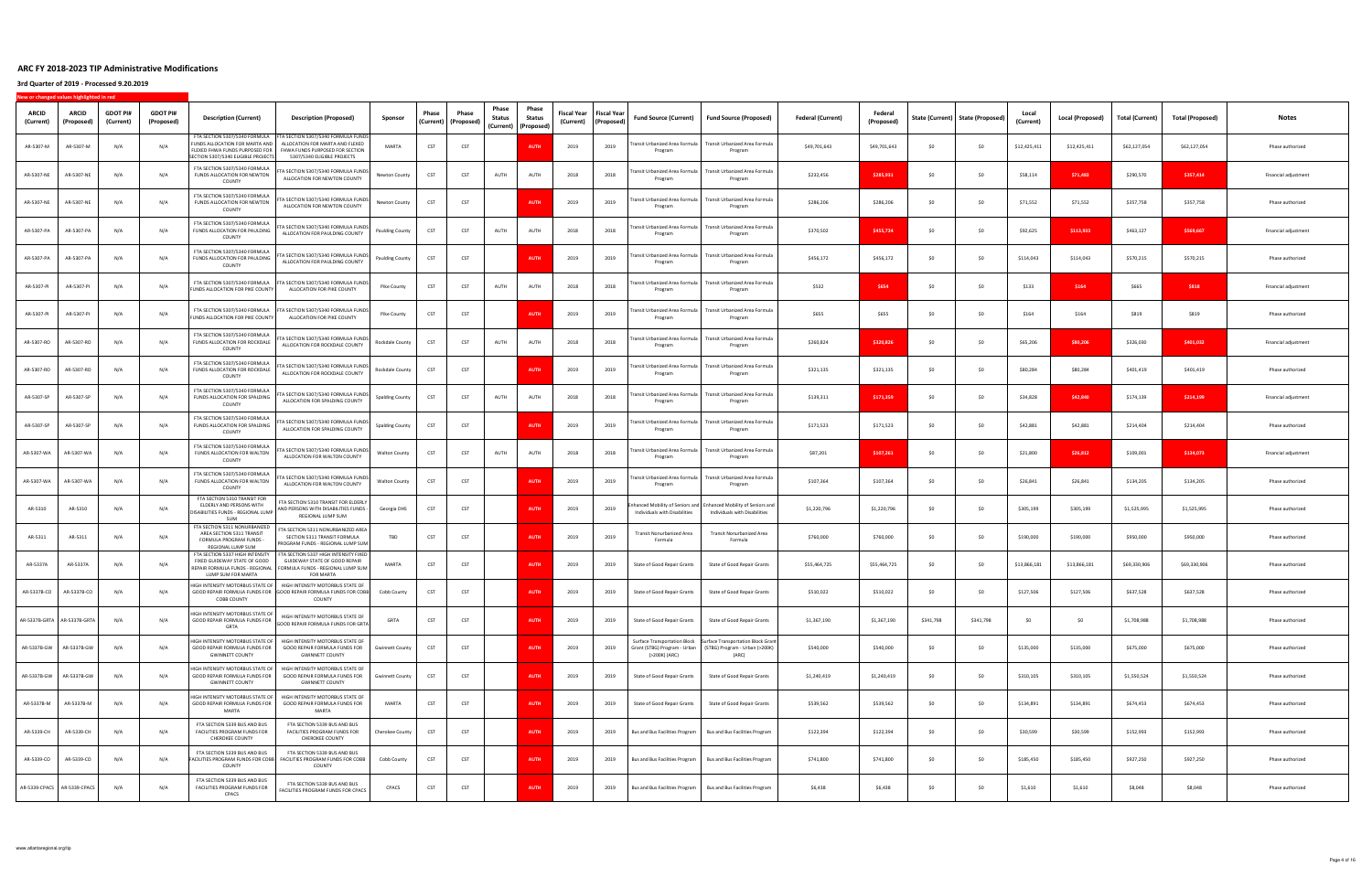| <b>ARCID</b><br>(Current)   | ARCID<br>(Proposed)         | <b>GDOT PI#</b><br>(Current) | <b>GDOT PI#</b><br>(Proposed) | <b>Description (Current)</b>                                                                                             | <b>Description (Proposed)</b>                                                                                                                                          | Sponsor                | Phase      | Phase<br>(Current)   (Proposed) | Phase<br><b>Status</b> | Phase<br>Status<br>(Current)   (Proposed) | Fiscal Year<br>(Current) | Fiscal Year<br>(Proposed) | Fund Source (Current)                     | <b>Fund Source (Proposed)</b>                                                                                                           | <b>Federal (Current)</b> | (Proposed)   |           | State (Current)   State (Proposed) | (Current)    | Local (Proposed) | Total (Current) | <b>Total (Proposed)</b> | Notes                |
|-----------------------------|-----------------------------|------------------------------|-------------------------------|--------------------------------------------------------------------------------------------------------------------------|------------------------------------------------------------------------------------------------------------------------------------------------------------------------|------------------------|------------|---------------------------------|------------------------|-------------------------------------------|--------------------------|---------------------------|-------------------------------------------|-----------------------------------------------------------------------------------------------------------------------------------------|--------------------------|--------------|-----------|------------------------------------|--------------|------------------|-----------------|-------------------------|----------------------|
| AR-5307-M                   | AR-5307-M                   | N/A                          | N/A                           | FUNDS ALLOCATION FOR MARTA AND<br>FLEXED FHWA FUNDS PURPOSED FOR<br>ECTION 5307/5340 ELIGIBLE PROJECTS                   | FTA SECTION 5307/5340 FORMULA FTA SECTION 5307/5340 FORMULA FUNDS<br>ALLOCATION FOR MARTA AND FLEXED<br>FHWA FUNDS PURPOSED FOR SECTION<br>5307/5340 ELIGIBLE PROJECTS | MARTA                  | CST        | CST                             |                        | <b>AUTH</b>                               | 2019                     | 2019                      | Transit Urbanized Area Formula<br>Program | Transit Urbanized Area Formula<br>Program                                                                                               | \$49,701,643             | \$49,701,643 | SO        | SO                                 | \$12,425,411 | \$12,425,411     | \$62,127,054    | \$62,127,054            | Phase authorized     |
| AR-5307-NE                  | AR-5307-NE                  | N/A                          | N/A                           | FTA SECTION 5307/5340 FORMULA<br>FUNDS ALLOCATION FOR NEWTON<br>COUNTY                                                   | TA SECTION 5307/5340 FORMULA FUNDS<br>ALLOCATION FOR NEWTON COUNTY                                                                                                     | Newton County          | CST        | CST                             | AUTH                   | AUTH                                      | 2018                     | 2018                      | ransit Urbanized Area Formula<br>Program  | Transit Urbanized Area Formula<br>Program                                                                                               | \$232,456                | \$285,931    | \$0       | \$0                                | \$58,114     | \$71,483         | \$290,570       | \$357,414               | Financial adjustment |
| AR-5307-NE                  | AR-5307-NE                  | N/A                          | N/A                           | FTA SECTION 5307/5340 FORMULA<br>FUNDS ALLOCATION FOR NEWTON<br>COUNTY                                                   | FTA SECTION 5307/5340 FORMULA FUNDS<br>ALLOCATION FOR NEWTON COUNTY                                                                                                    | Newton County          | CST        | CST                             |                        | <b>AUTH</b>                               | 2019                     | 2019                      | Transit Urbanized Area Formula<br>Program | Transit Urbanized Area Formula<br>Program                                                                                               | \$286,206                | \$286,206    | SO        | \$0                                | \$71,552     | \$71,552         | \$357,758       | \$357,758               | Phase authorized     |
| AR-5307-PA                  | AR-5307-PA                  | N/A                          | N/A                           | FTA SECTION 5307/5340 FORMULA<br>FUNDS ALLOCATION FOR PAULDING<br>COUNTY                                                 | FTA SECTION 5307/5340 FORMULA FUNDS<br>ALLOCATION FOR PAULDING COUNTY                                                                                                  | <b>Paulding County</b> | CST        | CST                             | AUTH                   | AUTH                                      | 2018                     | 2018                      | Transit Urbanized Area Formula<br>Program | Transit Urbanized Area Formula<br>Program                                                                                               | \$370,502                | \$455,734    | \$0       | \$0                                | \$92,625     | \$113,933        | \$463,127       | \$569,667               | Financial adjustment |
| AR-5307-PA                  | AR-5307-PA                  | N/A                          | N/A                           | FTA SECTION 5307/5340 FORMULA<br>FUNDS ALLOCATION FOR PAULDING<br>COUNTY                                                 | TA SECTION 5307/5340 FORMULA FUNDS<br>ALLOCATION FOR PAULDING COUNTY                                                                                                   | <b>Paulding County</b> | CST        | CST                             |                        | <b>AUTH</b>                               | 2019                     | 2019                      | ransit Urbanized Area Formula<br>Program  | Transit Urbanized Area Formula<br>Program                                                                                               | \$456,172                | \$456,172    | \$0       | \$0                                | \$114,043    | \$114,043        | \$570,215       | \$570,215               | Phase authorized     |
| AR-5307-PI                  | AR-5307-PI                  | N/A                          | N/A                           | FTA SECTION 5307/5340 FORMULA<br>FUNDS ALLOCATION FOR PIKE COUNTY                                                        | FTA SECTION 5307/5340 FORMULA FUNDS<br>ALLOCATION FOR PIKE COUNTY                                                                                                      | Pike County            | CST        | CST                             | AUTH                   | AUTH                                      | 2018                     | 2018                      | Transit Urbanized Area Formula<br>Program | Transit Urbanized Area Formula<br>Program                                                                                               | \$532                    | \$654        | SO        | SO                                 | \$133        | \$164            | \$665           | \$818                   | Financial adjustment |
| AR-5307-PI                  | AR-5307-PI                  | N/f                          | N/A                           | FTA SECTION 5307/5340 FORMULA<br>FUNDS ALLOCATION FOR PIKE COUNTY                                                        | FTA SECTION 5307/5340 FORMULA FUNDS<br>ALLOCATION FOR PIKE COUNTY                                                                                                      | Pike County            | CST        | CST                             |                        | <b>AUTI</b>                               | 2019                     | 2019                      | ransit Urbanized Area Formula<br>Program  | Transit Urbanized Area Formula<br>Program                                                                                               | \$655                    | \$655        | SO        | \$0                                | \$164        | \$164            | \$819           | \$819                   | Phase authorized     |
| AR-5307-RO                  | AR-5307-RO                  | $N/\ell$                     | N/A                           | FTA SECTION 5307/5340 FORMULA<br>FUNDS ALLOCATION FOR ROCKDALE<br>COUNTY                                                 | TA SECTION 5307/5340 FORMULA FUNDS<br>ALLOCATION FOR ROCKDALE COUNTY                                                                                                   | Rockdale County        | CST        | CST                             | AUTH                   | AUTH                                      | 2018                     | 2018                      | Transit Urbanized Area Formula<br>Program | Transit Urbanized Area Formula<br>Program                                                                                               | \$260,824                | \$320,826    | \$0       | SO                                 | \$65,206     | \$80,206         | \$326,030       | \$401,032               | Financial adjustment |
| AR-5307-RO                  | AR-5307-RO                  | N/A                          | N/A                           | FTA SECTION 5307/5340 FORMULA<br>FUNDS ALLOCATION FOR ROCKDALE<br>COUNTY                                                 | TA SECTION 5307/5340 FORMULA FUNDS<br>ALLOCATION FOR ROCKDALE COUNTY                                                                                                   | Rockdale County        | CST        | CST                             |                        | <b>AUTH</b>                               | 2019                     | 2019                      | ransit Urbanized Area Formula<br>Program  | Fransit Urbanized Area Formula<br>Program                                                                                               | \$321,135                | \$321,135    | SO.       | \$0                                | \$80,284     | \$80,284         | \$401,419       | \$401,419               | Phase authorized     |
| AR-5307-SP                  | AR-5307-SP                  | N/A                          | N/A                           | FTA SECTION 5307/5340 FORMULA<br>FUNDS ALLOCATION FOR SPALDING<br>COUNTY                                                 | FTA SECTION 5307/5340 FORMULA FUNDS<br>ALLOCATION FOR SPALDING COUNTY                                                                                                  | Spalding County        | <b>CST</b> | CST                             | AUTH                   | AUTH                                      | 2018                     | 2018                      | Transit Urbanized Area Formula<br>Program | Transit Urbanized Area Formula<br>Program                                                                                               | \$139,311                | \$171,359    | \$0       | \$0                                | \$34,828     | \$42,840         | \$174,139       | \$214,199               | Financial adjustment |
| AR-5307-SP                  | AR-5307-SP                  | N/A                          | N/A                           | FTA SECTION 5307/5340 FORMULA<br>FUNDS ALLOCATION FOR SPALDING<br>COUNTY                                                 | TA SECTION 5307/5340 FORMULA FUNDS<br>ALLOCATION FOR SPALDING COUNTY                                                                                                   | <b>Spalding County</b> | CST        | CST                             |                        | <b>AUTH</b>                               | 2019                     | 2019                      | ransit Urbanized Area Formula<br>Program  | Transit Urbanized Area Formula<br>Program                                                                                               | \$171,523                | \$171,523    | \$0       | \$0                                | \$42,881     | \$42,881         | \$214,404       | \$214,404               | Phase authorized     |
| AR-5307-WA                  | AR-5307-WA                  | N/A                          | N/A                           | FTA SECTION 5307/5340 FORMULA<br>FUNDS ALLOCATION FOR WALTON<br>COUNTY                                                   | TA SECTION 5307/5340 FORMULA FUNDS<br>ALLOCATION FOR WALTON COUNTY                                                                                                     | <b>Walton County</b>   | CST        | CST                             | AUTH                   | AUTH                                      | 2018                     | 2018                      | Transit Urbanized Area Formula<br>Program | Transit Urbanized Area Formula<br>Program                                                                                               | \$87,201                 | \$107,261    | \$0       | \$0                                | \$21,800     | \$26,812         | \$109,001       | \$134,073               | Financial adjustment |
| AR-5307-WA                  | AR-5307-WA                  | N/A                          | N/A                           | FTA SECTION 5307/5340 FORMULA<br>FUNDS ALLOCATION FOR WALTON<br>COUNTY                                                   | TA SECTION 5307/5340 FORMULA FUNDS<br>ALLOCATION FOR WALTON COUNTY                                                                                                     | <b>Walton County</b>   | CST        | CST                             |                        | <b>AUTH</b>                               | 2019                     | 2019                      | Program                                   | Transit Urbanized Area Formula   Transit Urbanized Area Formula<br>Program                                                              | \$107,364                | \$107,364    | SO.       | \$0                                | \$26,841     | \$26,841         | \$134,205       | \$134,205               | Phase authorized     |
| AR-5310                     | AR-5310                     | $N/\ell$                     | N/A                           | FTA SECTION 5310 TRANSIT FOR<br>ELDERLY AND PERSONS WITH<br>DISABILITIES FUNDS - REGIONAL LUMP<br><b>SUM</b>             | FTA SECTION 5310 TRANSIT FOR ELDERLY<br>AND PERSONS WITH DISABILITIES FUNDS -<br>REGIONAL LUMP SUM                                                                     | Georgia DHS            | CST        | CST                             |                        | <b>AUTI</b>                               | 2019                     | 2019                      | Individuals with Disabilities             | nhanced Mobility of Seniors and Enhanced Mobility of Seniors and<br>Individuals with Disabilities                                       | \$1,220,796              | \$1,220,796  | SO        | \$0                                | \$305,199    | \$305,199        | \$1,525,995     | \$1,525,995             | Phase authorized     |
| AR-5311                     | AR-5311                     | $N/\ell$                     | N/A                           | FTA SECTION 5311 NONURBANIZED<br>AREA SECTION 5311 TRANSIT<br>FORMULA PROGRAM FUNDS -<br>REGIONAL LUMP SUM               | TA SECTION 5311 NONURBANIZED AREA<br>SECTION 5311 TRANSIT FORMULA<br>PROGRAM FUNDS - REGIONAL LUMP SUM                                                                 | TBD                    | CST        | CST                             |                        | <b>AUTH</b>                               | 2019                     | 2019                      | Transit Nonurbanized Area<br>Formula      | Transit Nonurbanized Area<br>Formula                                                                                                    | \$760,000                | \$760,000    | SO        | \$0                                | \$190,000    | \$190,000        | \$950,000       | \$950,000               | Phase authorized     |
| AR-5337A                    | AR-5337A                    | $N/\ell$                     | N/A                           | FTA SECTION 5337 HIGH INTENSITY<br>FIXED GUIDEWAY STATE OF GOOD<br>REPAIR FORMULA FUNDS - REGIONAL<br>LUMP SUM FOR MARTA | FTA SECTION 5337 HIGH INTENSITY FIXED<br>GUIDEWAY STATE OF GOOD REPAIR<br>FORMULA FUNDS - REGIONAL LUMP SUM<br><b>FOR MARTA</b>                                        | MARTA                  | CST        | CST                             |                        | <b>AUT</b>                                | 2019                     | 2019                      | State of Good Repair Grants               | State of Good Repair Grants                                                                                                             | \$55,464,725             | \$55,464,725 | \$0       | \$0                                | \$13,866,181 | \$13,866,181     | \$69,330,906    | \$69,330,906            | Phase authorized     |
| AR-5337B-CO                 | AR-5337B-CO                 | N/A                          | N/A                           | <b>COBB COUNTY</b>                                                                                                       | HIGH INTENSITY MOTORBUS STATE OF HIGH INTENSITY MOTORBUS STATE OF<br>GOOD REPAIR FORMULA FUNDS FOR GOOD REPAIR FORMULA FUNDS FOR COBB<br>COUNTY                        | Cobb County            | CST        | CST                             |                        | <b>AUTI</b>                               | 2019                     | 2019                      | State of Good Repair Grants               | State of Good Repair Grants                                                                                                             | \$510,022                | \$510,022    | \$0       | SO                                 | \$127,506    | \$127,506        | \$637,528       | \$637,528               | Phase authorized     |
| AR-5337B-GRTA AR-5337B-GRTA |                             | N/A                          | N/A                           | HIGH INTENSITY MOTORBUS STATE OF<br>GOOD REPAIR FORMULA FUNDS FOR<br>GRTA                                                | HIGH INTENSITY MOTORBUS STATE OF<br>GOOD REPAIR FORMULA FUNDS FOR GRTA                                                                                                 | GRTA                   | CST        | CST                             |                        | <b>AUTH</b>                               | 2019                     | 2019                      | State of Good Repair Grants               | State of Good Repair Grants                                                                                                             | \$1,367,190              | \$1,367,190  | \$341,798 | \$341,798                          | \$0          | \$0              | \$1,708,988     | \$1,708,988             | Phase authorized     |
|                             | AR-5337B-GW AR-5337B-GW     | N/A                          | N/A                           | HIGH INTENSITY MOTORBUS STATE OF<br><b>GWINNETT COUNTY</b>                                                               | HIGH INTENSITY MOTORBUS STATE OF<br>GOOD REPAIR FORMULA FUNDS FOR GOOD REPAIR FORMULA FUNDS FOR<br><b>GWINNETT COUNTY</b>                                              | <b>Gwinnett County</b> | CST        | CST                             |                        | <b>AUTH</b>                               | 2019                     | 2019                      | (>200K) (ARC)                             | Surface Transportation Block Surface Transportation Block Grant<br>Grant (STBG) Program - Urban (STBG) Program - Urban (>200K)<br>(ARC) | \$540,000                | \$540,000    | \$0       | \$0                                | \$135,000    | \$135,000        | \$675,000       | \$675,000               | Phase authorized     |
| AR-5337B-GW                 | AR-5337B-GW                 | N/A                          | N/A                           | HIGH INTENSITY MOTORBUS STATE OF<br>GOOD REPAIR FORMULA FUNDS FOR<br><b>GWINNETT COUNTY</b>                              | HIGH INTENSITY MOTORBUS STATE OF<br>GOOD REPAIR FORMULA FUNDS FOR<br><b>GWINNETT COUNTY</b>                                                                            | <b>Gwinnett County</b> | CST        | CST                             |                        | <b>AUTH</b>                               | 2019                     | 2019                      | State of Good Repair Grants               | State of Good Repair Grants                                                                                                             | \$1,240,419              | \$1,240,419  | \$0       | \$0                                | \$310,105    | \$310,105        | \$1,550,524     | \$1,550,524             | Phase authorized     |
| AR-5337B-M                  | AR-5337B-M                  | N/A                          | N/A                           | HIGH INTENSITY MOTORBUS STATE OF<br>GOOD REPAIR FORMULA FUNDS FOR<br>MARTA                                               | HIGH INTENSITY MOTORBUS STATE OF<br>GOOD REPAIR FORMULA FUNDS FOR<br>MARTA                                                                                             | MARTA                  | CST        | CST                             |                        | <b>AUTH</b>                               | 2019                     | 2019                      | State of Good Repair Grants               | State of Good Repair Grants                                                                                                             | \$539,562                | \$539,562    | \$0       | \$0                                | \$134,891    | \$134,891        | \$674,453       | \$674,453               | Phase authorized     |
| AR-5339-CH                  | AR-5339-CH                  | N/A                          | N/A                           | FTA SECTION 5339 BUS AND BUS<br>FACILITIES PROGRAM FUNDS FOR<br>CHEROKEE COUNTY                                          | FTA SECTION 5339 BUS AND BUS<br>FACILITIES PROGRAM FUNDS FOR<br>CHEROKEE COUNTY                                                                                        | Cherokee County        | CST        | CST                             |                        | <b>AUTH</b>                               | 2019                     | 2019                      | Bus and Bus Facilities Program            | Bus and Bus Facilities Program                                                                                                          | \$122,394                | \$122,394    | \$0       | \$0                                | \$30,599     | \$30,599         | \$152,993       | \$152,993               | Phase authorized     |
| AR-5339-CO                  | AR-5339-CO                  | N/A                          | N/A                           | FTA SECTION 5339 BUS AND BUS<br>FACILITIES PROGRAM FUNDS FOR COBB<br>COUNTY                                              | FTA SECTION 5339 BUS AND BUS<br>FACILITIES PROGRAM FUNDS FOR COBB<br>COUNTY                                                                                            | Cobb County            | <b>CST</b> | CST                             |                        | <b>AUTH</b>                               | 2019                     | 2019                      | Bus and Bus Facilities Program            | <b>Bus and Bus Facilities Program</b>                                                                                                   | \$741,800                | \$741,800    | \$0       | \$0                                | \$185,450    | \$185,450        | \$927,250       | \$927,250               | Phase authorized     |
|                             | AR-5339-CPACS AR-5339-CPACS | N/A                          | N/A                           | FTA SECTION 5339 BUS AND BUS<br>FACILITIES PROGRAM FUNDS FOR<br>CPACS                                                    | FTA SECTION 5339 BUS AND BUS<br>FACILITIES PROGRAM FUNDS FOR CPACS                                                                                                     | CPACS                  | CST        | CST                             |                        | <b>AUTH</b>                               | 2019                     | 2019                      | Bus and Bus Facilities Program            | <b>Bus and Bus Facilities Program</b>                                                                                                   | \$6,438                  | \$6,438      | \$0       | \$0                                | \$1,610      | \$1,610          | \$8,048         | \$8,048                 | Phase authorized     |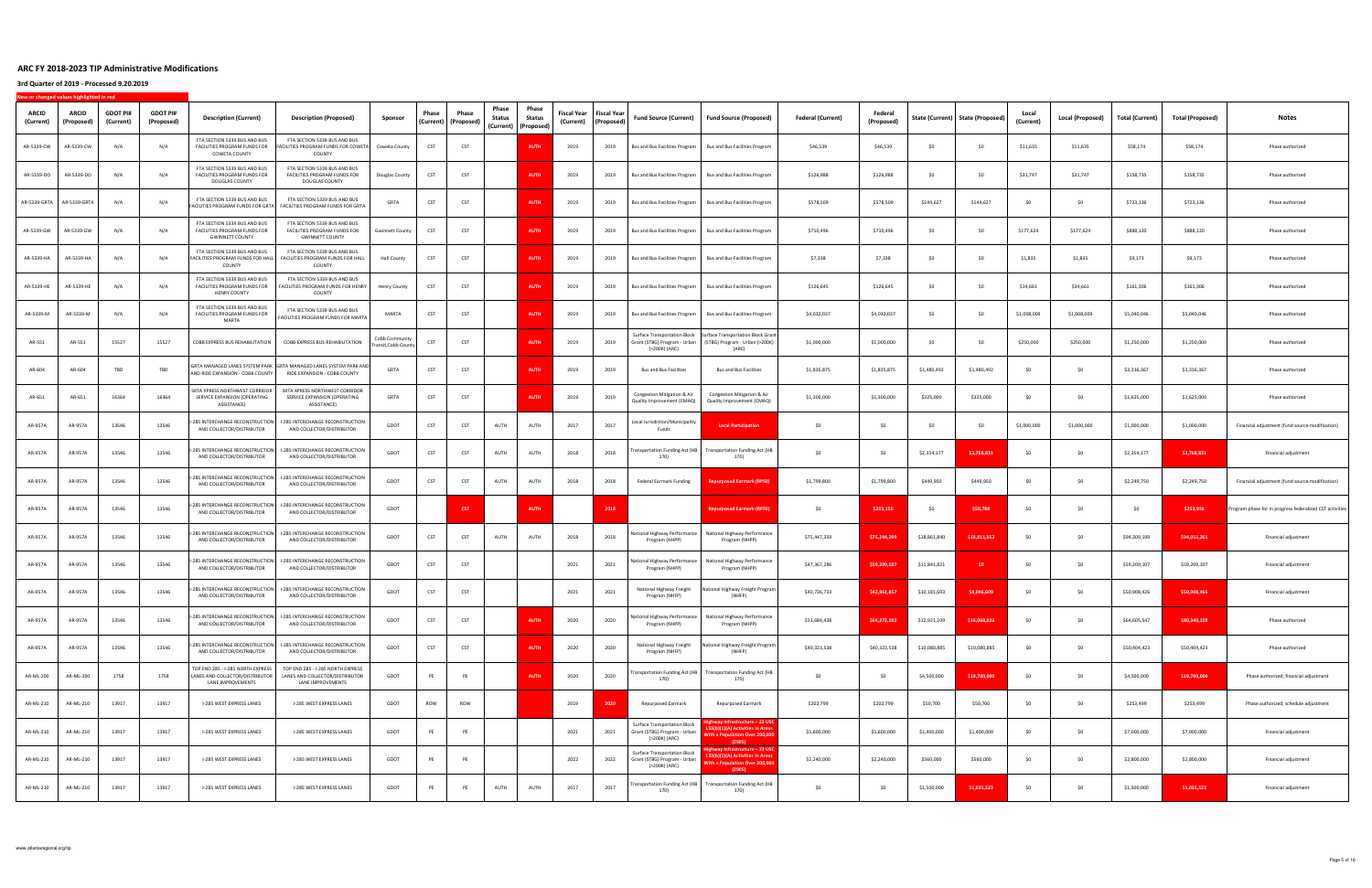| <b>ARCID</b><br>(Current) | ARCID<br>(Proposed)       | <b>GDOT PI#</b><br>(Current) | <b>GDOT PI#</b><br>(Proposed) | <b>Description (Current)</b>                                                                | <b>Description (Proposed)</b>                                                                       | Sponsor                                | Phase | Phase<br>(Current) (Proposed) | Phase<br>Status | Phase<br>Status<br>(Current)   (Proposed) | Fiscal Year<br>(Current) | Fiscal Year<br>(Proposed) | Fund Source (Current)                                                                | <b>Fund Source (Proposed)</b>                                                                                       | <b>Federal (Current)</b> | Federal<br>(Proposed) |              | State (Current)   State (Proposed) | Local<br>(Current) | Local (Proposed) | Total (Current) | <b>Total (Proposed)</b> | Notes                                                   |
|---------------------------|---------------------------|------------------------------|-------------------------------|---------------------------------------------------------------------------------------------|-----------------------------------------------------------------------------------------------------|----------------------------------------|-------|-------------------------------|-----------------|-------------------------------------------|--------------------------|---------------------------|--------------------------------------------------------------------------------------|---------------------------------------------------------------------------------------------------------------------|--------------------------|-----------------------|--------------|------------------------------------|--------------------|------------------|-----------------|-------------------------|---------------------------------------------------------|
| AR-5339-CW                | AR-5339-CW                | N/A                          | N/A                           | FTA SECTION 5339 BUS AND BUS<br>FACILITIES PROGRAM FUNDS FOR<br>COWETA COUNTY               | FTA SECTION 5339 BUS AND BUS<br>ACILITIES PROGRAM FUNDS FOR COWETA<br>COUNTY                        | Coweta County                          | CST   | CST                           |                 | <b>AUTH</b>                               | 2019                     | 2019                      | Bus and Bus Facilities Program                                                       | <b>Bus and Bus Facilities Program</b>                                                                               | \$46,539                 | \$46,539              | SO           | \$0                                | \$11,635           | \$11,635         | \$58,174        | \$58,174                | Phase authorized                                        |
| AR-5339-DO                | AR-5339-DO                | N/A                          | N/A                           | FTA SECTION 5339 BUS AND BUS<br>FACILITIES PROGRAM FUNDS FOR<br>DOUGLAS COUNTY              | FTA SECTION 5339 BUS AND BUS<br>FACILITIES PROGRAM FUNDS FOR<br>DOUGLAS COUNTY                      | Douglas County                         | CST   | CST                           |                 | <b>AUTH</b>                               | 2019                     | 2019                      | Bus and Bus Facilities Program                                                       | Bus and Bus Facilities Program                                                                                      | \$126,988                | \$126,988             | \$0          | \$0                                | \$31,747           | \$31,747         | \$158,735       | \$158,735               | Phase authorized                                        |
|                           | AR-5339-GRTA AR-5339-GRTA | N/A                          | N/A                           | FTA SECTION 5339 BUS AND BUS<br>ACILITIES PROGRAM FUNDS FOR GRTA                            | FTA SECTION 5339 BUS AND BUS<br>FACILITIES PROGRAM FUNDS FOR GRTA                                   | GRTA                                   | CST   | CST                           |                 | <b>AUTH</b>                               | 2019                     | 2019                      | <b>Bus and Bus Facilities Program</b>                                                | <b>Bus and Bus Facilities Program</b>                                                                               | \$578,509                | \$578,509             | \$144,627    | \$144,627                          | -SO                | SO.              | \$723,136       | \$723,136               | Phase authorized                                        |
| AR-5339-GW                | AR-5339-GW                | N/A                          | N/A                           | FTA SECTION 5339 BUS AND BUS<br>FACILITIES PROGRAM FUNDS FOR<br><b>GWINNETT COUNTY</b>      | FTA SECTION 5339 BUS AND BUS<br>FACILITIES PROGRAM FUNDS FOR<br><b>GWINNETT COUNTY</b>              | <b>Gwinnett County</b>                 | CST   | CST                           |                 | <b>AUTH</b>                               | 2019                     | 2019                      | Bus and Bus Facilities Program                                                       | <b>Bus and Bus Facilities Program</b>                                                                               | \$710,496                | \$710,496             | \$0          | \$0                                | \$177,624          | \$177,624        | \$888,120       | \$888,120               | Phase authorized                                        |
| AR-5339-HA                | AR-5339-HA                | N/A                          | N/A                           | FTA SECTION 5339 BUS AND BUS<br>FACILITIES PROGRAM FUNDS FOR HALL<br>COUNTY                 | FTA SECTION 5339 BUS AND BUS<br>FACILITIES PROGRAM FUNDS FOR HALL<br>COUNTY                         | <b>Hall County</b>                     | CST   | CST                           |                 | <b>AUTI</b>                               | 2019                     | 2019                      | Bus and Bus Facilities Program                                                       | <b>Bus and Bus Facilities Program</b>                                                                               | \$7,338                  | \$7,338               | \$0          | \$0                                | \$1,835            | \$1,835          | \$9,173         | \$9,173                 | Phase authorized                                        |
| AR-5339-HE                | AR-5339-HE                | $N/\ell$                     | N/A                           | FTA SECTION 5339 BUS AND BUS<br>FACILITIES PROGRAM FUNDS FOR<br><b>HENRY COUNTY</b>         | FTA SECTION 5339 BUS AND BUS<br>FACILITIES PROGRAM FUNDS FOR HENRY<br>COUNTY                        | Henry County                           | CST   | CST                           |                 | <b>AUTH</b>                               | 2019                     | 2019                      | <b>Bus and Bus Facilities Program</b>                                                | <b>Bus and Bus Facilities Program</b>                                                                               | \$126,645                | \$126,645             | SO.          | SO                                 | \$34,661           | \$34,661         | \$161,306       | \$161,306               | Phase authorized                                        |
| AR-5339-M                 | AR-5339-M                 | N/f                          | N/A                           | FTA SECTION 5339 BUS AND BUS<br>FACILITIES PROGRAM FUNDS FOR<br>MARTA                       | FTA SECTION 5339 BUS AND BUS<br>ACILITIES PROGRAM FUNDS FOR MARTA                                   | MARTA                                  | CST   | CST                           |                 | <b>AUTI</b>                               | 2019                     | 2019                      | <b>Bus and Bus Facilities Program</b>                                                | <b>Bus and Bus Facilities Program</b>                                                                               | \$4,032,037              | \$4,032,037           | \$0          | \$0                                | \$1,008,009        | \$1,008,009      | \$5,040,046     | \$5,040,046             | Phase authorized                                        |
| AR-551                    | AR-551                    | 15527                        | 15527                         | COBB EXPRESS BUS REHABILITATION                                                             | COBB EXPRESS BUS REHABILITATION                                                                     | Cobb Community<br>Fransit, Cobb County | CST   | CST                           |                 | <b>AUTI</b>                               | 2019                     | 2019                      | Surface Transportation Block<br>Grant (STBG) Program - Urban<br>(>200K) (ARC)        | <b>Surface Transportation Block Grant</b><br>(STBG) Program - Urban (>200K)<br>(ARC)                                | \$1,000,000              | \$1,000,000           | \$0          | \$0                                | \$250,000          | \$250,000        | \$1,250,000     | \$1,250,000             | Phase authorized                                        |
| AR-604                    | AR-604                    | TBD                          | TBD                           | AND RIDE EXPANSION - COBB COUNTY                                                            | GRTA MANAGED LANES SYSTEM PARK   GRTA MANAGED LANES SYSTEM PARK AND<br>RIDE EXPANSION - COBB COUNTY | GRTA                                   | CST   | CST                           |                 | <b>AUTH</b>                               | 2019                     | 2019                      | <b>Bus and Bus Facilities</b>                                                        | <b>Bus and Bus Facilities</b>                                                                                       | \$1,835,875              | \$1,835,875           | \$1,480,492  | \$1,480,492                        | -SO                | SO.              | \$3,316,367     | \$3,316,367             | Phase authorized                                        |
| AR-651                    | AR-651                    | 16364                        | 16364                         | SRTA XPRESS NORTHWEST CORRIDOR<br>SERVICE EXPANSION (OPERATING<br>ASSISTANCE)               | SRTA XPRESS NORTHWEST CORRIDOR<br>SERVICE EXPANSION (OPERATING<br>ASSISTANCE)                       | GRTA                                   | CST   | CST                           |                 | <b>AUTH</b>                               | 2019                     | 2019                      | Congestion Mitigation & Air<br>Quality Improvement (CMAQ)                            | Congestion Mitigation & Air<br>Quality Improvement (CMAQ)                                                           | \$1,300,000              | \$1,300,000           | \$325,000    | \$325,000                          | -SO                | SO.              | \$1,625,000     | \$1,625,000             | Phase authorized                                        |
| AR-957A                   | AR-957A                   | 13546                        | 13546                         | -285 INTERCHANGE RECONSTRUCTION<br>AND COLLECTOR/DISTRIBUTOR                                | I-285 INTERCHANGE RECONSTRUCTION<br>AND COLLECTOR/DISTRIBUTOR                                       | GDOT                                   | CST   | CST                           | AUTH            | AUTH                                      | 2017                     | 2017                      | Local Jurisdiction/Municipality<br>Funds                                             | <b>Local Participation</b>                                                                                          | \$0                      | \$0                   | \$0          | \$0                                | \$1,000,000        | \$1,000,000      | \$1,000,000     | \$1,000,000             | Financial adjustment (fund source modification)         |
| AR-957A                   | AR-957A                   | 13546                        | 13546                         | -285 INTERCHANGE RECONSTRUCTION<br>AND COLLECTOR/DISTRIBUTOR                                | <b>I-285 INTERCHANGE RECONSTRUCTION</b><br>AND COLLECTOR/DISTRIBUTOR                                | GDOT                                   | CST   | CST                           | AUTH            | AUTH                                      | 2018                     | 2018                      | Fransportation Funding Act (HB<br>170)                                               | <b>Transportation Funding Act (HB</b><br>170)                                                                       | SO                       | SO                    | \$2,354,177  | \$3,768,831                        | \$0                | SO.              | \$2,354,177     | \$3,768,831             | Financial adjustment                                    |
| AR-957A                   | AR-957A                   | 13546                        | 13546                         | -285 INTERCHANGE RECONSTRUCTION<br>AND COLLECTOR/DISTRIBUTOR                                | I-285 INTERCHANGE RECONSTRUCTION<br>AND COLLECTOR/DISTRIBUTOR                                       | GDOT                                   | CST   | CST                           | AUTH            | AUTH                                      | 2018                     | 2018                      | Federal Earmark Funding                                                              | <b>Repurposed Earmark (RPSO</b>                                                                                     | \$1,799,800              | \$1,799,800           | \$449,950    | \$449,950                          | \$0                | -SO              | \$2,249,750     | \$2,249,750             | Financial adjustment (fund source modification)         |
| AR-957A                   | AR-957A                   | 13546                        | 13546                         | -285 INTERCHANGE RECONSTRUCTION<br>AND COLLECTOR/DISTRIBUTOR                                | <b>I-285 INTERCHANGE RECONSTRUCTION</b><br>AND COLLECTOR/DISTRIBUTOR                                | GDOT                                   |       | <b>CST</b>                    |                 | <b>AUTH</b>                               |                          | 2018                      |                                                                                      | <b>Repurposed Earmark (RPFO)</b>                                                                                    | \$0                      | \$203,150             | \$0          | \$50,788                           | S0                 | -SO              | \$0             | \$253,938               | rogram phase for in progress federalized CST activities |
| AR-957A                   | AR-957A                   | 13546                        | 13546                         | -285 INTERCHANGE RECONSTRUCTION<br>AND COLLECTOR/DISTRIBUTOR                                | <b>I-285 INTERCHANGE RECONSTRUCTION</b><br>AND COLLECTOR/DISTRIBUTOR                                | GDOT                                   | CST   | CST                           | AUTH            | AUTH                                      | 2018                     | 2018                      | National Highway Performance<br>Program (NHPP)                                       | National Highway Performance<br>Program (NHPP)                                                                      | \$75,447,359             | \$75,244,209          | \$18,861,840 | \$18,811,052                       | \$0                | SO.              | \$94,309,199    | \$94,055,261            | Financial adjustment                                    |
| AR-957A                   | AR-957A                   | 13546                        | 13546                         | -285 INTERCHANGE RECONSTRUCTION<br>AND COLLECTOR/DISTRIBUTOR                                | I-285 INTERCHANGE RECONSTRUCTION<br>AND COLLECTOR/DISTRIBUTOR                                       | GDOT                                   | CST   | CST                           |                 |                                           | 2021                     | 2021                      | Vational Highway Performance<br>Program (NHPP)                                       | National Highway Performance<br>Program (NHPP)                                                                      | \$47,367,286             | \$59,209,107          | \$11,841,821 | \$0                                | S0                 | - SO             | \$59,209,107    | \$59,209,107            | Financial adjustment                                    |
| AR-957A                   | AR-957A                   | 13546                        | 13546                         | -285 INTERCHANGE RECONSTRUCTION<br>AND COLLECTOR/DISTRIBUTOR                                | <b>I-285 INTERCHANGE RECONSTRUCTION</b><br>AND COLLECTOR/DISTRIBUTOR                                | GDOT                                   | CST   | CST                           |                 |                                           | 2021                     | 2021                      | National Highway Freight<br>Program (NHFP)                                           | National Highway Freight Program<br>(NHFP)                                                                          | \$40,726,733             | \$42,861,857          | \$10,181,693 | \$8,046,609                        |                    | -SO              | \$50,908,426    | \$50,908,466            | Financial adjustment                                    |
| AR-957A                   | AR-957A                   | 13546                        | 13546                         | -285 INTERCHANGE RECONSTRUCTION<br>AND COLLECTOR/DISTRIBUTOR                                | <b>I-285 INTERCHANGE RECONSTRUCTION</b><br>AND COLLECTOR/DISTRIBUTOR                                | GDOT                                   | CST   | CST                           |                 | <b>AUTH</b>                               | 2020                     | 2020                      | National Highway Performance<br>Program (NHPP)                                       | National Highway Performance<br>Program (NHPP)                                                                      | \$51,684,438             | \$64,272,102          | \$12,921,109 | \$16,068,026                       | \$0                | \$0              | \$64,605,547    | \$80,340,128            | Phase authorized                                        |
| AR-957A                   | AR-957A                   | 13546                        | 13546                         | -285 INTERCHANGE RECONSTRUCTION<br>AND COLLECTOR/DISTRIBUTOR                                | <b>I-285 INTERCHANGE RECONSTRUCTION</b><br>AND COLLECTOR/DISTRIBUTOR                                | GDOT                                   | CST   | CST                           |                 | <b>AUTH</b>                               | 2020                     | 2020                      | National Highway Freight<br>Program (NHFP)                                           | National Highway Freight Program<br>(NHFP)                                                                          | \$40,323,538             | \$40,323,538          | \$10,080,885 | \$10,080,885                       | \$0                | \$0              | \$50,404,423    | \$50,404,423            | Phase authorized                                        |
| AR-ML-200                 | AR-ML-200                 | 1758                         | 1758                          | TOP END 285 - I-285 NORTH EXPRESS<br>LANES AND COLLECTOR/DISTRIBUTOR  <br>LANE IMPROVEMENTS | TOP END 285 - I-285 NORTH EXPRESS<br>LANES AND COLLECTOR/DISTRIBUTOR<br>LANE IMPROVEMENTS           | GDOT                                   | PE    | PE                            |                 | <b>AUTH</b>                               | 2020                     | 2020                      | Fransportation Funding Act (HB<br>170)                                               | <b>Transportation Funding Act (HB</b><br>170)                                                                       | \$0                      | \$0                   | \$4,500,000  | \$19,700,000                       | \$0                | \$0              | \$4,500,000     | \$19,700,000            | Phase authorized; financial adjustment                  |
| AR-ML-210                 | AR-ML-210                 | 13917                        | 13917                         | I-285 WEST EXPRESS LANES                                                                    | I-285 WEST EXPRESS LANES                                                                            | GDOT                                   | ROW   | ROW                           |                 |                                           | 2019                     | 2020                      | Repurposed Earmark                                                                   | Repurposed Earmark                                                                                                  | \$202,799                | \$202,799             | \$50,700     | \$50,700                           | \$O                | SO               | \$253,499       | \$253,499               | Phase authorized; schedule adjustment                   |
| AR-ML-210                 | AR-ML-210                 | 13917                        | 13917                         | I-285 WEST EXPRESS LANES                                                                    | I-285 WEST EXPRESS LANES                                                                            | GDOT                                   | PE    | PE                            |                 |                                           | 2021                     | 2021                      | <b>Surface Transportation Block</b><br>Grant (STBG) Program - Urban<br>(>200K) (ARC) | zhway Infrastructure – 23 US<br>33(b)(1)(A) Activities in Area<br><b>Nith a Population Over 200,000</b><br>(Z905)   | \$5,600,000              | \$5,600,000           | \$1,400,000  | \$1,400,000                        | \$0                | \$0              | \$7,000,000     | \$7,000,000             | Financial adjustment                                    |
| AR-ML-210                 | AR-ML-210                 | 13917                        | 13917                         | I-285 WEST EXPRESS LANES                                                                    | I-285 WEST EXPRESS LANES                                                                            | GDOT                                   | PE    | PE                            |                 |                                           | 2022                     | 2022                      | Surface Transportation Block<br>Grant (STBG) Program - Urban<br>(>200K) (ARC)        | ighway Infrastructure – 23 US<br>133(b)(1)(A) Activities in Area<br><b>Nith a Population Over 200,000</b><br>(2905) | \$2,240,000              | \$2,240,000           | \$560,000    | \$560,000                          | \$0                | SO.              | \$2,800,000     | \$2,800,000             | Financial adjustment                                    |
| AR-ML-210                 | AR-ML-210                 | 13917                        | 13917                         | I-285 WEST EXPRESS LANES                                                                    | I-285 WEST EXPRESS LANES                                                                            | GDOT                                   | PE    | PE                            | AUTH            | AUTH                                      | 2017                     | 2017                      | Transportation Funding Act (HB<br>170)                                               | Transportation Funding Act (HB<br>170)                                                                              | \$0                      | \$0                   | \$1,500,000  | \$1,035,523                        | S0                 | SO               | \$1,500,000     | \$1,035,523             | Financial adjustment                                    |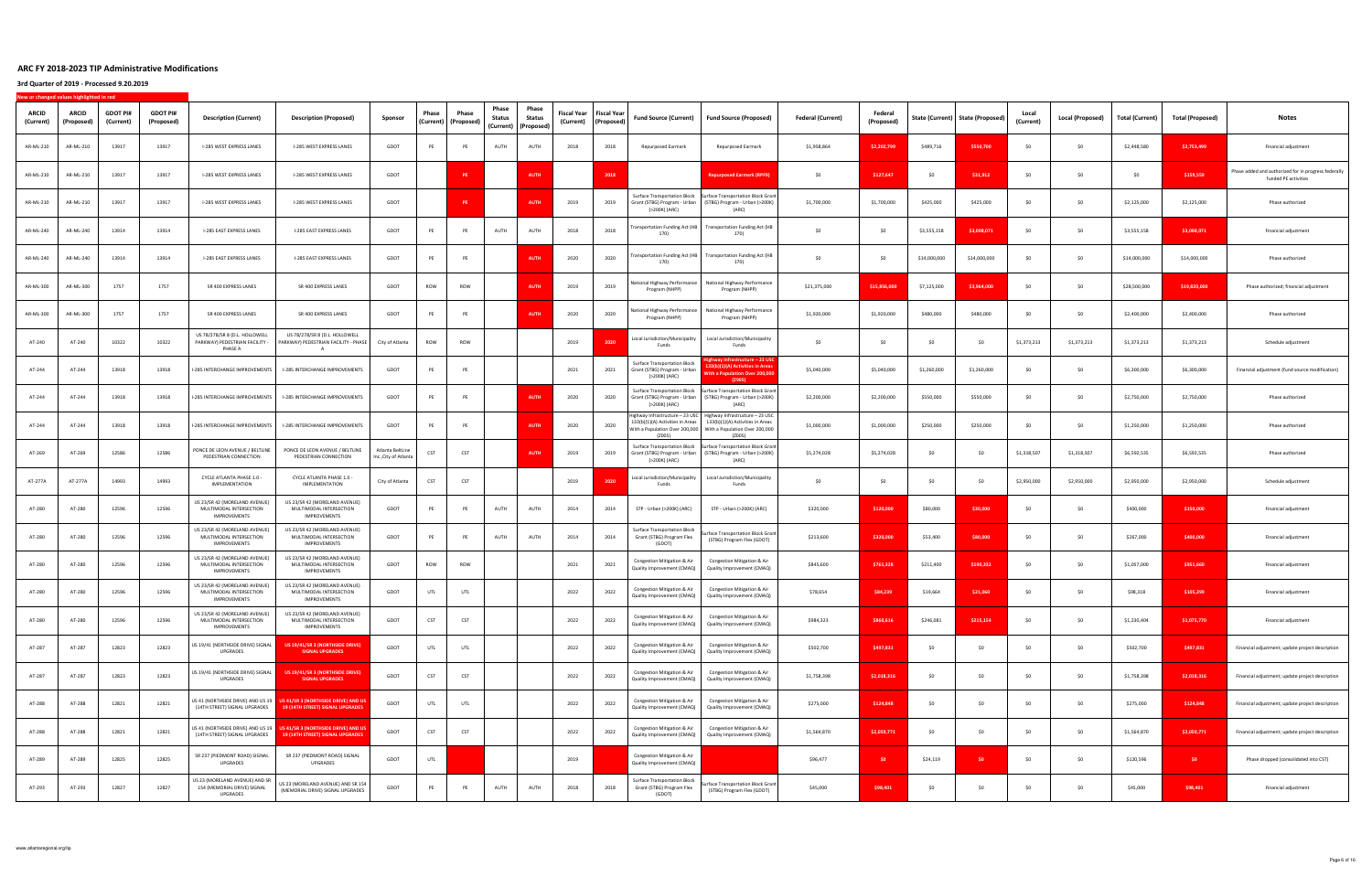| ARCID<br>(Current) | <b>ARCID</b><br>(Proposed) | <b>GDOT PI#</b><br>(Current) | <b>GDOT PI#</b><br>(Proposed) | <b>Description (Current)</b>                                                    | <b>Description (Proposed)</b>                                                                             | Sponsor                                   | Phase<br>(Current) | Phase<br>(Proposed) | Phase<br><b>Status</b> | Phase<br>Status<br>(Current) (Proposed) | Fiscal Year<br>(Current) | Fiscal Year<br>(Proposed) | <b>Fund Source (Current)</b>                                                         | <b>Fund Source (Proposed)</b>                                                                                                                                                    | <b>Federal (Current)</b> | Federal<br>(Proposed) |              | State (Current)   State (Proposed) | Local<br>(Current) | Local (Proposed) | <b>Total (Current)</b> | <b>Total (Proposed)</b> | Notes                                                                        |
|--------------------|----------------------------|------------------------------|-------------------------------|---------------------------------------------------------------------------------|-----------------------------------------------------------------------------------------------------------|-------------------------------------------|--------------------|---------------------|------------------------|-----------------------------------------|--------------------------|---------------------------|--------------------------------------------------------------------------------------|----------------------------------------------------------------------------------------------------------------------------------------------------------------------------------|--------------------------|-----------------------|--------------|------------------------------------|--------------------|------------------|------------------------|-------------------------|------------------------------------------------------------------------------|
| AR-ML-210          | AR-ML-210                  | 13917                        | 13917                         | I-285 WEST EXPRESS LANES                                                        | I-285 WEST EXPRESS LANES                                                                                  | GDOT                                      | PE                 | PE                  | AUTH                   | AUTH                                    | 2018                     | 2018                      | Repurposed Earmark                                                                   | Repurposed Earmark                                                                                                                                                               | \$1,958,864              | \$2,202,799           | \$489,716    | \$550,700                          | \$0                | SO               | \$2,448,580            | \$2,753,499             | Financial adjustment                                                         |
| AR-ML-210          | AR-ML-210                  | 13917                        | 13917                         | I-285 WEST EXPRESS LANES                                                        | I-285 WEST EXPRESS LANES                                                                                  | GDOT                                      |                    | <b>PE</b>           |                        | <b>AUTH</b>                             |                          | 2018                      |                                                                                      | <b>Repurposed Earmark (RPF9)</b>                                                                                                                                                 | \$0                      | \$127,647             | \$0          | \$31,912                           | SO.                | \$0              | \$0                    | \$159,559               | Phase added and authorized for in progress federally<br>funded PE activities |
| AR-ML-210          | AR-ML-210                  | 13917                        | 13917                         | I-285 WEST EXPRESS LANES                                                        | I-285 WEST EXPRESS LANES                                                                                  | GDOT                                      |                    | <b>PE</b>           |                        | <b>AUTH</b>                             | 2019                     | 2019                      | Grant (STBG) Program - Urban<br>(>200K) (ARC)                                        | Surface Transportation Block Surface Transportation Block Grant<br>(STBG) Program - Urban (>200K)<br>(ARC)                                                                       | \$1,700,000              | \$1,700,000           | \$425,000    | \$425,000                          | SO                 | SO               | \$2,125,000            | \$2,125,000             | Phase authorized                                                             |
| AR-ML-240          | AR-ML-240                  | 13914                        | 13914                         | I-285 EAST EXPRESS LANES                                                        | I-285 EAST EXPRESS LANES                                                                                  | GDOT                                      | PE                 | PE                  | AUTH                   | AUTH                                    | 2018                     | 2018                      | ransportation Funding Act (HB<br>170)                                                | <b>Transportation Funding Act (HB</b><br>170)                                                                                                                                    | \$0                      | \$0                   | \$3,555,158  | \$3,098,071                        | \$0                | \$0              | \$3,555,158            | \$3,098,071             | Financial adjustment                                                         |
| AR-ML-240          | AR-ML-240                  | 13914                        | 13914                         | I-285 EAST EXPRESS LANES                                                        | I-285 EAST EXPRESS LANES                                                                                  | GDOT                                      | PE                 | PE                  |                        | <b>AUTH</b>                             | 2020                     | 2020                      | ransportation Funding Act (HB<br>170)                                                | <b>Transportation Funding Act (HB</b><br>170)                                                                                                                                    | \$0                      | - SO                  | \$14,000,000 | \$14,000,000                       | SO.                | -SO              | \$14,000,000           | \$14,000,000            | Phase authorized                                                             |
| AR-ML-300          | AR-ML-300                  | 1757                         | 1757                          | SR 400 EXPRESS LANES                                                            | SR 400 EXPRESS LANES                                                                                      | GDOT                                      | ROW                | ROW                 |                        | <b>AUTI</b>                             | 2019                     | 2019                      | National Highway Performance<br>Program (NHPP)                                       | National Highway Performance<br>Program (NHPP)                                                                                                                                   | \$21,375,000             | \$15,856,000          | \$7,125,000  | \$3,964,000                        | SO.                | -SO              | \$28,500,000           | \$19,820,000            | Phase authorized; financial adjustment                                       |
| AR-ML-300          | AR-ML-300                  | 1757                         | 1757                          | SR 400 EXPRESS LANES                                                            | SR 400 EXPRESS LANES                                                                                      | GDOT                                      | PE                 | PE                  |                        | <b>AUT</b>                              | 2020                     | 2020                      | National Highway Performance<br>Program (NHPP)                                       | National Highway Performance<br>Program (NHPP)                                                                                                                                   | \$1,920,000              | \$1,920,000           | \$480,000    | \$480,000                          | -SO                | -SO              | \$2,400,000            | \$2,400,000             | Phase authorized                                                             |
| AT-240             | AT-240                     | 10322                        | 10322                         | US 78/278/SR 8 (D.L. HOLLOWELL<br>PARKWAY) PEDESTRIAN FACILITY -<br>PHASE A     | US 78/278/SR 8 (D.L. HOLLOWELL<br>PARKWAY) PEDESTRIAN FACILITY - PHASE<br>$\overline{A}$                  | City of Atlanta                           | ROW                | ROW                 |                        |                                         | 2019                     | 202                       | Local Jurisdiction/Municipality<br>Funds                                             | Local Jurisdiction/Municipality<br>Funds                                                                                                                                         | \$0                      | SO                    | SO.          | \$0                                | \$1,373,213        | \$1,373,213      | \$1,373,213            | \$1,373,213             | Schedule adjustment                                                          |
| AT-244             | AT-244                     | 13918                        | 13918                         | I-285 INTERCHANGE IMPROVEMENTS                                                  | I-285 INTERCHANGE IMPROVEMENTS                                                                            | GDOT                                      | PE                 | PE                  |                        |                                         | 2021                     | 2021                      | <b>Surface Transportation Block</b><br>Grant (STBG) Program - Urban<br>(>200K) (ARC) | ghway Infrastructure – 23 U!<br>33(b)(1)(A) Activities in Area<br>Vith a Population Over 200,00<br>(Z905)                                                                        | \$5,040,000              | \$5,040,000           | \$1,260,000  | \$1,260,000                        | -SO                | \$0              | \$6,300,000            | \$6,300,000             | Financial adjustment (fund source modification)                              |
| AT-244             | AT-244                     | 13918                        | 13918                         | I-285 INTERCHANGE IMPROVEMENTS                                                  | I-285 INTERCHANGE IMPROVEMENTS                                                                            | GDOT                                      | PE                 | PE                  |                        | <b>AUTI</b>                             | 2020                     | 2020                      | Surface Transportation Block<br>Grant (STBG) Program - Urban<br>(>200K) (ARC)        | <b>Surface Transportation Block Grant</b><br>(STBG) Program - Urban (>200K)<br>(ARC)                                                                                             | \$2,200,000              | \$2,200,000           | \$550,000    | \$550,000                          | SO.                | \$0              | \$2,750,000            | \$2,750,000             | Phase authorized                                                             |
| AT-244             | AT-244                     | 13918                        | 13918                         | I-285 INTERCHANGE IMPROVEMENTS                                                  | I-285 INTERCHANGE IMPROVEMENTS                                                                            | GDOT                                      | PE                 | PE                  |                        | <b>AUTH</b>                             | 2020                     | 2020                      | 133(b)(1)(A) Activities in Areas<br>(Z005)                                           | Highway Infrastructure - 23 USC Highway Infrastructure - 23 USC<br>133(b)(1)(A) Activities in Areas<br>With a Population Over 200,000   With a Population Over 200,000<br>(Z005) | \$1,000,000              | \$1,000,000           | \$250,000    | \$250,000                          | SO.                | \$0              | \$1,250,000            | \$1,250,000             | Phase authorized                                                             |
| AT-269             | AT-269                     | 12586                        | 12586                         | PONCE DE LEON AVENUE / BELTLINE<br>PEDESTRIAN CONNECTION                        | PONCE DE LEON AVENUE / BELTLINE<br>PEDESTRIAN CONNECTION                                                  | Atlanta BeltLine<br>Inc., City of Atlanta | CST                | CST                 |                        | AUTH                                    | 2019                     | 2019                      | <b>Surface Transportation Block</b><br>(>200K) (ARC)                                 | <b>Surface Transportation Block Gran</b><br>Grant (STBG) Program - Urban (STBG) Program - Urban (>200K)<br>(ARC)                                                                 | \$5,274,028              | \$5,274,028           | \$0          | \$0                                | \$1,318,507        | \$1,318,507      | \$6,592,535            | \$6,592,535             | Phase authorized                                                             |
| AT-277A            | AT-277A                    | 14993                        | 14993                         | CYCLE ATLANTA PHASE 1.0 -<br>IMPLEMENTATION                                     | CYCLE ATLANTA PHASE 1.0 -<br>IMPLEMENTATION                                                               | City of Atlanta                           | CST                | CST                 |                        |                                         | 2019                     | 2020                      | Local Jurisdiction/Municipality<br>Funds                                             | Local Jurisdiction/Municipality<br>Funds                                                                                                                                         | \$0                      | \$0                   | - SO         | \$0                                | \$2,950,000        | \$2,950,000      | \$2,950,000            | \$2,950,000             | Schedule adjustment                                                          |
| AT-280             | AT-280                     | 12596                        | 12596                         | US 23/SR 42 (MORELAND AVENUE)<br>MULTIMODAL INTERSECTION<br>IMPROVEMENTS        | US 23/SR 42 (MORELAND AVENUE)<br>MULTIMODAL INTERSECTION<br>IMPROVEMENTS                                  | GDOT                                      | PE                 | PE                  | AUTH                   | AUTH                                    | 2014                     | 2014                      | STP - Urban (>200K) (ARC)                                                            | STP - Urban (>200K) (ARC)                                                                                                                                                        | \$320,000                | \$120,000             | \$80,000     | \$30,000                           |                    | -SO              | \$400,000              | \$150,000               | Financial adjustment                                                         |
| AT-280             | AT-280                     | 12596                        | 12596                         | US 23/SR 42 (MORELAND AVENUE)<br>MULTIMODAL INTERSECTION<br><b>IMPROVEMENTS</b> | US 23/SR 42 (MORELAND AVENUE)<br>MULTIMODAL INTERSECTION<br>IMPROVEMENTS                                  | GDOT                                      | PE                 | PE                  | AUTH                   | AUTH                                    | 2014                     | 2014                      | <b>Surface Transportation Block</b><br>Grant (STBG) Program Flex<br>(GDOT)           | Surface Transportation Block Grant<br>(STBG) Program Flex (GDOT)                                                                                                                 | \$213,600                | \$320,000             | \$53,400     | \$80,000                           |                    | \$0              | \$267,000              | \$400,000               | Financial adjustment                                                         |
| AT-280             | AT-280                     | 12596                        | 12596                         | US 23/SR 42 (MORELAND AVENUE)<br>MULTIMODAL INTERSECTION<br>IMPROVEMENTS        | US 23/SR 42 (MORELAND AVENUE)<br>MULTIMODAL INTERSECTION<br>IMPROVEMENTS                                  | GDOT                                      | ROW                | ROW                 |                        |                                         | 2021                     | 2021                      | Congestion Mitigation & Air<br>Quality Improvement (CMAQ)                            | Congestion Mitigation & Air<br>Quality Improvement (CMAQ)                                                                                                                        | \$845,600                | \$761,328             | \$211,400    | \$190,332                          |                    | \$0              | \$1,057,000            | \$951,660               | Financial adjustment                                                         |
| AT-280             | AT-280                     | 12596                        | 12596                         | US 23/SR 42 (MORELAND AVENUE)<br>MULTIMODAL INTERSECTION<br><b>IMPROVEMENTS</b> | US 23/SR 42 (MORELAND AVENUE)<br>MULTIMODAL INTERSECTION<br><b>IMPROVEMENTS</b>                           | GDOT                                      | UTL                | UTL                 |                        |                                         | 2022                     | 2022                      | Congestion Mitigation & Air<br>Quality Improvement (CMAQ)                            | Congestion Mitigation & Air<br>Quality Improvement (CMAQ)                                                                                                                        | \$78,654                 | \$84,239              | \$19,664     | \$21,060                           |                    | -SO              | \$98,318               | \$105,299               | Financial adjustment                                                         |
| AT-280             | AT-280                     | 12596                        | 12596                         | US 23/SR 42 (MORELAND AVENUE)<br>MULTIMODAL INTERSECTION<br>IMPROVEMENTS        | US 23/SR 42 (MORELAND AVENUE)<br>MULTIMODAL INTERSECTION<br>IMPROVEMENTS                                  | GDOT                                      | CST                | CST                 |                        |                                         | 2022                     | 2022                      | Congestion Mitigation & Air<br>Quality Improvement (CMAQ)                            | Congestion Mitigation & Air<br>Quality Improvement (CMAQ)                                                                                                                        | \$984,323                | \$860,616             | \$246,081    | \$215,154                          | \$0                | \$0              | \$1,230,404            | \$1,075,770             | Financial adjustment                                                         |
| AT-287             | AT-287                     | 12823                        | 12823                         | US 19/41 (NORTHSIDE DRIVE) SIGNAL<br>UPGRADES                                   | US 19/41/SR 3 (NORTHSIDE DRIVE)<br><b>SIGNAL UPGRADES</b>                                                 | GDOT                                      | UTL                | UTL                 |                        |                                         | 2022                     | 2022                      | Congestion Mitigation & Air<br>Quality Improvement (CMAQ)                            | Congestion Mitigation & Air<br>Quality Improvement (CMAQ)                                                                                                                        | \$502,700                | \$497,831             | \$0          | \$0                                | \$0                | SO               | \$502,700              | \$497,831               | Financial adjustment; update project description                             |
| AT-287             | AT-287                     | 12823                        | 12823                         | US 19/41 (NORTHSIDE DRIVE) SIGNAL<br>UPGRADES                                   | US 19/41/SR 3 (NORTHSIDE DRIVE)<br><b>SIGNAL UPGRADES</b>                                                 | GDOT                                      | CST                | CST                 |                        |                                         | 2022                     | 2022                      | Congestion Mitigation & Air<br>Quality Improvement (CMAQ)                            | Congestion Mitigation & Air<br>Quality Improvement (CMAQ)                                                                                                                        | \$1,758,398              | \$2,018,316           | \$0          | \$0                                | \$0                | \$0              | \$1,758,398            | \$2,018,316             | Financial adjustment; update project description                             |
| AT-288             | AT-288                     | 12821                        | 12821                         | (14TH STREET) SIGNAL UPGRADES                                                   | US 41 (NORTHSIDE DRIVE) AND US 19 US 41/SR 3 (NORTHSIDE DRIVE) AND US<br>19 (14TH STREET) SIGNAL UPGRADES | GDOT                                      | UTL                | UTL                 |                        |                                         | 2022                     | 2022                      | Congestion Mitigation & Air<br>Quality Improvement (CMAQ)                            | Congestion Mitigation & Air<br>Quality Improvement (CMAQ)                                                                                                                        | \$275,000                | \$124,848             | \$0          | \$0                                | \$0                | SO               | \$275,000              | \$124,848               | Financial adjustment; update project description                             |
| AT-288             | AT-288                     | 12821                        | 12821                         | (14TH STREET) SIGNAL UPGRADES                                                   | US 41 (NORTHSIDE DRIVE) AND US 19 US 41/SR 3 (NORTHSIDE DRIVE) AND US<br>19 (14TH STREET) SIGNAL UPGRADES | GDOT                                      | CST                | CST                 |                        |                                         | 2022                     | 2022                      | Congestion Mitigation & Air<br>Quality Improvement (CMAQ)                            | Congestion Mitigation & Air<br>Quality Improvement (CMAQ)                                                                                                                        | \$1,564,870              | \$2,059,771           | \$0          | \$0                                | \$0                | \$0              | \$1,564,870            | \$2,059,771             | Financial adjustment; update project description                             |
| AT-289             | AT-289                     | 12825                        | 12825                         | SR 237 (PIEDMONT ROAD) SIGNAL<br>UPGRADES                                       | SR 237 (PIEDMONT ROAD) SIGNAL<br>UPGRADES                                                                 | GDOT                                      | UTL                |                     |                        |                                         | 2019                     |                           | Congestion Mitigation & Air<br>Quality Improvement (CMAQ)                            |                                                                                                                                                                                  | \$96,477                 | \$0                   | \$24,119     | \$0                                | \$0                | \$0              | \$120,596              | \$0                     | Phase dropped (consolidated into CST)                                        |
| AT-293             | AT-293                     | 12827                        | 12827                         | US 23 (MORELAND AVENUE) AND SR<br>154 (MEMORIAL DRIVE) SIGNAL<br>UPGRADES       | US 23 (MORELAND AVENUE) AND SR 154<br>(MEMORIAL DRIVE) SIGNAL UPGRADES                                    | GDOT                                      | PE                 | PE                  | AUTH                   | AUTH                                    | 2018                     | 2018                      | Surface Transportation Block<br>Grant (STBG) Program Flex<br>(GDOT)                  | Surface Transportation Block Grant<br>(STBG) Program Flex (GDOT)                                                                                                                 | \$45,000                 | \$98,401              | \$0          | \$0                                | \$0                | \$0              | \$45,000               | \$98,401                | Financial adjustment                                                         |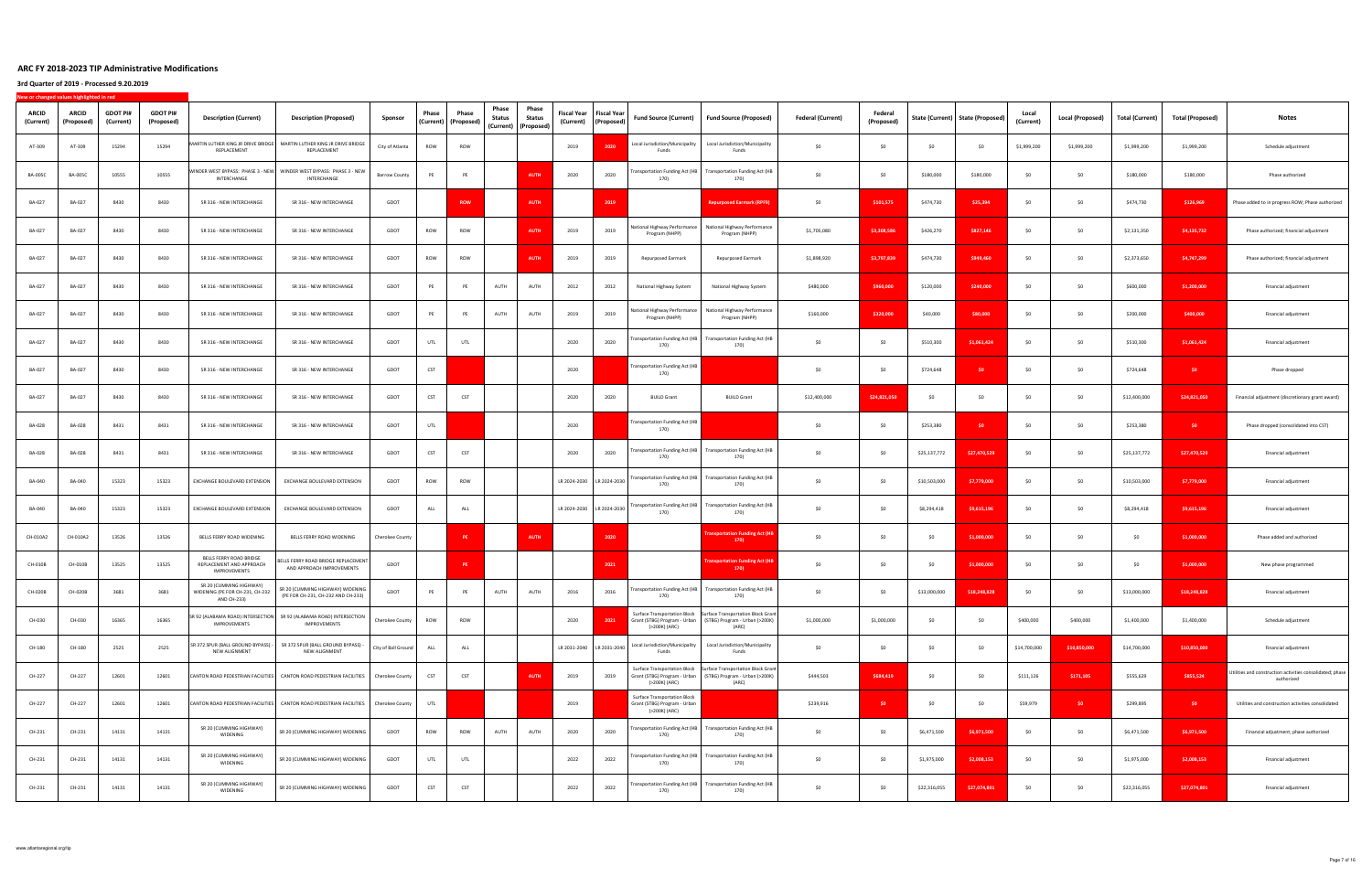| ARCID<br>(Current) | ARCID<br>(Proposed) | <b>GDOT PI#</b><br>(Current) | <b>GDOT PI#</b><br>(Proposed) | <b>Description (Current)</b>                                              | <b>Description (Proposed)</b>                                                          | Sponsor              | Phase | Phase<br>(Current) (Proposed) | Phase<br><b>Status</b> | Phase<br>Status<br>(Current)   (Proposed) | Fiscal Year<br>(Current)  | <b>Fiscal Year</b><br>(Proposed) | <b>Fund Source (Current)</b>                                                         | <b>Fund Source (Proposed)</b>                                                                                                             | <b>Federal (Current)</b> | Federal<br>(Proposed) |                | State (Current)   State (Proposed) | Local<br>(Current) | <b>Local (Proposed)</b> | <b>Total (Current)</b> | <b>Total (Proposed)</b> | Notes                                                                   |
|--------------------|---------------------|------------------------------|-------------------------------|---------------------------------------------------------------------------|----------------------------------------------------------------------------------------|----------------------|-------|-------------------------------|------------------------|-------------------------------------------|---------------------------|----------------------------------|--------------------------------------------------------------------------------------|-------------------------------------------------------------------------------------------------------------------------------------------|--------------------------|-----------------------|----------------|------------------------------------|--------------------|-------------------------|------------------------|-------------------------|-------------------------------------------------------------------------|
| AT-309             | AT-309              | 15294                        | 15294                         | REPLACEMENT                                                               | MARTIN LUTHER KING JR DRIVE BRIDGE   MARTIN LUTHER KING JR DRIVE BRIDGE<br>REPLACEMENT | City of Atlanta      | ROW   | ROW                           |                        |                                           | 2019                      | 2020                             | Local Jurisdiction/Municipality<br>Funds                                             | Local Jurisdiction/Municipality<br>Funds                                                                                                  | \$0                      | S <sub>0</sub>        | SO             | \$0                                | \$1,999,200        | \$1,999,200             | \$1,999,200            | \$1,999,200             | Schedule adjustment                                                     |
| <b>BA-005C</b>     | <b>BA-005C</b>      | 10555                        | 10555                         | INTERCHANGE                                                               | VINDER WEST BYPASS: PHASE 3 - NEW   WINDER WEST BYPASS: PHASE 3 - NEW<br>INTERCHANGE   | <b>Barrow County</b> | PE    | PE                            |                        | <b>AUTH</b>                               | 2020                      | 2020                             | ransportation Funding Act (HB<br>170)                                                | <b>Transportation Funding Act (HB</b><br>170)                                                                                             | \$0                      | \$0                   | \$180,000      | \$180,000                          | SO.                | \$0                     | \$180,000              | \$180,000               | Phase authorized                                                        |
| BA-027             | BA-027              | 8430                         | 8430                          | SR 316 - NEW INTERCHANGE                                                  | SR 316 - NEW INTERCHANGE                                                               | GDOT                 |       | <b>ROW</b>                    |                        | <b>AUTH</b>                               |                           | 2019                             |                                                                                      | <b>Repurposed Earmark (RPF9)</b>                                                                                                          | SO                       | \$101.575             | \$474,730      | \$25,394                           | \$0                | SO                      | \$474,730              | \$126,969               | Phase added to in progress ROW; Phase authorized                        |
| BA-027             | BA-027              | 8430                         | 8430                          | SR 316 - NEW INTERCHANGE                                                  | SR 316 - NEW INTERCHANGE                                                               | GDOT                 | ROW   | ROW                           |                        | <b>AUTH</b>                               | 2019                      | 2019                             | National Highway Performance<br>Program (NHPP)                                       | National Highway Performance<br>Program (NHPP)                                                                                            | \$1,705,080              | \$3,308,586           | \$426,270      | \$827,146                          | SO.                | SO.                     | \$2,131,350            | \$4,135,732             | Phase authorized; financial adjustment                                  |
| BA-027             | BA-027              | 8430                         | 8430                          | SR 316 - NEW INTERCHANGE                                                  | SR 316 - NEW INTERCHANGE                                                               | GDOT                 | ROW   | ROW                           |                        | <b>AUTH</b>                               | 2019                      | 2019                             | Repurposed Earmark                                                                   | Repurposed Earmark                                                                                                                        | \$1,898,920              | \$3,797,839           | \$474,730      | \$949,460                          | SO.                | -SO                     | \$2,373,650            | \$4,747,299             | Phase authorized; financial adjustment                                  |
| BA-027             | BA-027              | 8430                         | 8430                          | SR 316 - NEW INTERCHANGE                                                  | SR 316 - NEW INTERCHANGE                                                               | GDOT                 | PE    | PE                            | AUTH                   | AUTH                                      | 2012                      | 2012                             | National Highway System                                                              | National Highway System                                                                                                                   | \$480,000                | \$960,000             | \$120,000      | \$240,000                          | SO.                | -SO                     | \$600,000              | \$1,200,000             | Financial adjustment                                                    |
| BA-027             | BA-027              | 8430                         | 8430                          | SR 316 - NEW INTERCHANGE                                                  | SR 316 - NEW INTERCHANGE                                                               | GDOT                 | PE    | PE                            | AUTH                   | AUTH                                      | 2019                      | 2019                             | National Highway Performance<br>Program (NHPP)                                       | National Highway Performance<br>Program (NHPP)                                                                                            | \$160,000                | \$320,000             | \$40,000       | \$80,000                           | SO.                | -SC                     | \$200,000              | \$400,000               | Financial adjustment                                                    |
| BA-027             | BA-027              | 8430                         | 8430                          | SR 316 - NEW INTERCHANGE                                                  | SR 316 - NEW INTERCHANGE                                                               | GDOT                 | UTL   | UTL                           |                        |                                           | 2020                      | 2020                             | ransportation Funding Act (HB<br>170)                                                | <b>Transportation Funding Act (HB</b><br>170)                                                                                             | \$0                      | \$0                   | \$510,300      | \$1,061,424                        |                    | \$0                     | \$510,300              | \$1,061,424             | Financial adjustment                                                    |
| BA-027             | BA-027              | 8430                         | 8430                          | SR 316 - NEW INTERCHANGE                                                  | SR 316 - NEW INTERCHANGE                                                               | GDOT                 | CST   |                               |                        |                                           | 2020                      |                                  | Transportation Funding Act (HB<br>170)                                               |                                                                                                                                           | \$0                      | \$0                   | \$724,648      | \$0                                | \$0                | \$0                     | \$724,648              | \$0                     | Phase dropped                                                           |
| BA-027             | BA-027              | 8430                         | 8430                          | SR 316 - NEW INTERCHANGE                                                  | SR 316 - NEW INTERCHANGE                                                               | GDOT                 | CST   | CST                           |                        |                                           | 2020                      | 2020                             | <b>BUILD Grant</b>                                                                   | <b>BUILD Grant</b>                                                                                                                        | \$12,400,000             | \$24,821,050          | \$0            | \$0                                | \$0                | SO                      | \$12,400,000           | \$24,821,050            | Financial adjustment (discretionary grant award)                        |
| BA-028             | BA-028              | 8431                         | 8431                          | SR 316 - NEW INTERCHANGE                                                  | SR 316 - NEW INTERCHANGE                                                               | GDOT                 | UTL   |                               |                        |                                           | 2020                      |                                  | ransportation Funding Act (HB<br>170)                                                |                                                                                                                                           | \$0                      | \$0                   | \$253,380      | SO <sub>1</sub>                    | \$0                | \$0                     | \$253,380              | \$0                     | Phase dropped (consolidated into CST)                                   |
| BA-028             | BA-028              | 8431                         | 8431                          | SR 316 - NEW INTERCHANGE                                                  | SR 316 - NEW INTERCHANGE                                                               | GDOT                 | CST   | CST                           |                        |                                           | 2020                      | 2020                             | Transportation Funding Act (HB<br>170)                                               | <b>Transportation Funding Act (HB</b><br>170)                                                                                             | \$0                      | S <sub>0</sub>        | \$25,137,772   | \$27,470,529                       | \$0                | SO                      | \$25,137,772           | \$27,470,529            | Financial adjustment                                                    |
| BA-040             | BA-040              | 15323                        | 15323                         | EXCHANGE BOULEVARD EXTENSION                                              | EXCHANGE BOULEVARD EXTENSION                                                           | GDOT                 | ROW   | ROW                           |                        |                                           | LR 2024-2030 LR 2024-2030 |                                  | Transportation Funding Act (HB<br>170)                                               | <b>Transportation Funding Act (HB</b><br>170)                                                                                             | \$0                      | - SO                  | \$10,503,000   | \$7,779,000                        | SO.                | S <sub>0</sub>          | \$10,503,000           | \$7,779,000             | Financial adjustment                                                    |
| BA-040             | BA-040              | 15323                        | 15323                         | EXCHANGE BOULEVARD EXTENSION                                              | EXCHANGE BOULEVARD EXTENSION                                                           | GDOT                 | ALL   | ALL                           |                        |                                           | LR 2024-2030 LR 2024-2030 |                                  | Transportation Funding Act (HB<br>170)                                               | Transportation Funding Act (HB<br>170)                                                                                                    | \$0                      | \$0                   | \$8,294,418    | \$9,615,196                        | SO.                | -SC                     | \$8,294,418            | \$9,615,196             | Financial adjustment                                                    |
| CH-010A2           | CH-010A2            | 13526                        | 13526                         | BELLS FERRY ROAD WIDENING                                                 | BELLS FERRY ROAD WIDENING                                                              | Cherokee County      |       | <b>PE</b>                     |                        | <b>AUTH</b>                               |                           | 2020                             |                                                                                      | ransportation Funding Act (<br>170)                                                                                                       | \$0                      | S <sub>0</sub>        | S <sub>0</sub> | \$1,000,000                        |                    | S <sub>0</sub>          | \$0                    | \$1,000,000             | Phase added and authorized                                              |
| CH-010B            | CH-010B             | 13525                        | 13525                         | BELLS FERRY ROAD BRIDGE<br>REPLACEMENT AND APPROACH<br>IMPROVEMENTS       | BELLS FERRY ROAD BRIDGE REPLACEMENT<br>AND APPROACH IMPROVEMENTS                       | GDOT                 |       | PE                            |                        |                                           |                           | 2021                             |                                                                                      | ransportation Funding Act (F<br>170)                                                                                                      | \$0                      | \$0                   | \$0            | \$1,000,000                        |                    | S <sub>0</sub>          | \$0                    | \$1,000,000             | New phase programmed                                                    |
| CH-020B            | CH-020B             | 3681                         | 3681                          | SR 20 (CUMMING HIGHWAY)<br>WIDENING (PE FOR CH-231, CH-232<br>AND CH-233) | SR 20 (CUMMING HIGHWAY) WIDENING<br>(PE FOR CH-231, CH-232 AND CH-233)                 | GDOT                 | PE    | PE                            | AUTH                   | AUTH                                      | 2016                      | 2016                             | Transportation Funding Act (HB<br>170)                                               | <b>Transportation Funding Act (HB</b><br>170                                                                                              | \$0                      | \$0                   | \$13,000,000   | \$18,248,828                       |                    | S <sub>0</sub>          | \$13,000,000           | \$18,248,828            | Financial adjustment                                                    |
| CH-030             | CH-030              | 16365                        | 16365                         | IMPROVEMENTS                                                              | SR 92 (ALABAMA ROAD) INTERSECTION SR 92 (ALABAMA ROAD) INTERSECTION<br>IMPROVEMENTS    | Cherokee County      | ROW   | ROW                           |                        |                                           | 2020                      | 2021                             | (>200K) (ARC)                                                                        | Surface Transportation Block   Surface Transportation Block Grant<br>Grant (STBG) Program - Urban (STBG) Program - Urban (>200K)<br>(ARC) | \$1,000,000              | \$1,000,000           | \$0            | \$0                                | \$400,000          | \$400,000               | \$1,400,000            | \$1,400,000             | Schedule adjustment                                                     |
| CH-180             | CH-180              | 2525                         | 2525                          | SR 372 SPUR (BALL GROUND BYPASS) -<br>NEW ALIGNMENT                       | SR 372 SPUR (BALL GROUND BYPASS)<br>NEW ALIGNMENT                                      | City of Ball Ground  | ALL   | ALL                           |                        |                                           | LR 2031-2040 LR 2031-2040 |                                  | Local Jurisdiction/Municipality<br>Funds                                             | Local Jurisdiction/Municipality<br>Funds                                                                                                  | \$0                      | \$0                   | \$0            | \$0                                | \$14,700,000       | \$10,850,000            | \$14,700,000           | \$10,850,000            | Financial adjustment                                                    |
| CH-227             | CH-227              | 12601                        | 12601                         |                                                                           | CANTON ROAD PEDESTRIAN FACILITIES CANTON ROAD PEDESTRIAN FACILITIES                    | Cherokee County      | CST   | CST                           |                        | <b>AUTH</b>                               | 2019                      | 2019                             | (>200K) (ARC)                                                                        | Surface Transportation Block Surface Transportation Block Grant<br>Grant (STBG) Program - Urban   (STBG) Program - Urban (>200K)<br>(ARC) | \$444,503                | \$684,419             | \$0            | \$0                                | \$111,126          | \$171,105               | \$555,629              | \$855,524               | Itilities and construction activities consolidated; phase<br>authorized |
| CH-227             | CH-227              | 12601                        | 12601                         |                                                                           | CANTON ROAD PEDESTRIAN FACILITIES CANTON ROAD PEDESTRIAN FACILITIES Cherokee County    |                      | UTL   |                               |                        |                                           | 2019                      |                                  | <b>Surface Transportation Block</b><br>Grant (STBG) Program - Urban<br>(>200K) (ARC) |                                                                                                                                           | \$239,916                | SO <sub>2</sub>       | \$0            | \$0                                | \$59,979           | SO <sub>2</sub>         | \$299,895              | \$0                     | Utilities and construction activities consolidated                      |
| CH-231             | CH-231              | 14131                        | 14131                         | SR 20 (CUMMING HIGHWAY)<br>WIDENING                                       | SR 20 (CUMMING HIGHWAY) WIDENING                                                       | GDOT                 | ROW   | ROW                           | AUTH                   | AUTH                                      | 2020                      | 2020                             | 170)                                                                                 | Transportation Funding Act (HB Transportation Funding Act (HB<br>170)                                                                     | \$0                      | \$0                   | \$6,471,500    | \$6,971,500                        | \$0                | \$0                     | \$6,471,500            | \$6,971,500             | Financial adjustment; phase authorized                                  |
| CH-231             | CH-231              | 14131                        | 14131                         | SR 20 (CUMMING HIGHWAY)<br>WIDENING                                       | SR 20 (CUMMING HIGHWAY) WIDENING                                                       | GDOT                 | UTL   | UTL                           |                        |                                           | 2022                      | 2022                             | <b>Transportation Funding Act (HB</b><br>170)                                        | <b>Transportation Funding Act (HB</b><br>170)                                                                                             | \$0                      | \$0                   | \$1,975,000    | \$2,008,153                        | \$0                | \$0                     | \$1,975,000            | \$2,008,153             | Financial adjustment                                                    |
| CH-231             | CH-231              | 14131                        | 14131                         | SR 20 (CUMMING HIGHWAY)<br>WIDENING                                       | SR 20 (CUMMING HIGHWAY) WIDENING                                                       | GDOT                 | CST   | CST                           |                        |                                           | 2022                      | 2022                             | Transportation Funding Act (HB<br>170)                                               | <b>Transportation Funding Act (HB</b><br>170)                                                                                             | \$0                      | \$0                   | \$22,316,055   | \$27,074,801                       | \$0                | \$0                     | \$22,316,055           | \$27,074,801            | Financial adjustment                                                    |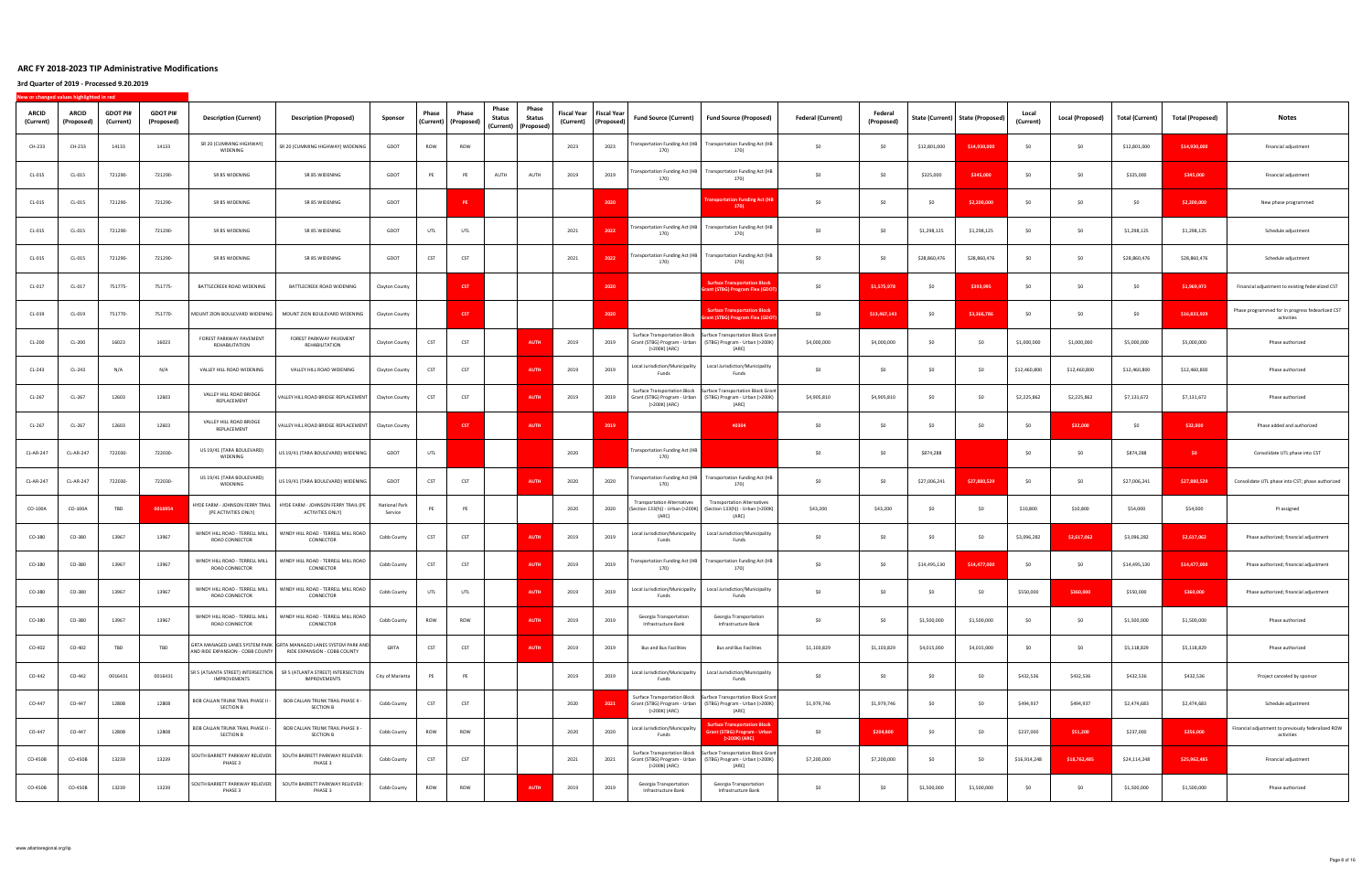| ARCID<br>(Current) | <b>ARCID</b><br>(Proposed) | <b>GDOT PI#</b><br>(Current) | <b>GDOT PI#</b><br>(Proposed) | <b>Description (Current)</b>                                 | <b>Description (Proposed)</b>                                                                     | Sponsor                  | Phase<br>(Current) | Phase<br>(Proposed) | Phase<br>Status | Phase<br>Status<br>(Current) (Proposed) | <b>Fiscal Year</b><br>(Current) | <b>Fiscal Year</b><br>(Proposed) | Fund Source (Current)                                                                | Fund Source (Proposed)                                                                                                                    | <b>Federal (Current)</b> | Federal<br>(Proposed) |                | State (Current) State (Proposed) | Local<br>(Current) | <b>Local (Proposed)</b> | Total (Current) | <b>Total (Proposed)</b> | Notes                                                            |
|--------------------|----------------------------|------------------------------|-------------------------------|--------------------------------------------------------------|---------------------------------------------------------------------------------------------------|--------------------------|--------------------|---------------------|-----------------|-----------------------------------------|---------------------------------|----------------------------------|--------------------------------------------------------------------------------------|-------------------------------------------------------------------------------------------------------------------------------------------|--------------------------|-----------------------|----------------|----------------------------------|--------------------|-------------------------|-----------------|-------------------------|------------------------------------------------------------------|
| CH-233             | CH-233                     | 14133                        | 14133                         | SR 20 (CUMMING HIGHWAY)<br>WIDENING                          | SR 20 (CUMMING HIGHWAY) WIDENING                                                                  | GDOT                     | ROW                | ROW                 |                 |                                         | 2023                            | 2023                             | <b>Fransportation Funding Act (HB</b><br>170)                                        | <b>Transportation Funding Act (HB</b><br>170)                                                                                             | \$0                      | \$0                   | \$12,801,000   | \$14,930,000                     |                    | S <sub>0</sub>          | \$12,801,000    | \$14,930,000            | Financial adjustment                                             |
| CL-015             | CL-015                     | 721290-                      | 721290-                       | SR 85 WIDENING                                               | SR 85 WIDENING                                                                                    | GDOT                     | PE                 | PE                  | AUTH            | AUTH                                    | 2019                            | 2019                             | ransportation Funding Act (HB<br>170)                                                | <b>Transportation Funding Act (HB</b><br>170)                                                                                             | \$0                      | \$0                   | \$325,000      | \$345,000                        | SO.                | \$0                     | \$325,000       | \$345,000               | Financial adjustment                                             |
| CL-015             | CL-015                     | 721290-                      | 721290-                       | SR 85 WIDENING                                               | SR 85 WIDENING                                                                                    | GDOT                     |                    | PE                  |                 |                                         |                                 | 2020                             |                                                                                      | <b>Insportation Funding Act (F</b><br>170)                                                                                                | \$0                      | \$0                   | S <sub>0</sub> | \$2,200,000                      | SO.                | \$0                     | SO              | \$2,200,000             | New phase programmed                                             |
| CL-015             | CL-015                     | 721290-                      | 721290-                       | SR 85 WIDENING                                               | SR 85 WIDENING                                                                                    | GDOT                     | UTL                | UTL                 |                 |                                         | 2021                            | 2022                             | <b>Fransportation Funding Act (HB</b><br>170)                                        | <b>Transportation Funding Act (HB</b><br>170)                                                                                             | \$0                      | \$0                   | \$1,298,125    | \$1,298,125                      | - SO               | \$0                     | \$1,298,125     | \$1,298,125             | Schedule adjustment                                              |
| CL-015             | CL-015                     | 721290-                      | 721290-                       | SR 85 WIDENING                                               | SR 85 WIDENING                                                                                    | GDOT                     | CST                | CST                 |                 |                                         | 2021                            | 2022                             | ransportation Funding Act (HB<br>170)                                                | <b>Transportation Funding Act (HB</b><br>170)                                                                                             | \$0                      | S0                    | \$28,860,476   | \$28,860,476                     | - SO               | - SO                    | \$28,860,476    | \$28,860,476            | Schedule adjustment                                              |
| CL-017             | CL-017                     | 751775-                      | 751775-                       | BATTLECREEK ROAD WIDENING                                    | BATTLECREEK ROAD WIDENING                                                                         | Clayton County           |                    | <b>CST</b>          |                 |                                         |                                 | 2020                             |                                                                                      | <b>iurface Transportation Bloc</b><br>nt (STBG) Program Flex (GD                                                                          | \$0                      | \$1,575,978           | \$0            | \$393,995                        | SO.                | \$0                     | SO              | \$1,969,973             | Financial adjustment to existing federalized CST                 |
| CL-019             | CL-019                     | 751770-                      | 751770-                       | MOUNT ZION BOULEVARD WIDENING                                | MOUNT ZION BOULEVARD WIDENING                                                                     | Clayton County           |                    | <b>CST</b>          |                 |                                         |                                 | 2020                             |                                                                                      | <b>Surface Transportation Block</b><br>ant (STBG) Program Flex (GDO                                                                       | \$0                      | \$13,467,143          | \$0            | \$3,366,786                      | SO.                | \$0                     | SO              | \$16,833,929            | Phase programmed for in progress fedearlized CST<br>activities   |
| CL-200             | CL-200                     | 16023                        | 16023                         | FOREST PARKWAY PAVEMENT<br>REHABILITATION                    | FOREST PARKWAY PAVEMENT<br>REHABILITATION                                                         | Clayton County           | CST                | CST                 |                 | <b>AUTH</b>                             | 2019                            | 2019                             | <b>Surface Transportation Block</b><br>(>200K) (ARC)                                 | <b>Surface Transportation Block Grant</b><br>Grant (STBG) Program - Urban (STBG) Program - Urban (>200K)<br>(ARC)                         | \$4,000,000              | \$4,000,000           | SO.            | SO                               | \$1,000,000        | \$1,000,000             | \$5,000,000     | \$5,000,000             | Phase authorized                                                 |
| CL-243             | CL-243                     | N/A                          | N/A                           | VALLEY HILL ROAD WIDENING                                    | VALLEY HILL ROAD WIDENING                                                                         | Clayton County           | CST                | CST                 |                 | <b>AUTH</b>                             | 2019                            | 2019                             | Local Jurisdiction/Municipality<br>Funds                                             | Local Jurisdiction/Municipality<br>Funds                                                                                                  | \$0                      | \$0                   | \$0            | \$0                              | \$12,460,800       | \$12,460,800            | \$12,460,800    | \$12,460,800            | Phase authorized                                                 |
| CL-267             | CL-267                     | 12603                        | 12603                         | VALLEY HILL ROAD BRIDGE<br>REPLACEMENT                       | VALLEY HILL ROAD BRIDGE REPLACEMENT                                                               | Clayton County           | CST                | CST                 |                 | <b>AUTH</b>                             | 2019                            | 2019                             | <b>Surface Transportation Block</b><br>Grant (STBG) Program - Urban<br>(>200K) (ARC) | <b>Surface Transportation Block Grant</b><br>(STBG) Program - Urban (>200K)<br>(ARC)                                                      | \$4,905,810              | \$4,905,810           | \$0            | \$0                              | \$2,225,862        | \$2,225,862             | \$7,131,672     | \$7,131,672             | Phase authorized                                                 |
| CL-267             | CL-267                     | 12603                        | 12603                         | VALLEY HILL ROAD BRIDGE<br>REPLACEMENT                       | VALLEY HILL ROAD BRIDGE REPLACEMENT                                                               | Clayton County           |                    | <b>CST</b>          |                 | <b>AUTH</b>                             |                                 | 2019                             |                                                                                      | 40304                                                                                                                                     | \$0                      | \$0                   | \$0            | \$0                              | \$0                | \$32,000                | \$0             | \$32,000                | Phase added and authorized                                       |
| CL-AR-247          | CL-AR-247                  | 722030-                      | 722030-                       | US 19/41 (TARA BOULEVARD)<br>WIDENING                        | US 19/41 (TARA BOULEVARD) WIDENING                                                                | GDOT                     | UTL                |                     |                 |                                         | 2020                            |                                  | <b>Transportation Funding Act (HB</b><br>170)                                        |                                                                                                                                           | \$0                      | SO                    | \$874,288      |                                  | -SO                | SO                      | \$874,288       | \$0                     | Consolidate UTL phase into CST                                   |
| CL-AR-247          | CL-AR-247                  | 722030-                      | 722030-                       | US 19/41 (TARA BOULEVARD)<br>WIDENING                        | US 19/41 (TARA BOULEVARD) WIDENING                                                                | GDOT                     | CST                | CST                 |                 | <b>AUTH</b>                             | 2020                            | 2020                             | 170)                                                                                 | Fransportation Funding Act (HB Transportation Funding Act (HB<br>170)                                                                     | \$0                      | S0                    | \$27,006,241   | \$27,880,529                     | SO.                | \$0                     | \$27,006,241    | \$27,880,529            | Consolidate UTL phase into CST; phase authorized                 |
| CO-100A            | CO-100A                    | TBD                          | 0016954                       | HYDE FARM - JOHNSON FERRY TRAIL<br>(PE ACTIVITIES ONLY)      | HYDE FARM - JOHNSON FERRY TRAIL (PE<br>ACTIVITIES ONLY)                                           | National Park<br>Service | PE                 | PE                  |                 |                                         | 2020                            | 2020                             | ransportation Alternatives<br>(ARC)                                                  | <b>Transportation Alternatives</b><br>(Section 133(h)) - Urban (>200K)   (Section 133(h)) - Urban (>200K)<br>(ARC)                        | \$43,200                 | \$43,200              | \$0            | \$0                              | \$10,800           | \$10,800                | \$54,000        | \$54,000                | PI assigned                                                      |
| CO-380             | CO-380                     | 13967                        | 13967                         | WINDY HILL ROAD - TERRELL MILL<br>ROAD CONNECTOR             | WINDY HILL ROAD - TERRELL MILL ROAD<br>CONNECTOR                                                  | Cobb County              | CST                | CST                 |                 | <b>AUT</b>                              | 2019                            | 2019                             | Local Jurisdiction/Municipality<br>Funds                                             | Local Jurisdiction/Municipality<br>Funds                                                                                                  | \$0                      | SO                    | SO             | \$0                              | \$3,096,282        | \$2,617,062             | \$3,096,282     | \$2,617,062             | Phase authorized; financial adjustment                           |
| CO-380             | CO-380                     | 13967                        | 13967                         | WINDY HILL ROAD - TERRELL MILL<br>ROAD CONNECTOR             | WINDY HILL ROAD - TERRELL MILL ROAD<br>CONNECTOR                                                  | Cobb County              | CST                | CST                 |                 | <b>AUTH</b>                             | 2019                            | 2019                             | ransportation Funding Act (HB<br>170)                                                | <b>Transportation Funding Act (HB</b><br>170)                                                                                             | \$0                      | \$0                   | \$14,495,130   | \$14,477,000                     |                    | \$0                     | \$14,495,130    | \$14,477,000            | Phase authorized; financial adjustment                           |
| CO-380             | CO-380                     | 13967                        | 13967                         | WINDY HILL ROAD - TERRELL MILL<br>ROAD CONNECTOR             | WINDY HILL ROAD - TERRELL MILL ROAD<br>CONNECTOR                                                  | Cobb County              | UTL                | UTL                 |                 | <b>AUTH</b>                             | 2019                            | 2019                             | Local Jurisdiction/Municipality                                                      | Local Jurisdiction/Municipality<br>Funds                                                                                                  | SO                       | SO                    | SO             | \$0                              | \$550,000          | \$360,000               | \$550,000       | \$360,000               | Phase authorized; financial adjustment                           |
| CO-380             | CO-380                     | 13967                        | 13967                         | WINDY HILL ROAD - TERRELL MILL<br>ROAD CONNECTOR             | WINDY HILL ROAD - TERRELL MILL ROAD<br>CONNECTOR                                                  | Cobb County              | ROW                | ROW                 |                 | <b>AUTH</b>                             | 2019                            | 2019                             | Georgia Transportation<br>Infrastructure Bank                                        | Georgia Transportation<br>Infrastructure Bank                                                                                             | \$0                      | \$0                   | \$1,500,000    | \$1,500,000                      | \$0                | \$0                     | \$1,500,000     | \$1,500,000             | Phase authorized                                                 |
| CO-402             | CO-402                     | TBD                          | TBD                           | AND RIDE EXPANSION - COBB COUNTY                             | GRTA MANAGED LANES SYSTEM PARK GRTA MANAGED LANES SYSTEM PARK AND<br>RIDE EXPANSION - COBB COUNTY | GRTA                     | CST                | CST                 |                 | AUTH                                    | 2019                            | 2019                             | <b>Bus and Bus Facilities</b>                                                        | <b>Bus and Bus Facilities</b>                                                                                                             | \$1,103,829              | \$1,103,829           | \$4,015,000    | \$4,015,000                      | \$0                | \$0                     | \$5,118,829     | \$5,118,829             | Phase authorized                                                 |
| CO-442             | CO-442                     | 0016431                      | 0016431                       | IMPROVEMENTS                                                 | SR 5 (ATLANTA STREET) INTERSECTION   SR 5 (ATLANTA STREET) INTERSECTION<br>IMPROVEMENTS           | City of Marietta         | PE                 | PE                  |                 |                                         | 2019                            | 2019                             | Local Jurisdiction/Municipality<br>Funds                                             | Local Jurisdiction/Municipality<br>Funds                                                                                                  | \$0                      | \$0                   | \$0            | \$0                              | \$432,536          | \$432,536               | \$432,536       | \$432,536               | Project canceled by sponsor                                      |
| CO-447             | CO-447                     | 12808                        | 12808                         | <b>BOB CALLAN TRUNK TRAIL PHASE II -</b><br><b>SECTION B</b> | <b>BOB CALLAN TRUNK TRAIL PHASE II -</b><br>SECTION B                                             | Cobb County              | CST                | CST                 |                 |                                         | 2020                            | 2021                             | (>200K) (ARC)                                                                        | Surface Transportation Block   Surface Transportation Block Grant<br>Grant (STBG) Program - Urban (STBG) Program - Urban (>200K)<br>(ARC) | \$1,979,746              | \$1,979,746           | \$0            | \$0                              | \$494,937          | \$494,937               | \$2,474,683     | \$2,474,683             | Schedule adjustment                                              |
| CO-447             | CO-447                     | 12808                        | 12808                         | <b>BOB CALLAN TRUNK TRAIL PHASE II -</b><br><b>SECTION B</b> | BOB CALLAN TRUNK TRAIL PHASE II -<br><b>SECTION B</b>                                             | Cobb County              | ROW                | ROW                 |                 |                                         | 2020                            | 2020                             | Local Jurisdiction/Municipality<br>Funds                                             | <b>urface Transportation Block</b><br>Grant (STBG) Program - Urban<br>(>200K) (ARC)                                                       | \$0                      | \$204,800             | \$0            | \$0                              | \$237,000          | \$51,200                | \$237,000       | \$256,000               | Financial adjustment to previously federalized ROW<br>activities |
| CO-450B            | CO-450B                    | 13239                        | 13239                         | SOUTH BARRETT PARKWAY RELIEVER:<br>PHASE 3                   | SOUTH BARRETT PARKWAY RELIEVER:<br>PHASE 3                                                        | Cobb County              | CST                | CST                 |                 |                                         | 2021                            | 2021                             | Surface Transportation Block<br>(>200K) (ARC)                                        | Surface Transportation Block Grant<br>Grant (STBG) Program - Urban (STBG) Program - Urban (>200K)<br>(ARC)                                | \$7,200,000              | \$7,200,000           | \$0            | \$0                              | \$16,914,248       | \$18,762,485            | \$24,114,248    | \$25,962,485            | Financial adjustment                                             |
| CO-450B            | CO-450B                    | 13239                        | 13239                         | SOUTH BARRETT PARKWAY RELIEVER:<br>PHASE 3                   | SOUTH BARRETT PARKWAY RELIEVER:<br>PHASE 3                                                        | Cobb County              | ROW                | ROW                 |                 | <b>AUTH</b>                             | 2019                            | 2019                             | Georgia Transportation<br>Infrastructure Bank                                        | Georgia Transportation<br>Infrastructure Bank                                                                                             | \$0                      | \$0                   | \$1,500,000    | \$1,500,000                      | - SO               | \$0                     | \$1,500,000     | \$1,500,000             | Phase authorized                                                 |
|                    |                            |                              |                               |                                                              |                                                                                                   |                          |                    |                     |                 |                                         |                                 |                                  |                                                                                      |                                                                                                                                           |                          |                       |                |                                  |                    |                         |                 |                         |                                                                  |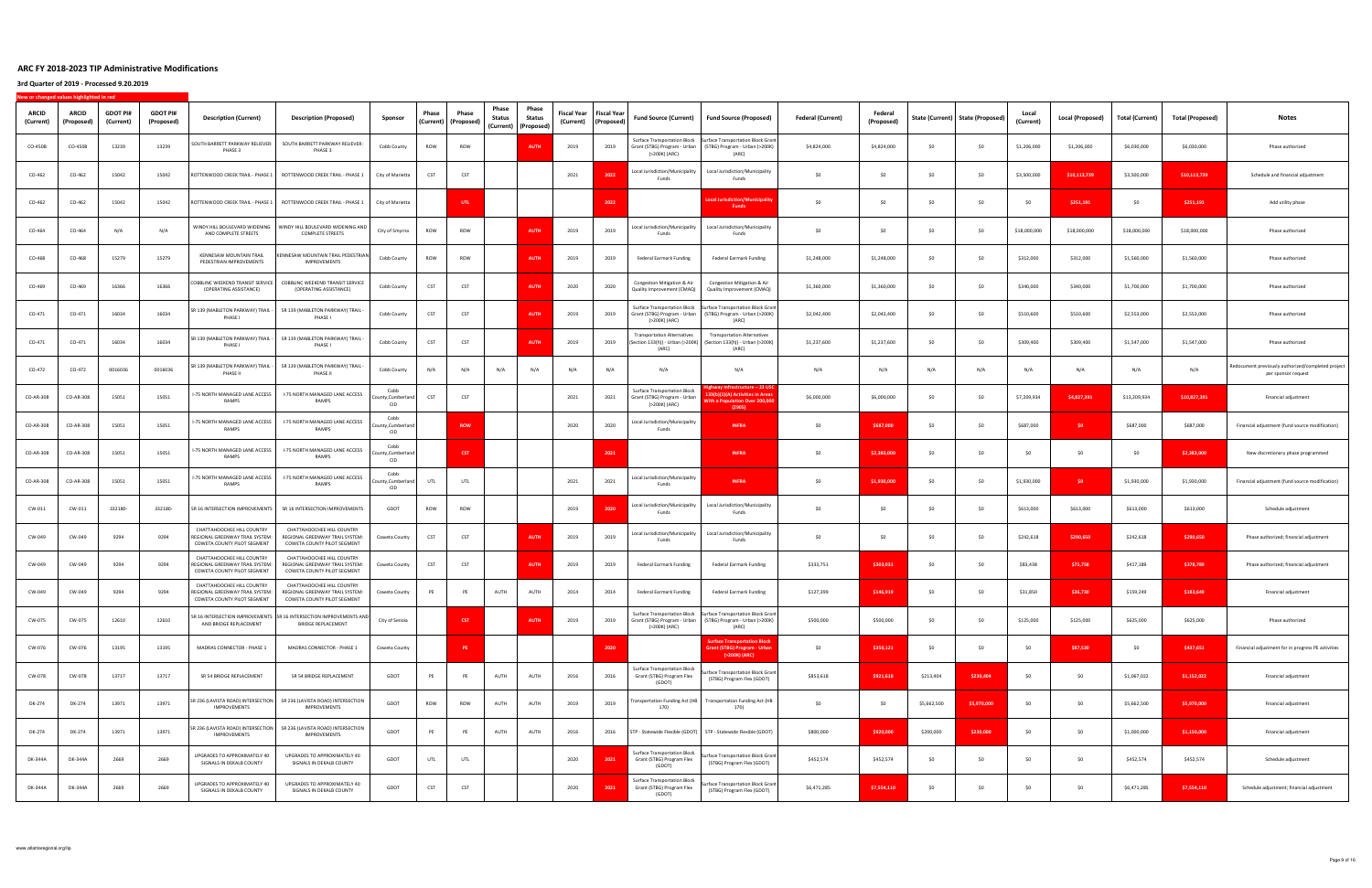| <b>ARCID</b><br>(Current) | ARCID<br>(Proposed) | <b>GDOT PI#</b><br>(Current) | <b>GDOT PI#</b><br>(Proposed) | <b>Description (Current)</b>                                                                 | <b>Description (Proposed)</b>                                                                    | Sponsor                                  | Phase | Phase<br>(Current) (Proposed) | Phase<br><b>Status</b> | Phase<br>Status<br>(Current) (Proposed) | Fiscal Year<br>(Current) | <b>Fiscal Year</b><br>(Proposed) | <b>Fund Source (Current)</b>                                                         | <b>Fund Source (Proposed)</b>                                                                                                           | <b>Federal (Current)</b> | Federal<br>(Proposed) |             | State (Current)   State (Proposed) | Local<br>(Current) | <b>Local (Proposed)</b> | <b>Total (Current)</b> | <b>Total (Proposed)</b> | Notes                                                                    |
|---------------------------|---------------------|------------------------------|-------------------------------|----------------------------------------------------------------------------------------------|--------------------------------------------------------------------------------------------------|------------------------------------------|-------|-------------------------------|------------------------|-----------------------------------------|--------------------------|----------------------------------|--------------------------------------------------------------------------------------|-----------------------------------------------------------------------------------------------------------------------------------------|--------------------------|-----------------------|-------------|------------------------------------|--------------------|-------------------------|------------------------|-------------------------|--------------------------------------------------------------------------|
| CO-450B                   | CO-450B             | 13239                        | 13239                         | SOUTH BARRETT PARKWAY RELIEVER:<br>PHASE 3                                                   | SOUTH BARRETT PARKWAY RELIEVER:<br>PHASE 3                                                       | Cobb County                              | ROW   | ROW                           |                        | AUTH                                    | 2019                     | 2019                             | <b>Surface Transportation Block</b><br>Grant (STBG) Program - Urban<br>(>200K) (ARC) | <b>Surface Transportation Block Grant</b><br>(STBG) Program - Urban (>200K)<br>(ARC)                                                    | \$4,824,000              | \$4,824,000           | SO          | S <sub>0</sub>                     | \$1,206,000        | \$1,206,000             | \$6,030,000            | \$6,030,000             | Phase authorized                                                         |
| CO-462                    | CO-462              | 15042                        | 15042                         | ROTTENWOOD CREEK TRAIL - PHASE 1                                                             | ROTTENWOOD CREEK TRAIL - PHASE 1                                                                 | City of Marietta                         | CST   | CST                           |                        |                                         | 2021                     | 2022                             | Local Jurisdiction/Municipality<br>Funds                                             | Local Jurisdiction/Municipality<br>Funds                                                                                                | \$0                      | S <sub>0</sub>        | \$0         | \$0                                | \$3,500,000        | \$10,113,739            | \$3,500,000            | \$10,113,739            | Schedule and financial adjustment                                        |
| CO-462                    | CO-462              | 15042                        | 15042                         | ROTTENWOOD CREEK TRAIL - PHASE 1                                                             | ROTTENWOOD CREEK TRAIL - PHASE 1                                                                 | City of Marietta                         |       | UTL.                          |                        |                                         |                          | 2022                             |                                                                                      | ocal Jurisdiction/Municipal.<br><b>Funds</b>                                                                                            | SO                       | \$0                   | \$0         | \$0                                |                    | \$251,191               | \$0                    | \$251,191               | Add utility phase                                                        |
| CO-464                    | CO-464              | N/A                          | N/A                           | WINDY HILL BOULEVARD WIDENING<br>AND COMPLETE STREETS                                        | WINDY HILL BOULEVARD WIDENING AND<br><b>COMPLETE STREETS</b>                                     | City of Smyrna                           | ROW   | ROW                           |                        | <b>AUTH</b>                             | 2019                     | 2019                             | Local Jurisdiction/Municipality<br>Funds                                             | Local Jurisdiction/Municipality<br>Funds                                                                                                | SO                       | \$0                   | \$0         | \$0                                | \$18,000,000       | \$18,000,000            | \$18,000,000           | \$18,000,000            | Phase authorized                                                         |
| CO-468                    | CO-468              | 15279                        | 15279                         | <b>KENNESAW MOUNTAIN TRAIL</b><br>PEDESTRIAN IMPROVEMENTS                                    | KENNESAW MOUNTAIN TRAIL PEDESTRIAN<br><b>IMPROVEMENTS</b>                                        | Cobb County                              | ROW   | ROW                           |                        | <b>AUTI</b>                             | 2019                     | 2019                             | Federal Earmark Funding                                                              | Federal Earmark Funding                                                                                                                 | \$1,248,000              | \$1,248,000           | \$0         | \$0                                | \$312,000          | \$312,000               | \$1,560,000            | \$1,560,000             | Phase authorized                                                         |
| CO-469                    | CO-469              | 16366                        | 16366                         | OBBLINC WEEKEND TRANSIT SERVICE<br>(OPERATING ASSISTANCE)                                    | COBBLINC WEEKEND TRANSIT SERVICE<br>(OPERATING ASSISTANCE)                                       | Cobb County                              | CST   | CST                           |                        | <b>AUTI</b>                             | 2020                     | 2020                             | Congestion Mitigation & Air<br>Quality Improvement (CMAQ)                            | Congestion Mitigation & Air<br>Quality Improvement (CMAQ)                                                                               | \$1,360,000              | \$1,360,000           | S0          | \$0                                | \$340,000          | \$340,000               | \$1,700,000            | \$1,700,000             | Phase authorized                                                         |
| CO-471                    | $CO-471$            | 16034                        | 16034                         | SR 139 (MABLETON PARKWAY) TRAIL -<br>PHASE I                                                 | SR 139 (MABLETON PARKWAY) TRAIL<br><b>PHASE</b>                                                  | Cobb County                              | CST   | CST                           |                        | <b>AUTI</b>                             | 2019                     | 2019                             | Surface Transportation Block<br>Grant (STBG) Program - Urban<br>(>200K) (ARC)        | <b>Surface Transportation Block Grant</b><br>(STBG) Program - Urban (>200K)<br>(ARC)                                                    | \$2,042,400              | \$2,042,400           | \$0         | \$0                                | \$510,600          | \$510,600               | \$2,553,000            | \$2,553,000             | Phase authorized                                                         |
| CO-471                    | CO-471              | 16034                        | 16034                         | SR 139 (MABLETON PARKWAY) TRAIL -<br>PHASE I                                                 | SR 139 (MABLETON PARKWAY) TRAIL<br>PHASE I                                                       | Cobb County                              | CST   | CST                           |                        | <b>AUTI</b>                             | 2019                     | 2019                             | Fransportation Alternatives<br>(Section 133(h)) - Urban (>200K)<br>(ARC)             | <b>Transportation Alternatives</b><br>(Section 133(h)) - Urban (>200K)<br>(ARC)                                                         | \$1,237,600              | \$1,237,600           | S0          | \$0                                | \$309,400          | \$309,400               | \$1,547,000            | \$1,547,000             | Phase authorized                                                         |
| CO-472                    | CO-472              | 0016036                      | 0016036                       | SR 139 (MABLETON PARKWAY) TRAIL -<br>PHASE II                                                | SR 139 (MABLETON PARKWAY) TRAIL<br>PHASE II                                                      | Cobb County                              | N/A   | N/A                           | N/A                    | N/A                                     | N/A                      | N/A                              | N/A                                                                                  | N/A                                                                                                                                     | N/A                      | N/A                   | N/A         | N/A                                | N/A                | N/A                     | N/A                    | N/A                     | edocument previously authorized/completed project<br>per sponsor request |
| CO-AR-308                 | CO-AR-308           | 15051                        | 15051                         | I-75 NORTH MANAGED LANE ACCESS<br><b>RAMPS</b>                                               | I-75 NORTH MANAGED LANE ACCESS<br><b>RAMPS</b>                                                   | Cobb<br>ounty, Cumberland<br><b>CID</b>  | CST   | CST                           |                        |                                         | 2021                     | 2021                             | Surface Transportation Block<br>Grant (STBG) Program - Urban<br>(>200K) (ARC)        | hway Infrastructure – 23 U<br>33(b)(1)(A) Activities in Arc<br>ith a Population Over 200,00<br>(Z905)                                   | \$6,000,000              | \$6,000,000           | \$0         | \$0                                | \$7,209,934        | \$4,827,391             | \$13,209,934           | \$10,827,391            | Financial adjustment                                                     |
| CO-AR-308                 | CO-AR-308           | 15051                        | 15051                         | I-75 NORTH MANAGED LANE ACCESS<br>RAMPS                                                      | I-75 NORTH MANAGED LANE ACCESS<br><b>RAMPS</b>                                                   | Cobb<br>ounty, Cumberland<br><b>CID</b>  |       | <b>ROW</b>                    |                        |                                         | 2020                     | 2020                             | Local Jurisdiction/Municipality<br>Funds                                             | <b>INFRA</b>                                                                                                                            | \$0                      | \$687,000             | \$0         | \$0                                | \$687,000          | SO.                     | \$687,000              | \$687,000               | Financial adjustment (fund source modification)                          |
| CO-AR-308                 | CO-AR-308           | 15051                        | 15051                         | I-75 NORTH MANAGED LANE ACCESS<br>RAMPS                                                      | I-75 NORTH MANAGED LANE ACCESS<br>RAMPS                                                          | Cobb<br>County, Cumberland<br><b>CID</b> |       | <b>CST</b>                    |                        |                                         |                          | 2021                             |                                                                                      | <b>INFRA</b>                                                                                                                            | \$0                      | \$2,383,000           | \$0         | \$0                                | SO.                | SO                      | \$0                    | \$2,383,000             | New discretionary phase programmed                                       |
| CO-AR-308                 | CO-AR-308           | 15051                        | 15051                         | I-75 NORTH MANAGED LANE ACCESS<br>RAMPS                                                      | I-75 NORTH MANAGED LANE ACCESS<br>RAMPS                                                          | Cobb<br>ounty, Cumberland<br><b>CID</b>  | UTL   | UTL                           |                        |                                         | 2021                     | 2021                             | Local Jurisdiction/Municipality<br>Funds                                             | <b>INFRA</b>                                                                                                                            | \$0                      | \$1,930,000           | \$0         | \$0                                | \$1,930,000        | SO.                     | \$1,930,000            | \$1,930,000             | Financial adjustment (fund source modification)                          |
| CW-011                    | $CW-011$            | 332180                       | 332180-                       | SR 16 INTERSECTION IMPROVEMENTS                                                              | SR 16 INTERSECTION IMPROVEMENTS                                                                  | GDOT                                     | ROW   | ROW                           |                        |                                         | 2019                     | 2020                             | Local Jurisdiction/Municipality<br>Funds                                             | Local Jurisdiction/Municipality<br>Funds                                                                                                | SO                       | \$0                   | SO          | \$0                                | \$613,000          | \$613,000               | \$613,000              | \$613,000               | Schedule adjustment                                                      |
| CW-049                    | CW-049              | 9294                         | 9294                          | CHATTAHOOCHEE HILL COUNTRY<br>REGIONAL GREENWAY TRAIL SYSTEM:<br>COWETA COUNTY PILOT SEGMENT | CHATTAHOOCHEE HILL COUNTRY<br>REGIONAL GREENWAY TRAIL SYSTEM:<br>COWETA COUNTY PILOT SEGMENT     | Coweta County                            | CST   | CST                           |                        | <b>AUTH</b>                             | 2019                     | 2019                             | Local Jurisdiction/Municipality<br>Funds                                             | Local Jurisdiction/Municipality<br>Funds                                                                                                | \$0                      | S <sub>0</sub>        | \$0         | S <sub>0</sub>                     | \$242,618          | \$290,650               | \$242,618              | \$290,650               | Phase authorized; financial adjustment                                   |
| CW-049                    | CW-049              | 9294                         | 9294                          | CHATTAHOOCHEE HILL COUNTRY<br>REGIONAL GREENWAY TRAIL SYSTEM:<br>COWETA COUNTY PILOT SEGMENT | CHATTAHOOCHEE HILL COUNTRY<br>REGIONAL GREENWAY TRAIL SYSTEM:<br>COWETA COUNTY PILOT SEGMENT     | Coweta County                            | CST   | CST                           |                        | <b>AUTH</b>                             | 2019                     | 2019                             | <b>Federal Earmark Funding</b>                                                       | Federal Earmark Funding                                                                                                                 | \$333,751                | \$303,031             | \$0         | \$0                                | \$83,438           | \$75,758                | \$417,189              | \$378,789               | Phase authorized; financial adjustment                                   |
| CW-049                    | CW-049              | 9294                         | 9294                          | CHATTAHOOCHEE HILL COUNTRY<br>REGIONAL GREENWAY TRAIL SYSTEM:<br>COWETA COUNTY PILOT SEGMENT | CHATTAHOOCHEE HILL COUNTRY<br>REGIONAL GREENWAY TRAIL SYSTEM:<br>COWETA COUNTY PILOT SEGMENT     | Coweta County                            | PE    | PE                            | AUTH                   | AUTH                                    | 2014                     | 2014                             | <b>Federal Earmark Funding</b>                                                       | <b>Federal Earmark Funding</b>                                                                                                          | \$127,399                | \$146,919             | \$0         | S <sub>0</sub>                     | \$31,850           | \$36,730                | \$159,249              | \$183,649               | Financial adjustment                                                     |
| CW-075                    | CW-075              | 12610                        | 12610                         | AND BRIDGE REPLACEMENT                                                                       | SR 16 INTERSECTION IMPROVEMENTS SR 16 INTERSECTION IMPROVEMENTS AND<br><b>BRIDGE REPLACEMENT</b> | City of Senoia                           |       | CST                           |                        | <b>AUTH</b>                             | 2019                     | 2019                             | (>200K) (ARC)                                                                        | Surface Transportation Block Surface Transportation Block Grant<br>Grant (STBG) Program - Urban (STBG) Program - Urban (>200K)<br>(ARC) | \$500,000                | \$500,000             | \$0         | \$0                                | \$125,000          | \$125,000               | \$625,000              | \$625,000               | Phase authorized                                                         |
| CW-076                    | CW-076              | 13195                        | 13195                         | MADRAS CONNECTOR - PHASE 1                                                                   | MADRAS CONNECTOR - PHASE 1                                                                       | Coweta County                            |       | PE                            |                        |                                         |                          | 2020                             |                                                                                      | <b>Surface Transportation Block</b><br><b>Grant (STBG) Program - Urban</b><br>(>200K) (ARC)                                             | \$0                      | \$350,121             | \$0         | \$0                                | SO                 | \$87,530                | \$0                    | \$437,651               | Financial adjustment for in progress PE activities                       |
| CW-078                    | CW-078              | 13717                        | 13717                         | SR 54 BRIDGE REPLACEMENT                                                                     | SR 54 BRIDGE REPLACEMENT                                                                         | GDOT                                     | PE    | PE                            | AUTH                   | AUTH                                    | 2016                     | 2016                             | <b>Surface Transportation Block</b><br>Grant (STBG) Program Flex<br>(GDOT)           | urface Transportation Block Grant<br>(STBG) Program Flex (GDOT)                                                                         | \$853,618                | \$921,618             | \$213,404   | \$230,404                          | \$0                | \$0                     | \$1,067,022            | \$1,152,022             | Financial adjustment                                                     |
| DK-274                    | DK-274              | 13971                        | 13971                         | <b>IMPROVEMENTS</b>                                                                          | SR 236 (LAVISTA ROAD) INTERSECTION   SR 236 (LAVISTA ROAD) INTERSECTION<br>IMPROVEMENTS          | GDOT                                     | ROW   | ROW                           | AUTH                   | AUTH                                    | 2019                     | 2019                             | Transportation Funding Act (HB<br>170)                                               | <b>Transportation Funding Act (HB</b><br>170)                                                                                           | SO                       | S <sub>0</sub>        | \$5,662,500 | \$5,970,000                        | SO                 | SO                      | \$5,662,500            | \$5,970,000             | Financial adjustment                                                     |
| DK-274                    | DK-274              | 13971                        | 13971                         | IMPROVEMENTS                                                                                 | SR 236 (LAVISTA ROAD) INTERSECTION   SR 236 (LAVISTA ROAD) INTERSECTION<br>IMPROVEMENTS          | GDOT                                     | PE    | PE                            | AUTH                   | AUTH                                    | 2016                     | 2016                             | STP - Statewide Flexible (GDOT) STP - Statewide Flexible (GDOT)                      |                                                                                                                                         | \$800,000                | \$920,000             | \$200,000   | \$230,000                          | \$0                | \$0                     | \$1,000,000            | \$1,150,000             | Financial adjustment                                                     |
| DK-344A                   | DK-344A             | 2669                         | 2669                          | UPGRADES TO APPROXIMATELY 40<br>SIGNALS IN DEKALB COUNTY                                     | UPGRADES TO APPROXIMATELY 40<br>SIGNALS IN DEKALB COUNTY                                         | GDOT                                     | UTL   | <b>UTL</b>                    |                        |                                         | 2020                     | 2021                             | <b>Surface Transportation Block</b><br>Grant (STBG) Program Flex<br>(GDOT)           | Surface Transportation Block Grant<br>(STBG) Program Flex (GDOT)                                                                        | \$452,574                | \$452,574             | \$0         | \$0                                | \$0                | \$0                     | \$452,574              | \$452,574               | Schedule adjustment                                                      |
| DK-344A                   | DK-344A             | 2669                         | 2669                          | UPGRADES TO APPROXIMATELY 40<br>SIGNALS IN DEKALB COUNTY                                     | UPGRADES TO APPROXIMATELY 40<br>SIGNALS IN DEKALB COUNTY                                         | GDOT                                     | CST   | CST                           |                        |                                         | 2020                     | 2021                             | Surface Transportation Block<br>Grant (STBG) Program Flex<br>(GDOT)                  | Surface Transportation Block Grant<br>(STBG) Program Flex (GDOT)                                                                        | \$6,471,285              | \$7,554,110           | \$0         | \$0                                | SO.                | \$0                     | \$6,471,285            | \$7,554,110             | Schedule adjustment; financial adjustment                                |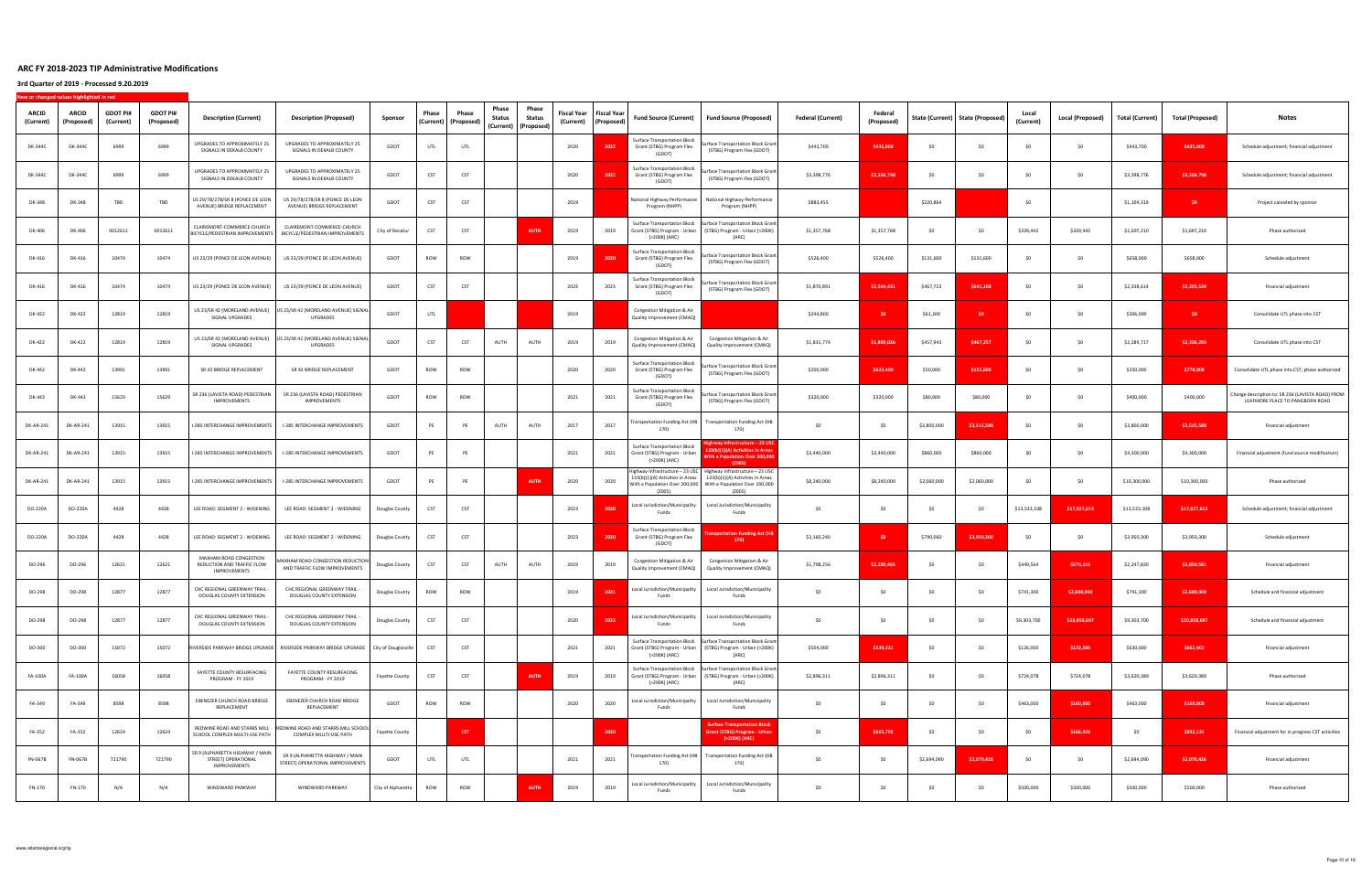| <b>ARCID</b><br>(Current) | <b>ARCID</b><br>(Proposed) | <b>GDOT PI#</b><br>(Current) | <b>GDOT PI#</b><br>(Proposed) | <b>Description (Current)</b>                                                  | <b>Description (Proposed)</b>                                                              | Sponsor               | Phase<br>(Current) | Phase<br>(Proposed) | Phase<br><b>Status</b> | Phase<br>Status<br>(Current) (Proposed) | <b>Fiscal Year</b><br>(Current) | <b>Fiscal Yea</b><br>(Proposed | <b>Fund Source (Current)</b>                                                         | <b>Fund Source (Proposed)</b>                                                                                                                     | <b>Federal (Current)</b> | Federal<br>(Proposed) |             | State (Current)   State (Proposed) | (Current)    | Local (Proposed) | Total (Current) | <b>Total (Proposed)</b> | Notes                                                                                |
|---------------------------|----------------------------|------------------------------|-------------------------------|-------------------------------------------------------------------------------|--------------------------------------------------------------------------------------------|-----------------------|--------------------|---------------------|------------------------|-----------------------------------------|---------------------------------|--------------------------------|--------------------------------------------------------------------------------------|---------------------------------------------------------------------------------------------------------------------------------------------------|--------------------------|-----------------------|-------------|------------------------------------|--------------|------------------|-----------------|-------------------------|--------------------------------------------------------------------------------------|
| DK-344C                   | DK-344C                    | 6999                         | 6999                          | UPGRADES TO APPROXIMATELY 25<br>SIGNALS IN DEKALB COUNTY                      | UPGRADES TO APPROXIMATELY 25<br>SIGNALS IN DEKALB COUNTY                                   | GDOT                  | UTL                | UTL                 |                        |                                         | 2020                            | 2022                           | Surface Transportation Block<br>Grant (STBG) Program Flex<br>(GDOT)                  | Surface Transportation Block Grant<br>(STBG) Program Flex (GDOT)                                                                                  | \$443,700                | \$435,000             | SO          | SO                                 | - SC         | S0               | \$443,700       | \$435,000               | Schedule adjustment; financial adjustment                                            |
| DK-344C                   | DK-344C                    | 6999                         | 6999                          | <b>UPGRADES TO APPROXIMATELY 25</b><br>SIGNALS IN DEKALB COUNTY               | UPGRADES TO APPROXIMATELY 25<br>SIGNALS IN DEKALB COUNTY                                   | GDOT                  | CST                | CST                 |                        |                                         | 2020                            | 2022                           | <b>Surface Transportation Block</b><br>Grant (STBG) Program Flex<br>(GDOT)           | rface Transportation Block Grant<br>(STBG) Program Flex (GDOT)                                                                                    | \$3,398,776              | \$3,266,798           | \$0         | SO                                 | - SO         | - \$0            | \$3,398,776     | \$3,266,798             | Schedule adjustment; financial adjustment                                            |
| DK-348                    | DK-348                     | TBD                          | TBD                           | US 29/78/278/SR 8 (PONCE DE LEON<br>AVENUE) BRIDGE REPLACEMENT                | US 29/78/278/SR 8 (PONCE DE LEON<br>AVENUE) BRIDGE REPLACEMENT                             | GDOT                  | CST                | CST                 |                        |                                         | 2019                            |                                | National Highway Performance<br>Program (NHPP)                                       | National Highway Performance<br>Program (NHPP)                                                                                                    | \$883,455                |                       | \$220,864   |                                    | -SO          |                  | \$1,104,319     | SO <sub>2</sub>         | Project canceled by sponsor                                                          |
| DK-406                    | DK-406                     | 0012611                      | 0012611                       | CLAIREMONT-COMMERCE-CHURCH<br>BICYCLE/PEDESTRIAN IMPROVEMENTS                 | CLAIREMONT-COMMERCE-CHURCH<br>BICYCLE/PEDESTRIAN IMPROVEMENTS                              | City of Decatur       | CST                | CST                 |                        | <b>AUTH</b>                             | 2019                            | 2019                           | <b>Surface Transportation Block</b><br>(>200K) (ARC)                                 | <b>Surface Transportation Block Grant</b><br>Grant (STBG) Program - Urban (STBG) Program - Urban (>200K)<br>(ARC)                                 | \$1,357,768              | \$1,357,768           | \$0         | \$0                                | \$339,442    | \$339,442        | \$1,697,210     | \$1,697,210             | Phase authorized                                                                     |
| DK-416                    | DK-416                     | 10474                        | 10474                         | US 23/29 (PONCE DE LEON AVENUE)                                               | US 23/29 (PONCE DE LEON AVENUE)                                                            | GDOT                  | ROW                | ROW                 |                        |                                         | 2019                            | 2020                           | Surface Transportation Block<br>Grant (STBG) Program Flex<br>(GDOT)                  | rface Transportation Block Grant<br>(STBG) Program Flex (GDOT)                                                                                    | \$526,400                | \$526,400             | \$131,600   | \$131,600                          | - SO         | -SO              | \$658,000       | \$658,000               | Schedule adjustment                                                                  |
| DK-416                    | DK-416                     | 10474                        | 10474                         | US 23/29 (PONCE DE LEON AVENUE)                                               | US 23/29 (PONCE DE LEON AVENUE)                                                            | GDOT                  | CST                | CST                 |                        |                                         | 2023                            | 2023                           | Surface Transportation Block<br>Grant (STBG) Program Flex<br>(GDOT)                  | rface Transportation Block Grant<br>(STBG) Program Flex (GDOT)                                                                                    | \$1,870,891              | \$2,564,431           | \$467,723   | \$641,108                          |              | \$0              | \$2,338,614     | \$3,205,539             | Financial adjustment                                                                 |
| DK-422                    | DK-422                     | 12819                        | 12819                         | US 23/SR 42 (MORELAND AVENUE)<br>SIGNAL UPGRADES                              | US 23/SR 42 (MORELAND AVENUE) SIGNAL<br>UPGRADES                                           | GDOT                  | UTL                |                     |                        |                                         | 2019                            |                                | Congestion Mitigation & Air<br>Quality Improvement (CMAQ)                            |                                                                                                                                                   | \$244,800                | - \$0                 | \$61,200    | SO.                                |              | -SO              | \$306,000       | <b>SO</b>               | Consolidate UTL phase into CST                                                       |
| DK-422                    | DK-422                     | 12819                        | 12819                         | US 23/SR 42 (MORELAND AVENUE)<br>SIGNAL UPGRADES                              | JS 23/SR 42 (MORELAND AVENUE) SIGNAL<br>UPGRADES                                           | GDOT                  | CST                | CST                 | AUTH                   | AUTH                                    | 2019                            | 2019                           | Congestion Mitigation & Air<br>Quality Improvement (CMAQ)                            | Congestion Mitigation & Air<br>Quality Improvement (CMAQ)                                                                                         | \$1,831,774              | \$1,869,026           | \$457,943   | \$467,257                          |              | SO.              | \$2,289,717     | \$2,336,283             | Consolidate UTL phase into CST                                                       |
| DK-442                    | DK-442                     | 13991                        | 13991                         | SR 42 BRIDGE REPLACEMENT                                                      | SR 42 BRIDGE REPLACEMENT                                                                   | GDOT                  | ROW                | ROW                 |                        |                                         | 2020                            | 2020                           | Surface Transportation Block<br>Grant (STBG) Program Flex<br>(GDOT)                  | rface Transportation Block Grant<br>(STBG) Program Flex (GDOT)                                                                                    | \$200,000                | \$622,400             | \$50,000    | \$155,600                          | -SO          | \$0              | \$250,000       | \$778,000               | Consolidate UTL phase into CST; phase authorized                                     |
| DK-443                    | DK-443                     | 15629                        | 15629                         | SR 236 (LAVISTA ROAD) PEDESTRIAN<br>IMPROVEMENTS                              | SR 236 (LAVISTA ROAD) PEDESTRIAN<br><b>IMPROVEMENTS</b>                                    | GDOT                  | ROW                | ROW                 |                        |                                         | 2021                            | 2021                           | Surface Transportation Block<br>Grant (STBG) Program Flex<br>(GDOT)                  | rface Transportation Block Grant<br>(STBG) Program Flex (GDOT)                                                                                    | \$320,000                | \$320,000             | \$80,000    | \$80,000                           | - SO         | \$0              | \$400,000       | \$400,000               | Change description to: SR 236 (LAVISTA ROAD) FROM<br>LEAFMORE PLACE TO PANGBORN ROAD |
| DK-AR-241                 | DK-AR-241                  | 13915                        | 13915                         | I-285 INTERCHANGE IMPROVEMENTS                                                | I-285 INTERCHANGE IMPROVEMENTS                                                             | GDOT                  | PE                 | PE                  | AUTH                   | AUTH                                    | 2017                            | 2017                           | ransportation Funding Act (HB<br>170)                                                | <b>Transportation Funding Act (HB</b><br>170)                                                                                                     | \$0                      | \$0                   | \$3,800,000 | \$3,515,588                        | -SO          | \$0              | \$3,800,000     | \$3,515,588             | Financial adjustment                                                                 |
| DK-AR-241                 | DK-AR-241                  | 13915                        | 13915                         | I-285 INTERCHANGE IMPROVEMENTS                                                | I-285 INTERCHANGE IMPROVEMENTS                                                             | GDOT                  | PE                 | PE                  |                        |                                         | 2021                            | 2021                           | <b>Surface Transportation Block</b><br>Grant (STBG) Program - Urban<br>(>200K) (ARC) | hwav Infrastructure – 23 US<br>33(b)(1)(A) Activities in Area<br>Vith a Population Over 200,000<br>(2905)                                         | \$3,440,000              | \$3,440,000           | \$860,000   | \$860,000                          | - SO         | S0               | \$4,300,000     | \$4,300,000             | Financial adjustment (fund source modification)                                      |
| DK-AR-241                 | DK-AR-241                  | 13915                        | 13915                         | I-285 INTERCHANGE IMPROVEMENTS                                                | I-285 INTERCHANGE IMPROVEMENTS                                                             | GDOT                  | PE                 | PE                  |                        | <b>AUTH</b>                             | 2020                            | 2020                           | 133(b)(1)(A) Activities in Areas<br>With a Population Over 200,000<br>(2005)         | Highway Infrastructure - 23 USC   Highway Infrastructure - 23 USC<br>133(b)(1)(A) Activities in Areas<br>With a Population Over 200,000<br>(2005) | \$8,240,000              | \$8,240,000           | \$2,060,000 | \$2,060,000                        | -SO          | \$0              | \$10,300,000    | \$10,300,000            | Phase authorized                                                                     |
| DO-220A                   | DO-220A                    | 4428                         | 4428                          | LEE ROAD: SEGMENT 2 - WIDENING                                                | LEE ROAD: SEGMENT 2 - WIDENING                                                             | Douglas County        | CST                | CST                 |                        |                                         | 2023                            | 2020                           | Local Jurisdiction/Municipality<br>Funds                                             | Local Jurisdiction/Municipality<br>Funds                                                                                                          | \$0                      | -SO                   | SO.         | \$0                                | \$13,533,108 | \$17,027,613     | \$13,533,108    | \$17,027,613            | Schedule adjustment; financial adjustment                                            |
| DO-220A                   | DO-220A                    | 4428                         | 4428                          | LEE ROAD: SEGMENT 2 - WIDENING                                                | LEE ROAD: SEGMENT 2 - WIDENING                                                             | Douglas County        | CST                | CST                 |                        |                                         | 2023                            | 2020                           | Surface Transportation Block<br>Grant (STBG) Program Flex<br>(GDOT)                  | <b>Isportation Funding Act (H</b><br>170)                                                                                                         | \$3,160,240              | - \$0                 | \$790,060   | \$3,950,300                        |              | - SO             | \$3,950,300     | \$3,950,300             | Schedule adjustment                                                                  |
| DO-296                    | DO-296                     | 12621                        | 12621                         | MAXHAM ROAD CONGESTION<br>REDUCTION AND TRAFFIC FLOW<br>IMPROVEMENTS          | AXHAM ROAD CONGESTION REDUCTION<br>AND TRAFFIC FLOW IMPROVEMENTS                           | Douglas County        | CST                | CST                 | AUTH                   | AUTH                                    | 2019                            | 2019                           | Congestion Mitigation & Air<br>Quality Improvement (CMAQ)                            | Congestion Mitigation & Air<br>Quality Improvement (CMAQ)                                                                                         | \$1,798,256              | \$2,280,465           | \$0         | \$0                                | \$449,564    | \$570,116        | \$2,247,820     | \$2,850,581             | Financial adjustment                                                                 |
| DO-298                    | DO-298                     | 12877                        | 12877                         | CHC REGIONAL GREENWAY TRAIL -<br>DOUGLAS COUNTY EXTENSION                     | CHC REGIONAL GREENWAY TRAIL -<br>DOUGLAS COUNTY EXTENSION                                  | Douglas County        | ROW                | ROW                 |                        |                                         | 2019                            | 2021                           | Local Jurisdiction/Municipality<br>Funds                                             | Local Jurisdiction/Municipality<br>Funds                                                                                                          | SO                       | SO                    | -SO         | SO                                 | \$741,300    | \$2,688,000      | \$741,300       | \$2,688,000             | Schedule and financial adjustment                                                    |
| DO-298                    | DO-298                     | 12877                        | 12877                         | CHC REGIONAL GREENWAY TRAIL -<br>DOUGLAS COUNTY EXTENSION                     | CHC REGIONAL GREENWAY TRAIL -<br>DOUGLAS COUNTY EXTENSION                                  | Douglas County        | CST                | CST                 |                        |                                         | 2020                            | 2023                           | Local Jurisdiction/Municipality<br>Funds                                             | Local Jurisdiction/Municipality<br>Funds                                                                                                          | \$0                      | \$0                   | \$0         | \$0                                | \$9,303,700  | \$20,858,697     | \$9,303,700     | \$20,858,697            | Schedule and financial adjustment                                                    |
| DO-300                    | DO-300                     | 15072                        | 15072                         |                                                                               | RIVERSIDE PARKWAY BRIDGE UPGRADE   RIVERSIDE PARKWAY BRIDGE UPGRADE   City of Douglasville |                       | CST                | CST                 |                        |                                         | 2021                            | 2021                           | <b>Surface Transportation Block</b><br>(>200K) (ARC)                                 | Surface Transportation Block Grant<br>Grant (STBG) Program - Urban (STBG) Program - Urban (>200K)<br>(ARC)                                        | \$504,000                | \$530,321             | \$0         | \$0                                | \$126,000    | \$132,580        | \$630,000       | \$662,901               | Financial adjustment                                                                 |
| FA-100A                   | FA-100A                    | 16058                        | 16058                         | FAYETTE COUNTY RESURFACING<br>PROGRAM - FY 2019                               | FAYETTE COUNTY RESURFACING<br>PROGRAM - FY 2019                                            | <b>Fayette County</b> | CST                | CST                 |                        | <b>AUTH</b>                             | 2019                            | 2019                           | <b>Surface Transportation Block</b><br>(>200K) (ARC)                                 | <b>Surface Transportation Block Grant</b><br>Grant (STBG) Program - Urban (STBG) Program - Urban (>200K)<br>(ARC)                                 | \$2,896,311              | \$2,896,311           | \$0         | \$0                                | \$724,078    | \$724,078        | \$3,620,389     | \$3,620,389             | Phase authorized                                                                     |
| FA-349                    | FA-349                     | 8598                         | 8598                          | EBENEZER CHURCH ROAD BRIDGE<br>REPLACEMENT                                    | EBENEZER CHURCH ROAD BRIDGE<br>REPLACEMENT                                                 | GDOT                  | ROW                | ROW                 |                        |                                         | 2020                            | 2020                           | Local Jurisdiction/Municipality<br>Funds                                             | Local Jurisdiction/Municipality<br>Funds                                                                                                          | \$0                      | S <sub>0</sub>        | \$0         | \$0                                | \$463,000    | \$160,000        | \$463,000       | \$160,000               | Financial adjustment                                                                 |
| FA-352                    | FA-352                     | 12624                        | 12624                         | REDWINE ROAD AND STARRS MILL<br>SCHOOL COMPLEX MULTI-USE PATH                 | REDWINE ROAD AND STARRS MILL SCHOOL<br>COMPLEX MULTI-USE PATH                              | Fayette County        |                    | <b>CST</b>          |                        |                                         |                                 | 2020                           |                                                                                      | <b>Surface Transportation Block</b><br>Grant (STBG) Program - Urbar<br>(>200K) (ARC)                                                              | \$0                      | \$665,705             | \$0         | \$0                                | SO           | \$166,426        | \$0             | \$832,131               | Financial adjustment for in progress CST activities                                  |
| FN-067B                   | FN-067B                    | 721790                       | 721790                        | SR 9 (ALPHARETTA HIGHWAY / MAIN<br>STREET) OPERATIONAL<br><b>IMPROVEMENTS</b> | SR 9 (ALPHARETTA HIGHWAY / MAIN<br>STREET) OPERATIONAL IMPROVEMENTS                        | GDOT                  | UTL                | UTL                 |                        |                                         | 2021                            | 2021                           | <b>Fransportation Funding Act (HB</b><br>170)                                        | Transportation Funding Act (HB<br>170)                                                                                                            | \$0                      | \$0                   | \$2,694,090 | \$2,070,426                        | SO           | \$0              | \$2,694,090     | \$2,070,426             | Financial adjustment                                                                 |
| FN-170                    | FN-170                     | N/A                          | N/A                           | WINDWARD PARKWAY                                                              | WINDWARD PARKWAY                                                                           | City of Alpharetta    | ROW                | ROW                 |                        | <b>AUTH</b>                             | 2019                            | 2019                           | Local Jurisdiction/Municipality<br>Funds                                             | Local Jurisdiction/Municipality<br>Funds                                                                                                          | \$0                      | SO                    | \$0         | \$0                                | \$500,000    | \$500,000        | \$500,000       | \$500,000               | Phase authorized                                                                     |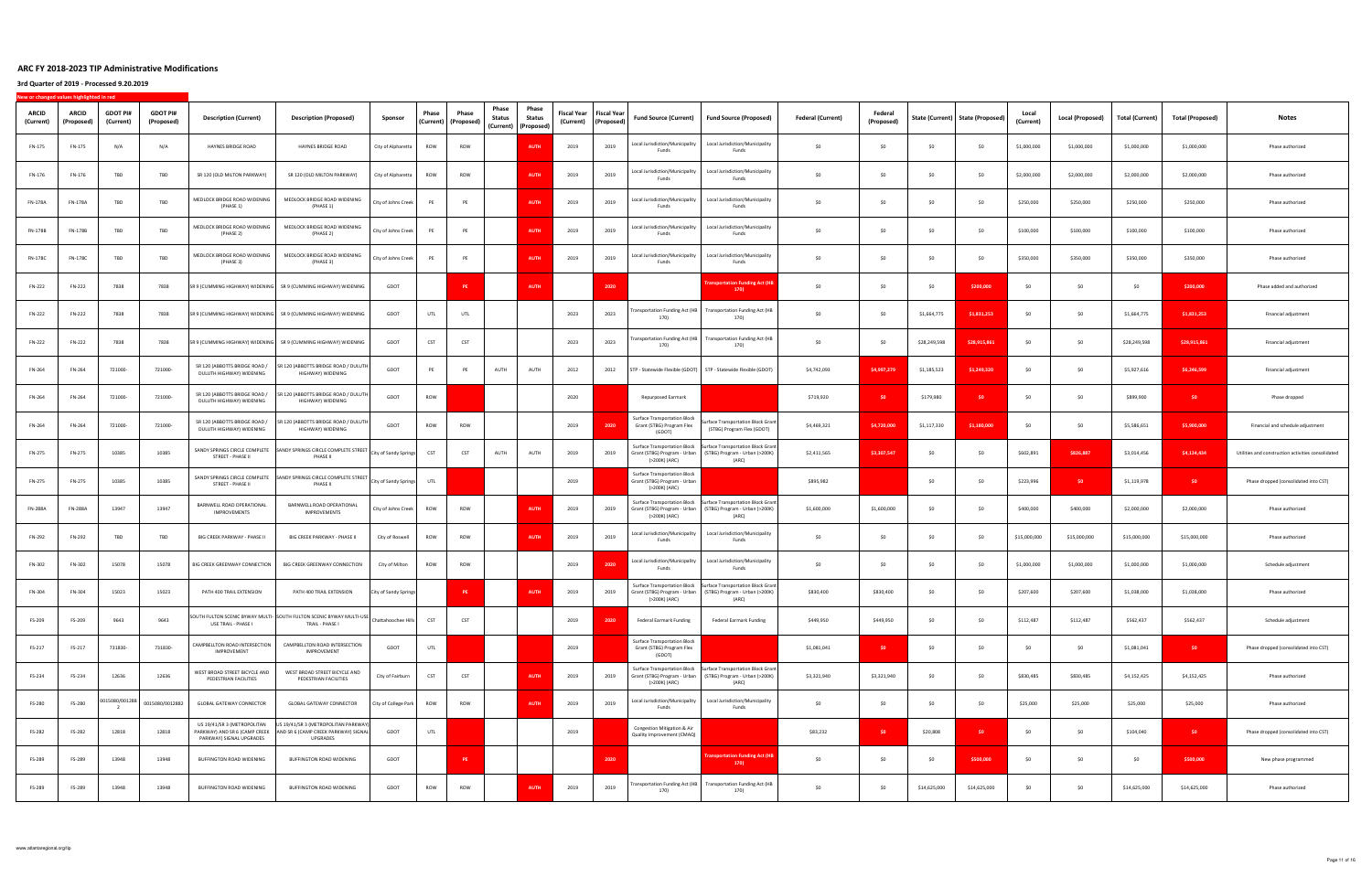| ARCID<br>(Current) | <b>ARCID</b><br>(Proposed) | <b>GDOT PI#</b><br>(Current) | <b>GDOT PI#</b><br>(Proposed) | <b>Description (Current)</b>                              | <b>Description (Proposed)</b>                                                                                                 | Sponsor               | Phase      | Phase<br>(Current) (Proposed) | Phase<br><b>Status</b> | Phase<br>Status<br>(Current) (Proposed) | Fiscal Year<br>(Current) | <b>Fiscal Year</b><br>(Proposed) | <b>Fund Source (Current)</b>                                                         | <b>Fund Source (Proposed)</b>                                                                                                               | <b>Federal (Current)</b> | Federal<br>(Proposed) |              | State (Current) State (Proposed) | Local<br>(Current) | Local (Proposed) | Total (Current) | Total (Proposed) | Notes                                              |
|--------------------|----------------------------|------------------------------|-------------------------------|-----------------------------------------------------------|-------------------------------------------------------------------------------------------------------------------------------|-----------------------|------------|-------------------------------|------------------------|-----------------------------------------|--------------------------|----------------------------------|--------------------------------------------------------------------------------------|---------------------------------------------------------------------------------------------------------------------------------------------|--------------------------|-----------------------|--------------|----------------------------------|--------------------|------------------|-----------------|------------------|----------------------------------------------------|
| FN-175             | FN-175                     | N/A                          | N/A                           | HAYNES BRIDGE ROAD                                        | HAYNES BRIDGE ROAD                                                                                                            | City of Alpharetta    | ROW        | ROW                           |                        | <b>AUTH</b>                             | 2019                     | 2019                             | Local Jurisdiction/Municipality<br>Funds                                             | Local Jurisdiction/Municipality<br>Funds                                                                                                    | SO                       | S <sub>0</sub>        | SO           | \$0                              | \$1,000,000        | \$1,000,000      | \$1,000,000     | \$1,000,000      | Phase authorized                                   |
| FN-176             | FN-176                     | TBD                          | TBD                           | SR 120 (OLD MILTON PARKWAY)                               | SR 120 (OLD MILTON PARKWAY)                                                                                                   | City of Alpharetta    | ROW        | ROW                           |                        | <b>AUTH</b>                             | 2019                     | 2019                             | Local Jurisdiction/Municipality<br>Funds                                             | Local Jurisdiction/Municipality<br>Funds                                                                                                    | \$0                      | \$0                   | \$0          | \$0                              | \$2,000,000        | \$2,000,000      | \$2,000,000     | \$2,000,000      | Phase authorized                                   |
| FN-178A            | FN-178A                    | TBD                          | TBD                           | MEDLOCK BRIDGE ROAD WIDENING<br>(PHASE 1)                 | MEDLOCK BRIDGE ROAD WIDENING<br>(PHASE 1)                                                                                     | City of Johns Creek   | PE         | PE                            |                        | <b>AUTH</b>                             | 2019                     | 2019                             | Local Jurisdiction/Municipality<br>Funds                                             | Local Jurisdiction/Municipality<br>Funds                                                                                                    | SO                       | \$0                   | \$0          | \$0                              | \$250,000          | \$250,000        | \$250,000       | \$250,000        | Phase authorized                                   |
| FN-178B            | FN-178B                    | TBD                          | TBD                           | MEDLOCK BRIDGE ROAD WIDENING<br>(PHASE 2)                 | MEDLOCK BRIDGE ROAD WIDENING<br>(PHASE 2)                                                                                     | City of Johns Creek   | PE         | PE                            |                        | <b>AUTH</b>                             | 2019                     | 2019                             | Local Jurisdiction/Municipality<br>Funds                                             | Local Jurisdiction/Municipality<br>Funds                                                                                                    | \$0                      | \$0                   | \$0          | \$0                              | \$100,000          | \$100,000        | \$100,000       | \$100,000        | Phase authorized                                   |
| FN-178C            | FN-178C                    | TBD                          | TBD                           | MEDLOCK BRIDGE ROAD WIDENING<br>(PHASE 3)                 | MEDLOCK BRIDGE ROAD WIDENING<br>(PHASE 3)                                                                                     | City of Johns Creek   | PE         | PE                            |                        | AUTH                                    | 2019                     | 2019                             | Local Jurisdiction/Municipality<br>Funds                                             | Local Jurisdiction/Municipality<br>Funds                                                                                                    | \$0                      | \$0                   | \$0          | \$0                              | \$350,000          | \$350,000        | \$350,000       | \$350,000        | Phase authorized                                   |
| FN-222             | FN-222                     | 7838                         | 7838                          |                                                           | SR 9 (CUMMING HIGHWAY) WIDENING SR 9 (CUMMING HIGHWAY) WIDENING                                                               | GDOT                  |            | PE                            |                        | <b>AUTH</b>                             |                          | 2020                             |                                                                                      | sportation Funding Act (H<br>170)                                                                                                           | SO                       | S <sub>0</sub>        | \$0          | \$200,000                        | SO.                | \$0              | \$0             | \$200,000        | Phase added and authorized                         |
| FN-222             | FN-222                     | 7838                         | 7838                          |                                                           | SR 9 (CUMMING HIGHWAY) WIDENING SR 9 (CUMMING HIGHWAY) WIDENING                                                               | GDOT                  | UTL        | UTL                           |                        |                                         | 2023                     | 2023                             | Transportation Funding Act (HB<br>170)                                               | Transportation Funding Act (HB<br>170)                                                                                                      | SO                       | \$0                   | \$1,664,775  | \$1,831,253                      | \$0                | -SO              | \$1,664,775     | \$1,831,253      | Financial adjustment                               |
| FN-222             | FN-222                     | 7838                         | 7838                          |                                                           | SR 9 (CUMMING HIGHWAY) WIDENING SR 9 (CUMMING HIGHWAY) WIDENING                                                               | GDOT                  | CST        | CST                           |                        |                                         | 2023                     | 2023                             | <b>Transportation Funding Act (HB</b><br>170)                                        | <b>Transportation Funding Act (HB</b><br>170)                                                                                               | \$0                      | \$0                   | \$28,249,598 | \$28,915,861                     | \$0                | \$0              | \$28,249,598    | \$28,915,861     | Financial adjustment                               |
| FN-264             | FN-264                     | 721000-                      | 721000-                       | SR 120 (ABBOTTS BRIDGE ROAD /<br>DULUTH HIGHWAY) WIDENING | SR 120 (ABBOTTS BRIDGE ROAD / DULUTH  <br>HIGHWAY) WIDENING                                                                   | GDOT                  | PE         | PE                            | AUTH                   | AUTH                                    | 2012                     | 2012                             | STP - Statewide Flexible (GDOT)                                                      | STP - Statewide Flexible (GDOT)                                                                                                             | \$4,742,093              | \$4,997,279           | \$1,185,523  | \$1,249,320                      | \$0                | SO.              | \$5,927,616     | \$6,246,599      | Financial adjustment                               |
| FN-264             | FN-264                     | 721000-                      | 721000-                       | SR 120 (ABBOTTS BRIDGE ROAD /<br>DULUTH HIGHWAY) WIDENING | SR 120 (ABBOTTS BRIDGE ROAD / DULUTH<br>HIGHWAY) WIDENING                                                                     | GDOT                  | ROW        |                               |                        |                                         | 2020                     |                                  | Repurposed Earmark                                                                   |                                                                                                                                             | \$719,920                | \$0                   | \$179,980    | \$0                              | SO                 | SO               | \$899,900       | \$0              | Phase dropped                                      |
| FN-264             | FN-264                     | 721000-                      | 721000-                       | SR 120 (ABBOTTS BRIDGE ROAD /<br>DULUTH HIGHWAY) WIDENING | SR 120 (ABBOTTS BRIDGE ROAD / DULUTH<br>HIGHWAY) WIDENING                                                                     | GDOT                  | ROW        | ROW                           |                        |                                         | 2019                     | 2020                             | <b>Surface Transportation Block</b><br>Grant (STBG) Program Flex<br>(GDOT)           | iurface Transportation Block Grant<br>(STBG) Program Flex (GDOT)                                                                            | \$4,469,321              | \$4,720,000           | \$1,117,330  | \$1,180,000                      | \$0                | \$0              | \$5,586,651     | \$5,900,000      | Financial and schedule adjustment                  |
| FN-275             | FN-275                     | 10385                        | 10385                         | STREET - PHASE II                                         | SANDY SPRINGS CIRCLE COMPLETE SANDY SPRINGS CIRCLE COMPLETE STREET -<br>PHASE II                                              | City of Sandy Springs | <b>CST</b> | CST                           | AUTH                   | AUTH                                    | 2019                     | 2019                             | <b>Surface Transportation Block</b><br>Grant (STBG) Program - Urban<br>(>200K) (ARC) | Surface Transportation Block Grant<br>(STBG) Program - Urban (>200K)<br>(ARC)                                                               | \$2,411,565              | \$3,307,547           | \$0          | \$0                              | \$602,891          | \$826,887        | \$3,014,456     | \$4,134,434      | Utilities and construction activities consolidated |
| FN-275             | FN-275                     | 10385                        | 10385                         | STREET - PHASE II                                         | SANDY SPRINGS CIRCLE COMPLETE SANDY SPRINGS CIRCLE COMPLETE STREET<br>PHASE II                                                | City of Sandy Springs | UTL        |                               |                        |                                         | 2019                     |                                  | <b>Surface Transportation Block</b><br>Grant (STBG) Program - Urban<br>(>200K) (ARC) |                                                                                                                                             | \$895,982                |                       | \$0          | \$0                              | \$223,996          | SO.              | \$1,119,978     | \$0              | Phase dropped (consolidated into CST)              |
| <b>FN-288A</b>     | FN-288A                    | 13947                        | 13947                         | BARNWELL ROAD OPERATIONAL<br>IMPROVEMENTS                 | BARNWELL ROAD OPERATIONAL<br>IMPROVEMENTS                                                                                     | City of Johns Creek   | ROW        | ROW                           |                        | <b>AUTH</b>                             | 2019                     | 2019                             | (>200K) (ARC)                                                                        | Surface Transportation Block   Surface Transportation Block Grant<br>Grant (STBG) Program - Urban (STBG) Program - Urban (>200K)<br>(ARC)   | \$1,600,000              | \$1,600,000           | \$0          | \$0                              | \$400,000          | \$400,000        | \$2,000,000     | \$2,000,000      | Phase authorized                                   |
| FN-292             | FN-292                     | TBD                          | TBD                           | BIG CREEK PARKWAY - PHASE II                              | BIG CREEK PARKWAY - PHASE II                                                                                                  | City of Roswell       | ROW        | ROW                           |                        | <b>AUTH</b>                             | 2019                     | 2019                             | Local Jurisdiction/Municipality<br>Funds                                             | Local Jurisdiction/Municipality<br>Funds                                                                                                    | \$0                      | S <sub>0</sub>        | SO           | \$0                              | \$15,000,000       | \$15,000,000     | \$15,000,000    | \$15,000,000     | Phase authorized                                   |
| FN-302             | FN-302                     | 15078                        | 15078                         | BIG CREEK GREENWAY CONNECTION                             | BIG CREEK GREENWAY CONNECTION                                                                                                 | City of Milton        | ROW        | ROW                           |                        |                                         | 2019                     | 2020                             | Local Jurisdiction/Municipality<br>Funds                                             | Local Jurisdiction/Municipality<br>Funds                                                                                                    | \$0                      | \$0                   | \$0          | \$0                              | \$1,000,000        | \$1,000,000      | \$1,000,000     | \$1,000,000      | Schedule adjustment                                |
| FN-304             | FN-304                     | 15023                        | 15023                         | PATH 400 TRAIL EXTENSION                                  | PATH 400 TRAIL EXTENSION                                                                                                      | City of Sandy Springs |            | PE                            |                        | <b>AUTH</b>                             | 2019                     | 2019                             | (>200K) (ARC)                                                                        | Surface Transportation Block Surface Transportation Block Grant<br>Grant (STBG) Program - Urban (STBG) Program - Urban (>200K)<br>(AKL)     | \$830,400                | \$830,400             | SO           | \$0                              | \$207,600          | \$207,600        | \$1,038,000     | \$1,038,000      | Phase authorized                                   |
| FS-209             | FS-209                     | 9643                         | 9643                          | USE TRAIL - PHASE I                                       | SOUTH FULTON SCENIC BYWAY MULTI- SOUTH FULTON SCENIC BYWAY MULTI-USE Chattahoochee Hills<br>TRAIL - PHASE I                   |                       | <b>CST</b> | CST                           |                        |                                         | 2019                     | 2020                             | <b>Federal Earmark Funding</b>                                                       | <b>Federal Earmark Funding</b>                                                                                                              | \$449,950                | \$449,950             | \$0          | \$0                              | \$112,487          | \$112,487        | \$562,437       | \$562,437        | Schedule adjustment                                |
| FS-217             | FS-217                     | 731830-                      | 731830-                       | CAMPBELLTON ROAD INTERSECTION<br>IMPROVEMENT              | CAMPBELLTON ROAD INTERSECTION<br><b>IMPROVEMENT</b>                                                                           | GDOT                  | UTL        |                               |                        |                                         | 2019                     |                                  | <b>Surface Transportation Block</b><br>Grant (STBG) Program Flex<br>(GDOT)           |                                                                                                                                             | \$1,081,041              | \$0                   | \$0          | \$0                              | \$0                | \$0              | \$1,081,041     | \$0              | Phase dropped (consolidated into CST)              |
| FS-234             | FS-234                     | 12636                        | 12636                         | WEST BROAD STREET BICYCLE AND<br>PEDESTRIAN FACILITIES    | WEST BROAD STREET BICYCLE AND<br>PEDESTRIAN FACILITIES                                                                        | City of Fairburn      | CST        | CST                           |                        | <b>AUTH</b>                             | 2019                     | 2019                             | (>200K) (ARC)                                                                        | Surface Transportation Block   Surface Transportation Block Grant<br>Grant (STBG) Program - Urban   (STBG) Program - Urban (>200K)<br>(ARC) | \$3,321,940              | \$3,321,940           | \$0          | \$0                              | \$830,485          | \$830,485        | \$4,152,425     | \$4,152,425      | Phase authorized                                   |
| FS-280             | FS-280                     | 0015080/001288               | 0015080/0012882               | GLOBAL GATEWAY CONNECTOR                                  | GLOBAL GATEWAY CONNECTOR                                                                                                      | City of College Park  | ROW        | ROW                           |                        | <b>AUTH</b>                             | 2019                     | 2019                             | Local Jurisdiction/Municipality<br>Funds                                             | Local Jurisdiction/Municipality<br>Funds                                                                                                    | \$0                      | \$0                   | \$0          | \$0                              | \$25,000           | \$25,000         | \$25,000        | \$25,000         | Phase authorized                                   |
| FS-282             | FS-282                     | 12818                        | 12818                         | US 19/41/SR 3 (METROPOLITAN<br>PARKWAY) SIGNAL UPGRADES   | US 19/41/SR 3 (METROPOLITAN PARKWAY)<br>PARKWAY) AND SR 6 (CAMP CREEK AND SR 6 (CAMP CREEK PARKWAY) SIGNAL<br><b>UPGRADES</b> | GDOT                  | UTL        |                               |                        |                                         | 2019                     |                                  | Congestion Mitigation & Air<br>Quality Improvement (CMAQ)                            |                                                                                                                                             | \$83,232                 | \$0                   | \$20,808     | \$0                              | \$0                | \$0              | \$104,040       | \$0              | Phase dropped (consolidated into CST)              |
| FS-289             | FS-289                     | 13948                        | 13948                         | BUFFINGTON ROAD WIDENING                                  | BUFFINGTON ROAD WIDENING                                                                                                      | GDOT                  |            | PE                            |                        |                                         |                          | 2020                             |                                                                                      | ransportation Funding Act (H<br>170                                                                                                         | \$0                      | \$0                   | \$0          | \$500,000                        | \$0                | \$0              | \$0             | \$500,000        | New phase programmed                               |
| FS-289             | FS-289                     | 13948                        | 13948                         | BUFFINGTON ROAD WIDENING                                  | BUFFINGTON ROAD WIDENING                                                                                                      | GDOT                  | ROW        | ROW                           |                        | <b>AUTH</b>                             | 2019                     | 2019                             | Transportation Funding Act (HB<br>170)                                               | Transportation Funding Act (HB<br>170)                                                                                                      | \$0                      | \$0                   | \$14,625,000 | \$14,625,000                     | \$0                | \$0              | \$14,625,000    | \$14,625,000     | Phase authorized                                   |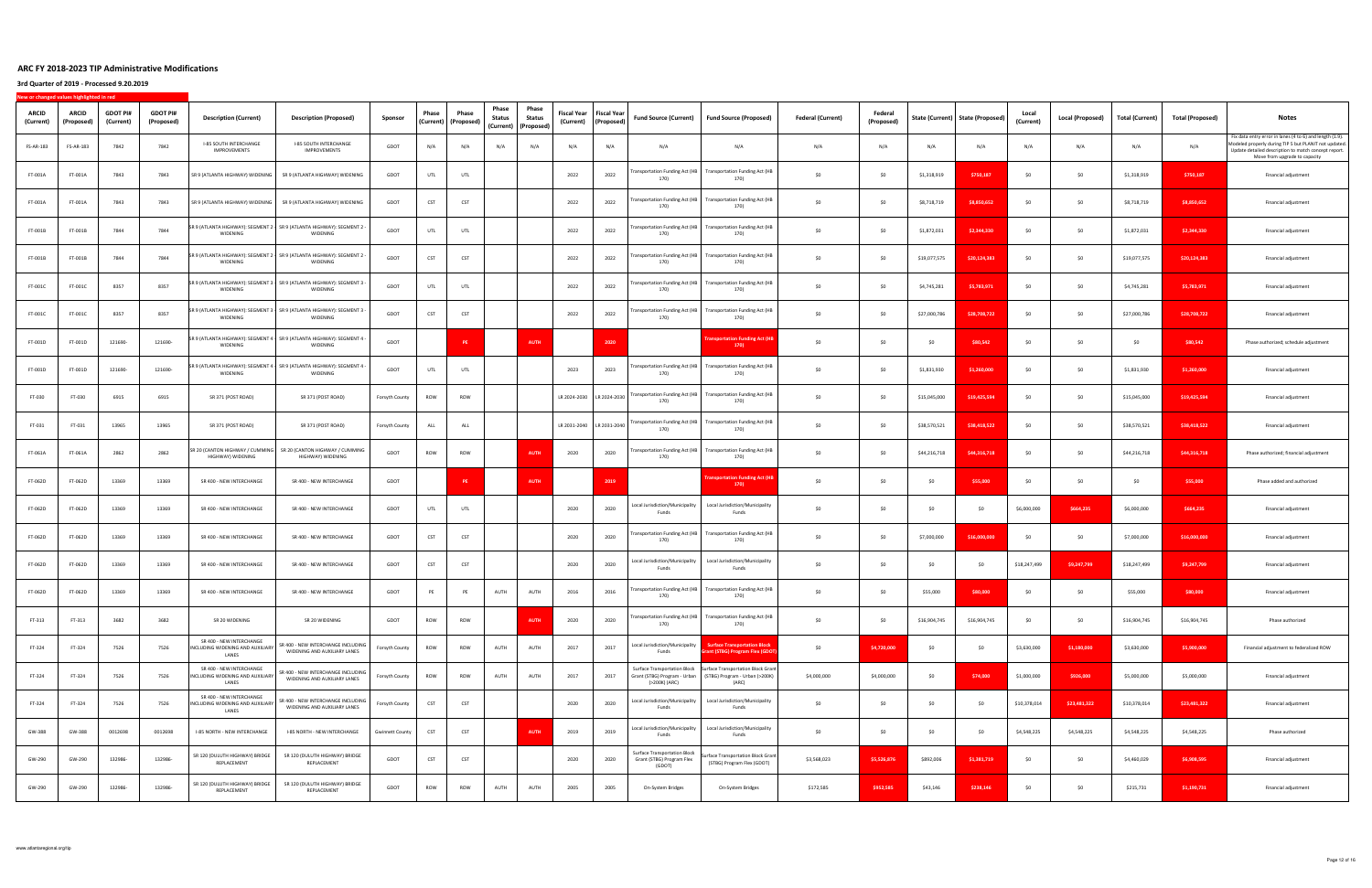| ARCID<br>(Current) | <b>ARCID</b><br>(Proposed) | <b>GDOT PI#</b><br>(Current) | <b>GDOT PI#</b><br>(Proposed) | <b>Description (Current)</b>                                          | <b>Description (Proposed)</b>                                                          | Sponsor                | Phase      | Phase<br>(Current)   (Proposed) | Phase<br>Status | Phase<br>Status<br>(Current) (Proposed) | <b>Fiscal Year</b><br>(Current) | <b>Fiscal Year</b><br>(Proposed) | <b>Fund Source (Current)</b>                                               | Fund Source (Proposed)                                                                                            | <b>Federal (Current)</b> | Federal<br>(Proposed) |              | State (Current)   State (Proposed) | Loca<br>(Current) | <b>Local (Proposed)</b> | Total (Current) | <b>Total (Proposed)</b> | <b>Notes</b>                                                                                                                                                                                               |
|--------------------|----------------------------|------------------------------|-------------------------------|-----------------------------------------------------------------------|----------------------------------------------------------------------------------------|------------------------|------------|---------------------------------|-----------------|-----------------------------------------|---------------------------------|----------------------------------|----------------------------------------------------------------------------|-------------------------------------------------------------------------------------------------------------------|--------------------------|-----------------------|--------------|------------------------------------|-------------------|-------------------------|-----------------|-------------------------|------------------------------------------------------------------------------------------------------------------------------------------------------------------------------------------------------------|
| FS-AR-183          | FS-AR-183                  | 7842                         | 7842                          | <b>I-85 SOUTH INTERCHANGE</b><br>IMPROVEMENTS                         | <b>I-85 SOUTH INTERCHANGE</b><br>IMPROVEMENTS                                          | GDOT                   | N/A        | N/A                             | N/A             | N/A                                     | N/A                             | N/A                              | N/A                                                                        | N/A                                                                                                               | N/A                      | N/A                   | N/A          | N/A                                | N/A               | N/A                     | N/A             | N/A                     | Fix data entry error in lanes (4 to 6) and length (1.9).<br>Modeled properly during TIP 5 but PLANIT not updated.<br>Update detailed description to match concept report.<br>Move from upgrade to capacity |
| FT-001A            | FT-001A                    | 7843                         | 7843                          | SR 9 (ATLANTA HIGHWAY) WIDENING                                       | SR 9 (ATLANTA HIGHWAY) WIDENING                                                        | GDOT                   | UTL        | UTL                             |                 |                                         | 2022                            | 2022                             | ransportation Funding Act (HB<br>170)                                      | <b>Transportation Funding Act (HB</b><br>170)                                                                     | \$0                      | SO.                   | \$1,318,919  | \$750,187                          | SO.               | \$0                     | \$1,318,919     | \$750,187               | Financial adjustment                                                                                                                                                                                       |
| FT-001A            | FT-001A                    | 7843                         | 7843                          |                                                                       | SR 9 (ATLANTA HIGHWAY) WIDENING SR 9 (ATLANTA HIGHWAY) WIDENING                        | GDOT                   | CST        | CST                             |                 |                                         | 2022                            | 2022                             | <b>Fransportation Funding Act (HB</b><br>170)                              | Transportation Funding Act (HB<br>170)                                                                            | \$0                      | \$0                   | \$8,718,719  | \$8,850,652                        | -SO               | SO                      | \$8,718,719     | \$8,850,652             | Financial adjustment                                                                                                                                                                                       |
| FT-001B            | FT-001B                    | 7844                         | 7844                          | WIDENING                                                              | SR 9 (ATLANTA HIGHWAY): SEGMENT 2 - SR 9 (ATLANTA HIGHWAY): SEGMENT 2 -<br>WIDENING    | GDOT                   | UTL        | UTL                             |                 |                                         | 2022                            | 2022                             | <b>Fransportation Funding Act (HB</b><br>170)                              | <b>Transportation Funding Act (HB</b><br>170)                                                                     | \$0                      | SO.                   | \$1,872,031  | \$2,344,330                        | SO.               | \$0                     | \$1,872,031     | \$2,344,330             | Financial adjustment                                                                                                                                                                                       |
| FT-001B            | FT-001B                    | 7844                         | 7844                          | WIDENING                                                              | SR 9 (ATLANTA HIGHWAY): SEGMENT 2   SR 9 (ATLANTA HIGHWAY): SEGMENT 2<br>WIDENING      | GDOT                   | CST        | CST                             |                 |                                         | 2022                            | 2022                             | ransportation Funding Act (HB<br>170)                                      | <b>Transportation Funding Act (HB</b><br>170)                                                                     | \$0                      | SO.                   | \$19,077,575 | \$20,124,383                       | -SO               | \$0                     | \$19,077,575    | \$20,124,383            | Financial adjustment                                                                                                                                                                                       |
| FT-001C            | FT-001C                    | 8357                         | 8357                          | WIDENING                                                              | SR 9 (ATLANTA HIGHWAY): SEGMENT 3   SR 9 (ATLANTA HIGHWAY): SEGMENT 3 -<br>WIDENING    | GDOT                   | UTL        | UTL                             |                 |                                         | 2022                            | 2022                             | 170)                                                                       | Fransportation Funding Act (HB Transportation Funding Act (HB<br>170)                                             | \$0                      | \$0                   | \$4,745,281  | \$5,783,971                        | -SO               | SO.                     | \$4,745,281     | \$5,783,971             | Financial adjustment                                                                                                                                                                                       |
| FT-001C            | FT-001C                    | 8357                         | 8357                          | WIDENING                                                              | SR 9 (ATLANTA HIGHWAY): SEGMENT 3 - SR 9 (ATLANTA HIGHWAY): SEGMENT 3 -<br>WIDENING    | GDOT                   | CST        | CST                             |                 |                                         | 2022                            | 2022                             | <b>Fransportation Funding Act (HB</b><br>170)                              | <b>Transportation Funding Act (HB</b><br>170)                                                                     | \$0                      | -SO                   | \$27,000,786 | \$28,708,722                       |                   | SO.                     | \$27,000,786    | \$28,708,722            | Financial adjustment                                                                                                                                                                                       |
| FT-001D            | FT-001D                    | 121690-                      | 121690-                       | WIDENING                                                              | - SR 9 (ATLANTA HIGHWAY): SEGMENT 4   SR 9 (ATLANTA HIGHWAY): SEGMENT 4<br>WIDENING    | GDOT                   |            | <b>PE</b>                       |                 | <b>AUTH</b>                             |                                 | 2020                             |                                                                            | sportation Funding Act<br>170)                                                                                    | \$0                      | SO                    | \$0          | \$80,542                           |                   | SO.                     | \$0             | \$80,542                | Phase authorized; schedule adjustment                                                                                                                                                                      |
| FT-001D            | FT-001D                    | 121690-                      | 121690-                       | WIDENING                                                              | SR 9 (ATLANTA HIGHWAY): SEGMENT 4 · SR 9 (ATLANTA HIGHWAY): SEGMENT 4<br>WIDENING      | GDOT                   | UTL        | UTL                             |                 |                                         | 2023                            | 2023                             | ransportation Funding Act (HB<br>170)                                      | <b>Transportation Funding Act (HB</b><br>170)                                                                     | \$0                      | SO.                   | \$1,831,930  | \$1,260,000                        | -SO               | \$0                     | \$1,831,930     | \$1,260,000             | Financial adjustment                                                                                                                                                                                       |
| FT-030             | FT-030                     | 6915                         | 6915                          | SR 371 (POST ROAD)                                                    | SR 371 (POST ROAD)                                                                     | Forsyth County         | ROW        | ROW                             |                 |                                         | LR 2024-2030 LR 2024-2030       |                                  | ransportation Funding Act (HB  <br>170)                                    | <b>Transportation Funding Act (HB</b><br>170)                                                                     | \$0                      | \$0                   | \$15,045,000 | \$19,425,594                       | - SO              | \$0                     | \$15,045,000    | \$19,425,594            | Financial adjustment                                                                                                                                                                                       |
| FT-031             | FT-031                     | 13965                        | 13965                         | SR 371 (POST ROAD)                                                    | SR 371 (POST ROAD)                                                                     | Forsyth County         | ALL        | ALL                             |                 |                                         | LR 2031-2040 LR 2031-2040       |                                  | <b>Fransportation Funding Act (HB</b><br>170)                              | <b>Transportation Funding Act (HB</b><br>170)                                                                     | \$0                      | \$0                   | \$38,570,521 | \$38,418,522                       | SO.               | \$0                     | \$38,570,521    | \$38,418,522            | Financial adjustment                                                                                                                                                                                       |
| FT-061A            | FT-061A                    | 2862                         | 2862                          | HIGHWAY) WIDENING                                                     | SR 20 (CANTON HIGHWAY / CUMMING   SR 20 (CANTON HIGHWAY / CUMMING<br>HIGHWAY) WIDENING | GDOT                   | ROW        | ROW                             |                 | <b>AUTH</b>                             | 2020                            | 2020                             | <b>Fransportation Funding Act (HB</b><br>170)                              | Transportation Funding Act (HB<br>170)                                                                            | \$0                      | <b>SO</b>             | \$44,216,718 | \$44,316,718                       | -SO               | \$0                     | \$44,216,718    | \$44,316,718            | Phase authorized; financial adjustment                                                                                                                                                                     |
| FT-062D            | FT-062D                    | 13369                        | 13369                         | SR 400 - NEW INTERCHANGE                                              | SR 400 - NEW INTERCHANGE                                                               | GDOT                   |            | PE                              |                 | <b>AUTH</b>                             |                                 | 2019                             |                                                                            | ortation Funding Act (I<br>170)                                                                                   | \$0                      | SO.                   | \$0          | \$55,000                           | -SO               | \$0                     | \$0             | \$55,000                | Phase added and authorized                                                                                                                                                                                 |
| FT-062D            | FT-062D                    | 13369                        | 13369                         | SR 400 - NEW INTERCHANGE                                              | SR 400 - NEW INTERCHANGE                                                               | GDOT                   | UTL        | UTL                             |                 |                                         | 2020                            | 2020                             | Local Jurisdiction/Municipality<br>Funds                                   | Local Jurisdiction/Municipality<br>Funds                                                                          | \$0                      | \$0                   | \$0          | \$0                                | \$6,000,000       | \$664,235               | \$6,000,000     | \$664,235               | Financial adjustment                                                                                                                                                                                       |
| FT-062D            | FT-062D                    | 13369                        | 13369                         | SR 400 - NEW INTERCHANGE                                              | SR 400 - NEW INTERCHANGE                                                               | GDOT                   | CST        | CST                             |                 |                                         | 2020                            | 2020                             | <b>Fransportation Funding Act (HB</b><br>170)                              | <b>Transportation Funding Act (HB</b><br>170)                                                                     | \$0                      | <b>SO</b>             | \$7,000,000  | \$16,000,000                       | - SO              | \$0                     | \$7,000,000     | \$16,000,000            | Financial adjustment                                                                                                                                                                                       |
| FT-062D            | FT-062D                    | 13369                        | 13369                         | SR 400 - NEW INTERCHANGE                                              | SR 400 - NEW INTERCHANGE                                                               | GDOT                   | CST        | CST                             |                 |                                         | 2020                            | 2020                             | Local Jurisdiction/Municipality<br>Funds                                   | Local Jurisdiction/Municipality<br>Funds                                                                          | \$0                      | \$0                   | \$0          | \$0                                | \$18,247,499      | \$9,247,799             | \$18,247,499    | \$9,247,799             | Financial adjustment                                                                                                                                                                                       |
| FT-062D            | FT-062D                    | 13369                        | 13369                         | SR 400 - NEW INTERCHANGE                                              | SR 400 - NEW INTERCHANGE                                                               | GDOT                   | PE         | PE                              | AUTH            | AUTH                                    | 2016                            | 2016                             | <b>Transportation Funding Act (HB</b><br>170)                              | <b>Transportation Funding Act (HB</b><br>170)                                                                     | SO                       | \$0                   | \$55,000     | \$80,000                           |                   | SO                      | \$55,000        | \$80,000                | Financial adjustment                                                                                                                                                                                       |
| FT-313             | FT-313                     | 3682                         | 3682                          | SR 20 WIDENING                                                        | SR 20 WIDENING                                                                         | GDOT                   | ROW        | ROW                             |                 | <b>AUTH</b>                             | 2020                            | 2020                             | <b>Fransportation Funding Act (HB</b><br>170)                              | <b>Transportation Funding Act (HB</b><br>170)                                                                     | \$0                      | \$0                   | \$16,904,745 | \$16,904,745                       | \$0               | \$0                     | \$16,904,745    | \$16,904,745            | Phase authorized                                                                                                                                                                                           |
| FT-324             | FT-324                     | 7526                         | 7526                          | SR 400 - NEW INTERCHANGE<br>INCLUDING WIDENING AND AUXILIARY<br>LANES | SR 400 - NEW INTERCHANGE INCLUDING<br>WIDENING AND AUXILIARY LANES                     | Forsyth County         | ROW        | ROW                             | AUTH            | AUTH                                    | 2017                            | 2017                             | Local Jurisdiction/Municipality<br>Funds                                   | <b>Surface Transportation Block</b><br>ant (STBG) Program Flex (GDO)                                              | \$0                      | \$4,720,000           | \$0          | \$0                                | \$3,630,000       | \$1,180,000             | \$3,630,000     | \$5,900,000             | Financial adjustment to federalized ROW                                                                                                                                                                    |
| FT-324             | FT-324                     | 7526                         | 7526                          | SR 400 - NEW INTERCHANGE<br>INCLUDING WIDENING AND AUXILIARY<br>LANES | SR 400 - NEW INTERCHANGE INCLUDING<br>WIDENING AND AUXILIARY LANES                     | Forsyth County         | ROW        | ROW                             | AUTH            | AUTH                                    | 2017                            | 2017                             | Surface Transportation Block<br>(>200K) (ARC)                              | <b>Surface Transportation Block Grant</b><br>Grant (STBG) Program - Urban (STBG) Program - Urban (>200K)<br>(ARC) | \$4,000,000              | \$4,000,000           | \$0          | \$74,000                           | \$1,000,000       | \$926,000               | \$5,000,000     | \$5,000,000             | Financial adjustment                                                                                                                                                                                       |
| FT-324             | FT-324                     | 7526                         | 7526                          | SR 400 - NEW INTERCHANGE<br>INCLUDING WIDENING AND AUXILIARY<br>LANES | SR 400 - NEW INTERCHANGE INCLUDING<br>WIDENING AND AUXILIARY LANES                     | Forsyth County         | CST        | CST                             |                 |                                         | 2020                            | 2020                             | Local Jurisdiction/Municipality<br>Funds                                   | Local Jurisdiction/Municipality<br>Funds                                                                          | \$0                      | SO                    | \$0          | \$0                                | \$10,378,014      | \$23,481,322            | \$10,378,014    | \$23,481,322            | Financial adjustment                                                                                                                                                                                       |
| GW-388             | GW-388                     | 0012698                      | 0012698                       | I-85 NORTH - NEW INTERCHANGE                                          | I-85 NORTH - NEW INTERCHANGE                                                           | <b>Gwinnett County</b> | CST        | CST                             |                 | AUTH                                    | 2019                            | 2019                             | Local Jurisdiction/Municipality<br>Funds                                   | Local Jurisdiction/Municipality<br>Funds                                                                          | \$0                      | \$0                   | \$0          | \$0                                | \$4,548,225       | \$4,548,225             | \$4,548,225     | \$4,548,225             | Phase authorized                                                                                                                                                                                           |
| GW-290             | GW-290                     | 132986-                      | 132986-                       | SR 120 (DULUTH HIGHWAY) BRIDGE<br>REPLACEMENT                         | SR 120 (DULUTH HIGHWAY) BRIDGE<br>REPLACEMENT                                          | GDOT                   | <b>CST</b> | CST                             |                 |                                         | 2020                            | 2020                             | <b>Surface Transportation Block</b><br>Grant (STBG) Program Flex<br>(GDOT) | Surface Transportation Block Grant<br>(STBG) Program Flex (GDOT)                                                  | \$3,568,023              | \$5,526,876           | \$892,006    | \$1,381,719                        | SO.               | \$0                     | \$4,460,029     | \$6,908,595             | Financial adjustment                                                                                                                                                                                       |
| GW-290             | GW-290                     | 132986-                      | 132986-                       | SR 120 (DULUTH HIGHWAY) BRIDGE<br>REPLACEMENT                         | SR 120 (DULUTH HIGHWAY) BRIDGE<br>REPLACEMENT                                          | GDOT                   | ROW        | ROW                             | AUTH            | AUTH                                    | 2005                            | 2005                             | On-System Bridges                                                          | On-System Bridges                                                                                                 | \$172,585                | \$952,585             | \$43,146     | \$238,146                          | SO.               | \$0                     | \$215,731       | \$1,190,731             | Financial adjustment                                                                                                                                                                                       |
|                    |                            |                              |                               |                                                                       |                                                                                        |                        |            |                                 |                 |                                         |                                 |                                  |                                                                            |                                                                                                                   |                          |                       |              |                                    |                   |                         |                 |                         |                                                                                                                                                                                                            |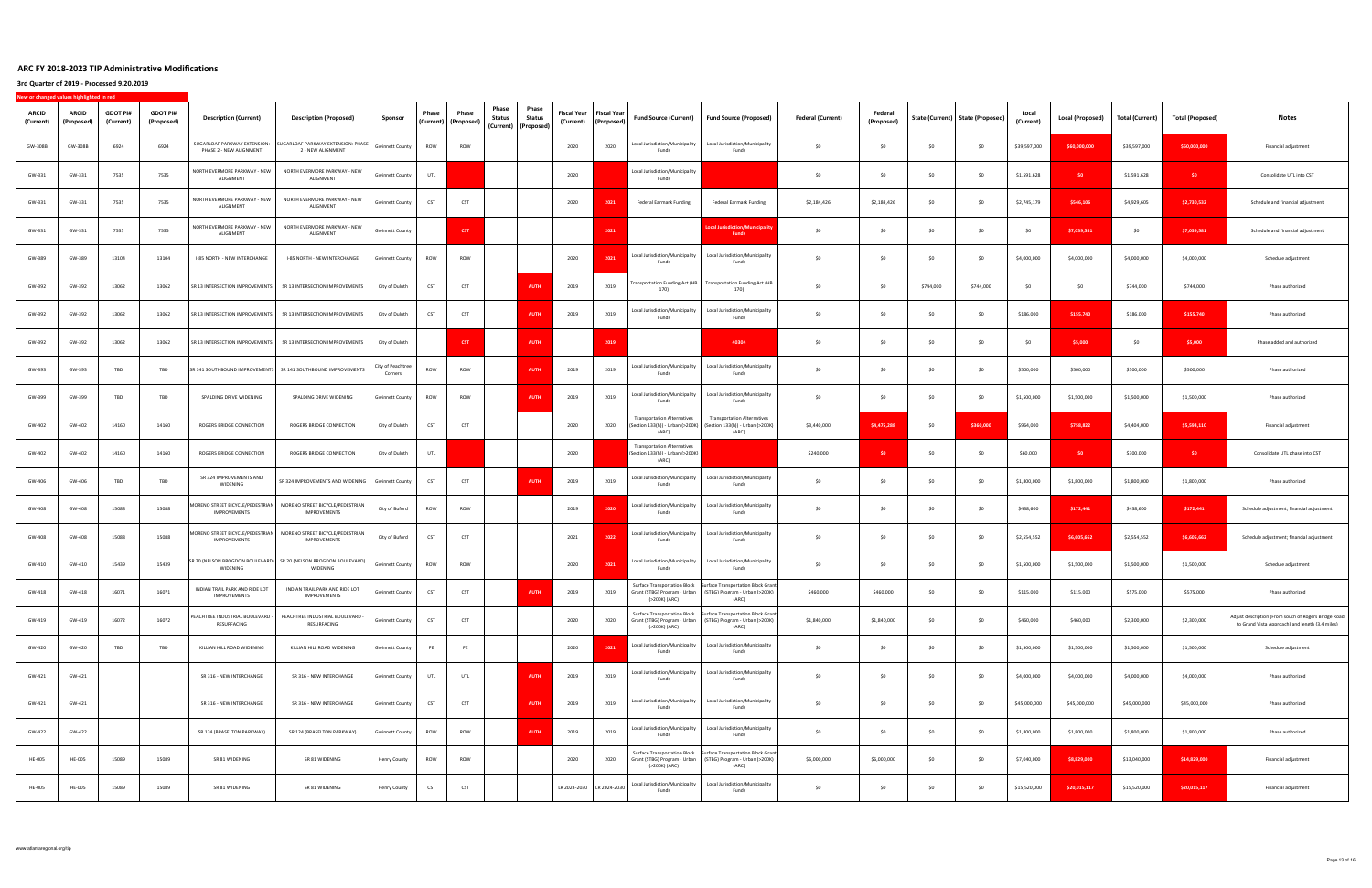| <b>ARCID</b><br>(Current) | <b>ARCID</b><br>(Proposed) | <b>GDOT PI#</b><br>(Current) | <b>GDOT PI#</b><br>(Proposed) | <b>Description (Current)</b>                            | <b>Description (Proposed)</b>                                                       | Sponsor                     | Phase      | Phase<br>(Current) (Proposed) | Phase<br>Status | Phase<br>Status<br>(Current) (Proposed) | <b>Fiscal Year</b><br>(Current) | Fiscal Year<br>(Proposed) | <b>Fund Source (Current)</b>                                                    | <b>Fund Source (Proposed)</b>                                                                                                           | <b>Federal (Current)</b> | Federal<br>(Proposed) |           | State (Current)   State (Proposed) | Local<br>(Current) | Local (Proposed) | Total (Current) | Total (Proposed) | Notes                                                                                                   |
|---------------------------|----------------------------|------------------------------|-------------------------------|---------------------------------------------------------|-------------------------------------------------------------------------------------|-----------------------------|------------|-------------------------------|-----------------|-----------------------------------------|---------------------------------|---------------------------|---------------------------------------------------------------------------------|-----------------------------------------------------------------------------------------------------------------------------------------|--------------------------|-----------------------|-----------|------------------------------------|--------------------|------------------|-----------------|------------------|---------------------------------------------------------------------------------------------------------|
| GW-308B                   | GW-308B                    | 6924                         | 6924                          | SUGARLOAF PARKWAY EXTENSION:<br>PHASE 2 - NEW ALIGNMENT | SUGARLOAF PARKWAY EXTENSION: PHASE<br>2 - NEW ALIGNMENT                             | <b>Gwinnett County</b>      | ROW        | ROW                           |                 |                                         | 2020                            | 2020                      | Local Jurisdiction/Municipality<br>Funds                                        | Local Jurisdiction/Municipality<br>Funds                                                                                                | \$0                      | SO                    | \$0       | \$0                                | \$39,597,000       | \$60,000,000     | \$39,597,000    | \$60,000,000     | Financial adjustment                                                                                    |
| GW-331                    | GW-331                     | 7535                         | 7535                          | NORTH EVERMORE PARKWAY - NEW<br>ALIGNMENT               | NORTH EVERMORE PARKWAY - NEW<br>ALIGNMENT                                           | <b>Gwinnett County</b>      | UTL        |                               |                 |                                         | 2020                            |                           | Local Jurisdiction/Municipality<br>Funds                                        |                                                                                                                                         | \$0                      | \$0                   | \$0       | \$0                                | \$1,591,628        | \$0              | \$1,591,628     | \$0              | Consolidate UTL into CST                                                                                |
| GW-331                    | GW-331                     | 7535                         | 7535                          | NORTH EVERMORE PARKWAY - NEW<br>ALIGNMENT               | NORTH EVERMORE PARKWAY - NEW<br>ALIGNMENT                                           | <b>Gwinnett County</b>      | CST        | CST                           |                 |                                         | 2020                            | 2021                      | Federal Earmark Funding                                                         | <b>Federal Earmark Funding</b>                                                                                                          | \$2,184,426              | \$2,184,426           | SO        | \$0                                | \$2,745,179        | \$546,106        | \$4,929,605     | \$2,730,532      | Schedule and financial adjustment                                                                       |
| GW-331                    | GW-331                     | 7535                         | 7535                          | NORTH EVERMORE PARKWAY - NEW<br>ALIGNMENT               | NORTH EVERMORE PARKWAY - NEW<br>ALIGNMENT                                           | <b>Gwinnett County</b>      |            | CST                           |                 |                                         |                                 | 2021                      |                                                                                 | ocal Jurisdiction/Municipalit<br>Funds                                                                                                  | \$0                      | \$0                   | \$0       | \$0                                | SO.                | \$7,039,581      | \$0             | \$7,039,581      | Schedule and financial adjustment                                                                       |
| GW-389                    | GW-389                     | 13104                        | 13104                         | I-85 NORTH - NEW INTERCHANGE                            | I-85 NORTH - NEW INTERCHANGE                                                        | Gwinnett County             | ROW        | ROW                           |                 |                                         | 2020                            | 2021                      | Local Jurisdiction/Municipality<br>Funds                                        | Local Jurisdiction/Municipality<br>Funds                                                                                                | \$0                      | SO                    | \$0       | \$0                                | \$4,000,000        | \$4,000,000      | \$4,000,000     | \$4,000,000      | Schedule adjustment                                                                                     |
| GW-392                    | GW-392                     | 13062                        | 13062                         | SR 13 INTERSECTION IMPROVEMENTS                         | SR 13 INTERSECTION IMPROVEMENTS                                                     | City of Duluth              | CST        | CST                           |                 | <b>AUTH</b>                             | 2019                            | 2019                      | <b>Fransportation Funding Act (HB</b><br>170)                                   | <b>Transportation Funding Act (HB</b><br>170)                                                                                           | \$O                      | SO                    | \$744,000 | \$744,000                          | SO.                | SO               | \$744,000       | \$744,000        | Phase authorized                                                                                        |
| GW-392                    | GW-392                     | 13062                        | 13062                         | SR 13 INTERSECTION IMPROVEMENTS                         | SR 13 INTERSECTION IMPROVEMENTS                                                     | City of Duluth              | CST        | CST                           |                 | <b>AUTI</b>                             | 2019                            | 2019                      | Local Jurisdiction/Municipality<br>Funds                                        | Local Jurisdiction/Municipality<br>Funds                                                                                                | SO                       | SO                    | SO        | \$0                                | \$186,000          | \$155,740        | \$186,000       | \$155,740        | Phase authorized                                                                                        |
| GW-392                    | GW-392                     | 13062                        | 13062                         | SR 13 INTERSECTION IMPROVEMENTS                         | SR 13 INTERSECTION IMPROVEMENTS                                                     | City of Duluth              |            | <b>CST</b>                    |                 | <b>AUTH</b>                             |                                 | 2019                      |                                                                                 | 40304                                                                                                                                   | \$0                      | \$0                   | \$0       | \$0                                | \$0                | \$5,000          | \$0             | \$5,000          | Phase added and authorized                                                                              |
| GW-393                    | GW-393                     | TBD                          | TBD                           |                                                         | SR 141 SOUTHBOUND IMPROVEMENTS SR 141 SOUTHBOUND IMPROVEMENTS                       | City of Peachtre<br>Corners | ROW        | ROW                           |                 | <b>AUTH</b>                             | 2019                            | 2019                      | Local Jurisdiction/Municipality<br>Funds                                        | Local Jurisdiction/Municipality<br>Funds                                                                                                | \$0                      | \$0                   | \$0       | \$0                                | \$500,000          | \$500,000        | \$500,000       | \$500,000        | Phase authorized                                                                                        |
| GW-399                    | GW-399                     | TBD                          | TBD                           | SPALDING DRIVE WIDENING                                 | SPALDING DRIVE WIDENING                                                             | <b>Gwinnett County</b>      | ROW        | ROW                           |                 | <b>AUTH</b>                             | 2019                            | 2019                      | Local Jurisdiction/Municipality<br>Funds                                        | Local Jurisdiction/Municipality<br>Funds                                                                                                | \$0                      | \$0                   | \$0       | \$0                                | \$1,500,000        | \$1,500,000      | \$1,500,000     | \$1,500,000      | Phase authorized                                                                                        |
| GW-402                    | GW-402                     | 14160                        | 14160                         | ROGERS BRIDGE CONNECTION                                | ROGERS BRIDGE CONNECTION                                                            | City of Duluth              | CST        | CST                           |                 |                                         | 2020                            | 2020                      | <b>Transportation Alternatives</b><br>(Section 133(h)) - Urban (>200K)<br>(ARC) | <b>Transportation Alternative</b><br>(Section 133(h)) - Urban (>200K)<br>(ARC)                                                          | \$3,440,000              | \$4,475,288           | \$0       | \$360,000                          | \$964,000          | \$758,822        | \$4,404,000     | \$5,594,110      | Financial adjustment                                                                                    |
| GW-402                    | GW-402                     | 14160                        | 14160                         | ROGERS BRIDGE CONNECTION                                | ROGERS BRIDGE CONNECTION                                                            | City of Duluth              | UTL        |                               |                 |                                         | 2020                            |                           | <b>Transportation Alternatives</b><br>(Section 133(h)) - Urban (>200K)<br>(ARC) |                                                                                                                                         | \$240,000                | \$0                   | \$0       | \$0                                | \$60,000           | SO.              | \$300,000       | \$0              | Consolidate UTL phase into CST                                                                          |
| GW-406                    | GW-406                     | TBD                          | TBD                           | SR 324 IMPROVEMENTS AND<br>WIDENING                     | SR 324 IMPROVEMENTS AND WIDENING                                                    | <b>Gwinnett County</b>      | CST        | CST                           |                 | AUTH                                    | 2019                            | 2019                      | Local Jurisdiction/Municipality<br>Funds                                        | Local Jurisdiction/Municipality<br>Funds                                                                                                | \$0                      | - SO                  | SO.       | \$0                                | \$1,800,000        | \$1,800,000      | \$1,800,000     | \$1,800,000      | Phase authorized                                                                                        |
| GW-408                    | GW-408                     | 15088                        | 15088                         | IMPROVEMENTS                                            | MORENO STREET BICYCLE/PEDESTRIAN   MORENO STREET BICYCLE/PEDESTRIAN<br>IMPROVEMENTS | City of Buford              | ROW        | ROW                           |                 |                                         | 2019                            | 2020                      | Local Jurisdiction/Municipality<br>Funds                                        | Local Jurisdiction/Municipality<br>Funds                                                                                                | \$0                      | \$0                   | \$0       | \$0                                | \$438,600          | \$172,441        | \$438,600       | \$172,441        | Schedule adjustment; financial adjustment                                                               |
| GW-408                    | GW-408                     | 15088                        | 15088                         | IMPROVEMENTS                                            | MORENO STREET BICYCLE/PEDESTRIAN   MORENO STREET BICYCLE/PEDESTRIAN<br>IMPROVEMENTS | City of Buford              | CST        | CST                           |                 |                                         | 2021                            | 202                       | Local Jurisdiction/Municipality<br>Funds                                        | Local Jurisdiction/Municipality<br>Funds                                                                                                | \$0                      | SO                    | \$0       | \$0                                | \$2,554,552        | \$6,605,662      | \$2,554,552     | \$6,605,662      | Schedule adjustment; financial adjustment                                                               |
| GW-410                    | GW-410                     | 15439                        | 15439                         | WIDENING                                                | SR 20 (NELSON BROGDON BOULEVARD) SR 20 (NELSON BROGDON BOULEVARD)<br>WIDENING       | <b>Gwinnett County</b>      | ROW        | ROW                           |                 |                                         | 2020                            | 2021                      | Local Jurisdiction/Municipality<br>Funds                                        | Local Jurisdiction/Municipality<br>Funds                                                                                                | \$0                      | \$0                   | \$0       | \$0                                | \$1,500,000        | \$1,500,000      | \$1,500,000     | \$1,500,000      | Schedule adjustment                                                                                     |
| GW-418                    | GW-418                     | 16071                        | 16071                         | INDIAN TRAIL PARK AND RIDE LOT<br><b>IMPROVEMENTS</b>   | INDIAN TRAIL PARK AND RIDE LOT<br>IMPROVEMENTS                                      | <b>Gwinnett County</b>      | CST        | CST                           |                 | <b>AUTH</b>                             | 2019                            | 2019                      | (>200K) (ARC)                                                                   | Surface Transportation Block Surface Transportation Block Grant<br>Grant (STBG) Program - Urban (STBG) Program - Urban (>200K)<br>(AKL) | \$460,000                | \$460,000             | SO        | \$0                                | \$115,000          | \$115,000        | \$575,000       | \$575,000        | Phase authorized                                                                                        |
| GW-419                    | GW-419                     | 16072                        | 16072                         | PEACHTREE INDUSTRIAL BOULEVARD -<br>RESURFACING         | PEACHTREE INDUSTRIAL BOULEVARD -<br>RESURFACING                                     | <b>Gwinnett County</b>      | CST        | CST                           |                 |                                         | 2020                            | 2020                      | (>200K) (ARC)                                                                   | Surface Transportation Block Surface Transportation Block Grant<br>Grant (STBG) Program - Urban (STBG) Program - Urban (>200K)<br>(ARC) | \$1,840,000              | \$1,840,000           | \$0       | \$0                                | \$460,000          | \$460,000        | \$2,300,000     | \$2,300,000      | Adjust description (From south of Rogers Bridge Road<br>to Grand Vista Approach) and length (3.4 miles) |
| GW-420                    | GW-420                     | TBD                          | TBD                           | KILLIAN HILL ROAD WIDENING                              | KILLIAN HILL ROAD WIDENING                                                          | <b>Gwinnett County</b>      | PE         | PE                            |                 |                                         | 2020                            | 2021                      | Local Jurisdiction/Municipality<br>Funds                                        | Local Jurisdiction/Municipality<br>Funds                                                                                                | \$0                      | \$0                   | \$0       | \$0                                | \$1,500,000        | \$1,500,000      | \$1,500,000     | \$1,500,000      | Schedule adjustment                                                                                     |
| GW-421                    | GW-421                     |                              |                               | SR 316 - NEW INTERCHANGE                                | SR 316 - NEW INTERCHANGE                                                            | <b>Gwinnett County</b>      | UTL        | UTL                           |                 | <b>AUTH</b>                             | 2019                            | 2019                      | Local Jurisdiction/Municipality<br>Funds                                        | Local Jurisdiction/Municipality<br>Funds                                                                                                | \$0                      | \$0                   | \$0       | \$0                                | \$4,000,000        | \$4,000,000      | \$4,000,000     | \$4,000,000      | Phase authorized                                                                                        |
| GW-421                    | GW-421                     |                              |                               | SR 316 - NEW INTERCHANGE                                | SR 316 - NEW INTERCHANGE                                                            | <b>Gwinnett County</b>      | CST        | CST                           |                 | <b>AUTH</b>                             | 2019                            | 2019                      | Local Jurisdiction/Municipality<br>Funds                                        | Local Jurisdiction/Municipality<br>Funds                                                                                                | \$0                      | \$0                   | \$0       | \$0                                | \$45,000,000       | \$45,000,000     | \$45,000,000    | \$45,000,000     | Phase authorized                                                                                        |
| GW-422                    | GW-422                     |                              |                               | SR 124 (BRASELTON PARKWAY)                              | SR 124 (BRASELTON PARKWAY)                                                          | <b>Gwinnett County</b>      | ROW        | ROW                           |                 | AUTH                                    | 2019                            | 2019                      | Local Jurisdiction/Municipality<br>Funds                                        | Local Jurisdiction/Municipality<br>Funds                                                                                                | \$0                      | \$0                   | \$0       | \$0                                | \$1,800,000        | \$1,800,000      | \$1,800,000     | \$1,800,000      | Phase authorized                                                                                        |
| <b>HE-005</b>             | HE-005                     | 15089                        | 15089                         | SR 81 WIDENING                                          | SR 81 WIDENING                                                                      | Henry County                | ROW        | ROW                           |                 |                                         | 2020                            | 2020                      | <b>Surface Transportation Block</b><br>(>200K) (ARC)                            | <b>Surface Transportation Block Grant</b><br>Grant (STBG) Program - Urban   (STBG) Program - Urban (>200K)<br>(ARC)                     | \$6,000,000              | \$6,000,000           | \$0       | \$0                                | \$7,040,000        | \$8,829,000      | \$13,040,000    | \$14,829,000     | Financial adjustment                                                                                    |
| <b>HE-005</b>             | HE-005                     | 15089                        | 15089                         | SR 81 WIDENING                                          | SR 81 WIDENING                                                                      | <b>Henry County</b>         | <b>CST</b> | <b>CST</b>                    |                 |                                         | LR 2024-2030 LR 2024-2030       |                           | Local Jurisdiction/Municipality<br>Funds                                        | Local Jurisdiction/Municipality<br>Funds                                                                                                | \$0                      | \$0                   | \$0       | \$0                                | \$15,520,000       | \$20,015,117     | \$15,520,000    | \$20,015,117     | Financial adjustment                                                                                    |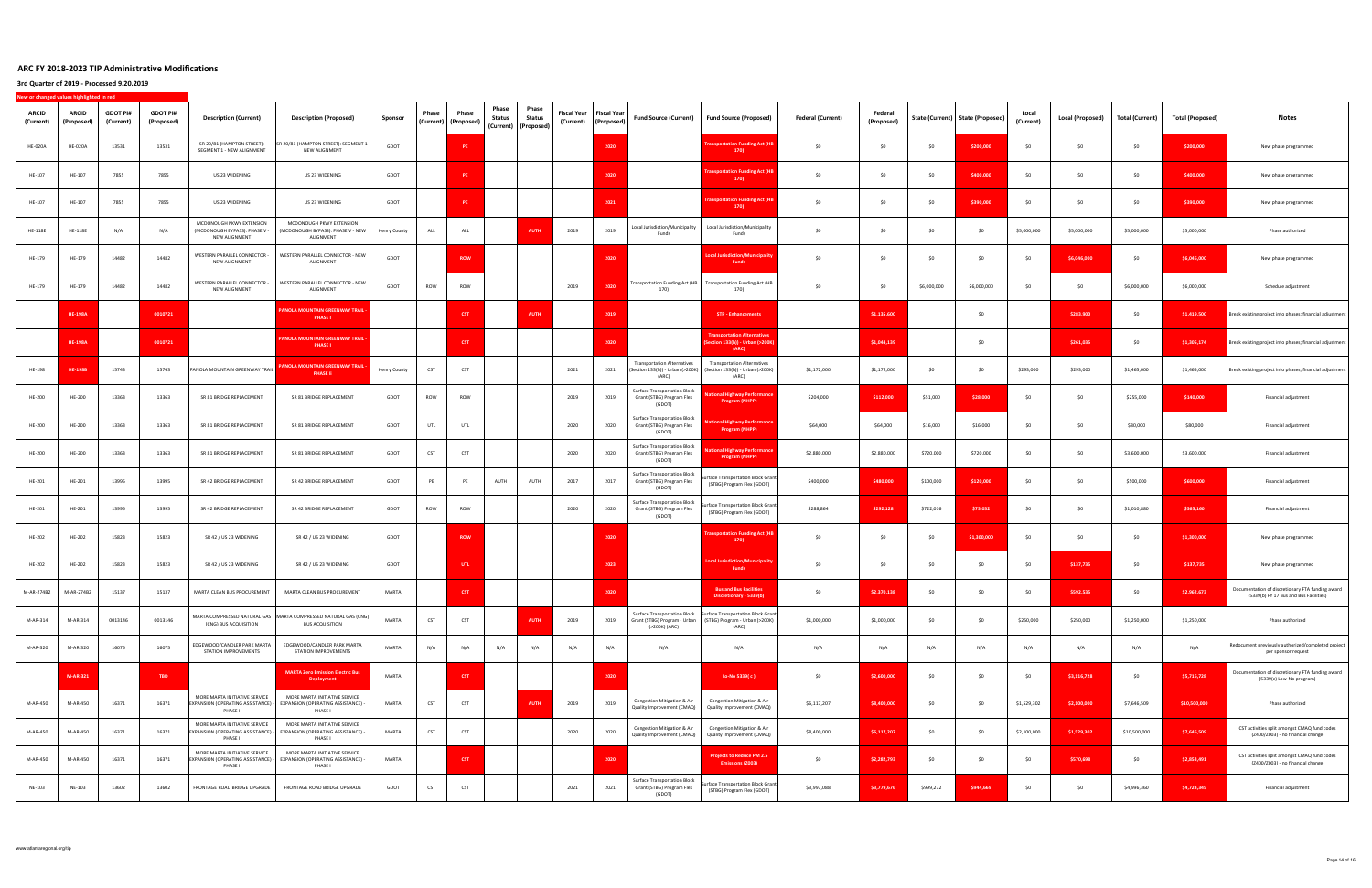| ARCID<br>(Current) | <b>ARCID</b><br>(Proposed) | <b>GDOT PI#</b><br>(Current) | <b>GDOT PI#</b><br>(Proposed) | <b>Description (Current)</b>                                                   | <b>Description (Proposed)</b>                                                                                     | Sponsor      | Phase | Phase<br>(Current)   (Proposed) | Phase<br>Status | Phase<br>Status<br>(Current) (Proposed) | <b>Fiscal Year</b> | Fiscal Year<br>(Current) (Proposed) | <b>Fund Source (Current)</b>                                                    | Fund Source (Proposed)                                                                                                                  | <b>Federal (Current)</b> | Federal<br>(Proposed) |             | State (Current) State (Proposed) | Local<br>(Current) | Local (Proposed) | Total (Current) | <b>Total (Proposed)</b> | Notes                                                                                      |
|--------------------|----------------------------|------------------------------|-------------------------------|--------------------------------------------------------------------------------|-------------------------------------------------------------------------------------------------------------------|--------------|-------|---------------------------------|-----------------|-----------------------------------------|--------------------|-------------------------------------|---------------------------------------------------------------------------------|-----------------------------------------------------------------------------------------------------------------------------------------|--------------------------|-----------------------|-------------|----------------------------------|--------------------|------------------|-----------------|-------------------------|--------------------------------------------------------------------------------------------|
| <b>HE-020A</b>     | <b>HE-020A</b>             | 13531                        | 13531                         | SR 20/81 (HAMPTON STREET):<br>SEGMENT 1 - NEW ALIGNMENT                        | SR 20/81 (HAMPTON STREET): SEGMENT 1<br>NEW ALIGNMENT                                                             | GDOT         |       | PE                              |                 |                                         |                    | 2020                                |                                                                                 | ansportation Funding Act (I<br>170                                                                                                      | \$0                      | \$0                   | \$0         | \$200,000                        | SO.                | \$0              | \$0             | \$200,000               | New phase programmed                                                                       |
| HE-107             | HE-107                     | 7855                         | 7855                          | US 23 WIDENING                                                                 | US 23 WIDENING                                                                                                    | GDOT         |       | PE                              |                 |                                         |                    | 2020                                |                                                                                 | nsportation Funding Act (H<br>170)                                                                                                      | \$0                      | \$0                   | \$0         | \$400,000                        | SO.                | \$0              | \$0             | \$400,000               | New phase programmed                                                                       |
| HE-107             | HE-107                     | 7855                         | 7855                          | US 23 WIDENING                                                                 | US 23 WIDENING                                                                                                    | GDOT         |       | PE                              |                 |                                         |                    | 2021                                |                                                                                 | ansportation Funding Act (HB<br>170)                                                                                                    | \$0                      | \$0                   | \$0         | \$390,000                        | SO                 | \$0              | \$0             | \$390,000               | New phase programmed                                                                       |
| <b>HE-118E</b>     | HE-118E                    | N/A                          | N/A                           | MCDONOUGH PKWY EXTENSION<br>(MCDONOUGH BYPASS): PHASE V -<br>NEW ALIGNMENT     | MCDONOUGH PKWY EXTENSION<br>(MCDONOUGH BYPASS): PHASE V - NEW<br>ALIGNMENT                                        | Henry County | ALL   | ALL                             |                 | <b>AUTH</b>                             | 2019               | 2019                                | Local Jurisdiction/Municipality<br>Funds                                        | Local Jurisdiction/Municipality<br>Funds                                                                                                | \$0                      | \$0                   | \$0         | \$0                              | \$5,000,000        | \$5,000,000      | \$5,000,000     | \$5,000,000             | Phase authorized                                                                           |
| HE-179             | HE-179                     | 14482                        | 14482                         | WESTERN PARALLEL CONNECTOR -<br>NEW ALIGNMENT                                  | WESTERN PARALLEL CONNECTOR - NEW<br>ALIGNMENT                                                                     | GDOT         |       | ROW                             |                 |                                         |                    | 2020                                |                                                                                 | <b>pcal Jurisdiction/Municipalit</b><br><b>Funds</b>                                                                                    | \$0                      | \$0                   | \$0         | \$0                              | -SO                | \$6,046,000      | \$0             | \$6,046,000             | New phase programmed                                                                       |
| HE-179             | HE-179                     | 14482                        | 14482                         | WESTERN PARALLEL CONNECTOR -<br>NEW ALIGNMENT                                  | WESTERN PARALLEL CONNECTOR - NEW<br>ALIGNMENT                                                                     | GDOT         | ROW   | ROW                             |                 |                                         | 2019               | 2020                                | 170)                                                                            | Transportation Funding Act (HB Transportation Funding Act (HB<br>170)                                                                   | \$0                      | \$0                   | \$6,000,000 | \$6,000,000                      | - SO               | \$0              | \$6,000,000     | \$6,000,000             | Schedule adjustment                                                                        |
|                    | <b>HE-198A</b>             |                              | 0010721                       |                                                                                | PANOLA MOUNTAIN GREENWAY TRAIL<br><b>PHASE I</b>                                                                  |              |       | <b>CST</b>                      |                 | <b>AUTH</b>                             |                    | 2019                                |                                                                                 | <b>STP - Enhancements</b>                                                                                                               |                          | \$1,135,600           |             | \$0                              |                    | \$283,900        | \$0             | \$1,419,500             | Break existing project into phases; financial adjustment                                   |
|                    | <b>HE-198A</b>             |                              | 0010721                       |                                                                                | PANOLA MOUNTAIN GREENWAY TRAIL -<br><b>PHASE I</b>                                                                |              |       | <b>CST</b>                      |                 |                                         |                    | 2020                                |                                                                                 | ransportation Alternatives<br>ction 133(h)) - Urban (>2001<br>(ARC)                                                                     |                          | \$1,044,139           |             | \$0                              |                    | \$261,035        | \$0             | \$1,305,174             | Break existing project into phases; financial adjustment                                   |
| HE-198             | <b>HE-198B</b>             | 15743                        | 15743                         | PANOLA MOUNTAIN GREENWAY TRAIL                                                 | ANOLA MOUNTAIN GREENWAY TRAII<br><b>PHASE II</b>                                                                  | Henry County | CST   | CST                             |                 |                                         | 2021               | 2021                                | <b>Transportation Alternatives</b><br>(Section 133(h)) - Urban (>200K)<br>(ARC) | <b>Transportation Alternatives</b><br>(Section 133(h)) - Urban (>200K)<br>(ARC)                                                         | \$1,172,000              | \$1,172,000           | \$0         | \$0                              | \$293,000          | \$293,000        | \$1,465,000     | \$1,465,000             | Break existing project into phases; financial adjustment                                   |
| <b>HE-200</b>      | HE-200                     | 13363                        | 13363                         | SR 81 BRIDGE REPLACEMENT                                                       | SR 81 BRIDGE REPLACEMENT                                                                                          | GDOT         | ROW   | ROW                             |                 |                                         | 2019               | 2019                                | <b>Surface Transportation Block</b><br>Grant (STBG) Program Flex<br>(GDOT)      | 1al Highway Performan<br><b>Program (NHPP)</b>                                                                                          | \$204,000                | \$112,000             | \$51,000    | \$28,000                         | SO.                | \$0              | \$255,000       | \$140,000               | Financial adjustment                                                                       |
| HE-200             | HE-200                     | 13363                        | 13363                         | SR 81 BRIDGE REPLACEMENT                                                       | SR 81 BRIDGE REPLACEMENT                                                                                          | GDOT         | UTL   | UTL                             |                 |                                         | 2020               | 2020                                | Surface Transportation Block<br>Grant (STBG) Program Flex<br>(GDOT)             | onal Highway Performan<br>Program (NHPP)                                                                                                | \$64,000                 | \$64,000              | \$16,000    | \$16,000                         | \$0                | \$0              | \$80,000        | \$80,000                | Financial adjustment                                                                       |
| HE-200             | HE-200                     | 13363                        | 13363                         | SR 81 BRIDGE REPLACEMENT                                                       | SR 81 BRIDGE REPLACEMENT                                                                                          | GDOT         | CST   | CST                             |                 |                                         | 2020               | 2020                                | Surface Transportation Block<br>Grant (STBG) Program Flex<br>(GDOT)             | <b>onal Highway Performanc</b><br>Program (NHPP)                                                                                        | \$2,880,000              | \$2,880,000           | \$720,000   | \$720,000                        | \$0                | \$0              | \$3,600,000     | \$3,600,000             | Financial adjustment                                                                       |
| HE-201             | HE-201                     | 13995                        | 13995                         | SR 42 BRIDGE REPLACEMENT                                                       | SR 42 BRIDGE REPLACEMENT                                                                                          | GDOT         | PE    | PE                              | AUTH            | AUTH                                    | 2017               | 2017                                | Surface Transportation Block<br>Grant (STBG) Program Flex<br>(GDOT)             | urface Transportation Block Grant<br>(STBG) Program Flex (GDOT)                                                                         | \$400,000                | \$480,000             | \$100,000   | \$120,000                        | SO.                | \$0              | \$500,000       | \$600,000               | Financial adjustment                                                                       |
| HE-201             | HE-201                     | 13995                        | 13995                         | SR 42 BRIDGE REPLACEMENT                                                       | SR 42 BRIDGE REPLACEMENT                                                                                          | GDOT         | ROW   | ROW                             |                 |                                         | 2020               | 2020                                | Surface Transportation Block<br>Grant (STBG) Program Flex<br>(GDOT)             | Surface Transportation Block Grant<br>(STBG) Program Flex (GDOT)                                                                        | \$288,864                | \$292,128             | \$722,016   | \$73,032                         | SO.                | \$0              | \$1,010,880     | \$365,160               | Financial adjustment                                                                       |
| HE-202             | HE-202                     | 15823                        | 15823                         | SR 42 / US 23 WIDENING                                                         | SR 42 / US 23 WIDENING                                                                                            | GDOT         |       | <b>ROW</b>                      |                 |                                         |                    | 2020                                |                                                                                 | ransportation Funding Act (H<br>170)                                                                                                    | \$0                      | \$0                   | \$0         | \$1,300,000                      | SO.                | \$0              | \$0             | \$1,300,000             | New phase programmed                                                                       |
| HE-202             | HE-202                     | 15823                        | 15823                         | SR 42 / US 23 WIDENING                                                         | SR 42 / US 23 WIDENING                                                                                            | GDOT         |       | <b>UTL</b>                      |                 |                                         |                    | 2023                                |                                                                                 | ocal Jurisdiction/Municipalit<br><b>Funds</b>                                                                                           | \$0                      | \$0                   | \$0         | \$0                              | -SO                | \$137,735        | \$0             | \$137,735               | New phase programmed                                                                       |
| M-AR-274B2         | M-AR-274B2                 | 15137                        | 15137                         | MARTA CLEAN BUS PROCUREMENT                                                    | MARTA CLEAN BUS PROCUREMENT                                                                                       | MARTA        |       | <b>CST</b>                      |                 |                                         |                    | 2020                                |                                                                                 | <b>Bus and Bus Facilities</b><br>iscretionary - 5339(b                                                                                  | \$0                      | \$2,370,138           | \$0         | \$0                              | SO                 | \$592,535        | \$0             | \$2,962,673             | Documentation of discretionary FTA funding award<br>(5339(b) FY 17 Bus and Bus Facilities) |
| M-AR-314           | M-AR-314                   | 0013146                      | 0013146                       | (CNG) BUS ACQUISITION                                                          | MARTA COMPRESSED NATURAL GAS   MARTA COMPRESSED NATURAL GAS (CNG)<br><b>BUS ACQUISITION</b>                       | MARTA        | CST   | CST                             |                 | <b>AUTH</b>                             | 2019               | 2019                                | (>200K) (ARC)                                                                   | Surface Transportation Block Surface Transportation Block Grant<br>Grant (STBG) Program - Urban (STBG) Program - Urban (>200K)<br>(ARC) | \$1,000,000              | \$1,000,000           | \$0         | \$0                              | \$250,000          | \$250,000        | \$1,250,000     | \$1,250,000             | Phase authorized                                                                           |
| M-AR-320           | M-AR-320                   | 16075                        | 16075                         | EDGEWOOD/CANDLER PARK MARTA<br>STATION IMPROVEMENTS                            | EDGEWOOD/CANDLER PARK MARTA<br>STATION IMPROVEMENTS                                                               | MARTA        | N/A   | N/A                             | N/A             | N/A                                     | N/A                | N/A                                 | N/A                                                                             | N/A                                                                                                                                     | N/A                      | N/A                   | N/A         | N/A                              | N/A                | N/A              | N/A             | N/A                     | Redocument previously authorized/completed project<br>per sponsor request                  |
|                    | M-AR-321                   |                              | TBD                           |                                                                                | <b>MARTA Zero Emission Electric Bus</b><br><b>Deployment</b>                                                      | MARTA        |       | <b>CST</b>                      |                 |                                         |                    | 2020                                |                                                                                 | Lo-No 5339(c)                                                                                                                           | \$0                      | \$2,600,000           | \$0         | \$0                              | SO.                | \$3,116,728      | \$0             | \$5,716,728             | Documentation of discretionary FTA funding award<br>(5339(c) Low-No program)               |
| M-AR-450           | M-AR-450                   | 16371                        | 16371                         | MORE MARTA INITIATIVE SERVICE<br>PHASE I                                       | MORE MARTA INITIATIVE SERVICE<br>EXPANSION (OPERATING ASSISTANCE) - EXPANSION (OPERATING ASSISTANCE) -<br>PHASE I | MARTA        | CST   | CST                             |                 | <b>AUTH</b>                             | 2019               | 2019                                | Congestion Mitigation & Air<br>Quality Improvement (CMAQ)                       | Congestion Mitigation & Air<br>Quality Improvement (CMAQ)                                                                               | \$6,117,207              | \$8,400,000           | \$0         | \$0                              | \$1,529,302        | \$2,100,000      | \$7,646,509     | \$10,500,000            | Phase authorized                                                                           |
| M-AR-450           | M-AR-450                   | 16371                        | 16371                         | MORE MARTA INITIATIVE SERVICE<br>EXPANSION (OPERATING ASSISTANCE) -<br>PHASE I | MORE MARTA INITIATIVE SERVICE<br>EXPANSION (OPERATING ASSISTANCE)<br>PHASE I                                      | MARTA        | CST   | CST                             |                 |                                         | 2020               | 2020                                | Congestion Mitigation & Air<br>Quality Improvement (CMAQ)                       | Congestion Mitigation & Air<br>Quality Improvement (CMAQ)                                                                               | \$8,400,000              | \$6,117,207           | \$0         | \$0                              | \$2,100,000        | \$1,529,302      | \$10,500,000    | \$7,646,509             | CST activities split amongst CMAQ fund codes<br>(Z400/Z003) - no financial change          |
| M-AR-450           | M-AR-450                   | 16371                        | 16371                         | MORE MARTA INITIATIVE SERVICE<br>EXPANSION (OPERATING ASSISTANCE) -<br>PHASE I | MORE MARTA INITIATIVE SERVICE<br>EXPANSION (OPERATING ASSISTANCE)<br>PHASE I                                      | MARTA        |       | <b>CST</b>                      |                 |                                         |                    | 2020                                |                                                                                 | <b>Projects to Reduce PM 2.5</b><br>Emissions (Z003)                                                                                    | \$0                      | \$2,282,793           | \$0         | \$0                              | \$0                | \$570,698        | \$0             | \$2,853,491             | CST activities split amongst CMAQ fund codes<br>(Z400/Z003) - no financial change          |
| NE-103             | NE-103                     | 13602                        | 13602                         | FRONTAGE ROAD BRIDGE UPGRADE                                                   | FRONTAGE ROAD BRIDGE UPGRADE                                                                                      | GDOT         | CST   | CST                             |                 |                                         | 2021               | 2021                                | <b>Surface Transportation Block</b><br>Grant (STBG) Program Flex<br>(GDOT)      | Surface Transportation Block Grant<br>(STBG) Program Flex (GDOT)                                                                        | \$3,997,088              | \$3,779,676           | \$999,272   | \$944,669                        | SO.                | \$0              | \$4,996,360     | \$4,724,345             | Financial adjustment                                                                       |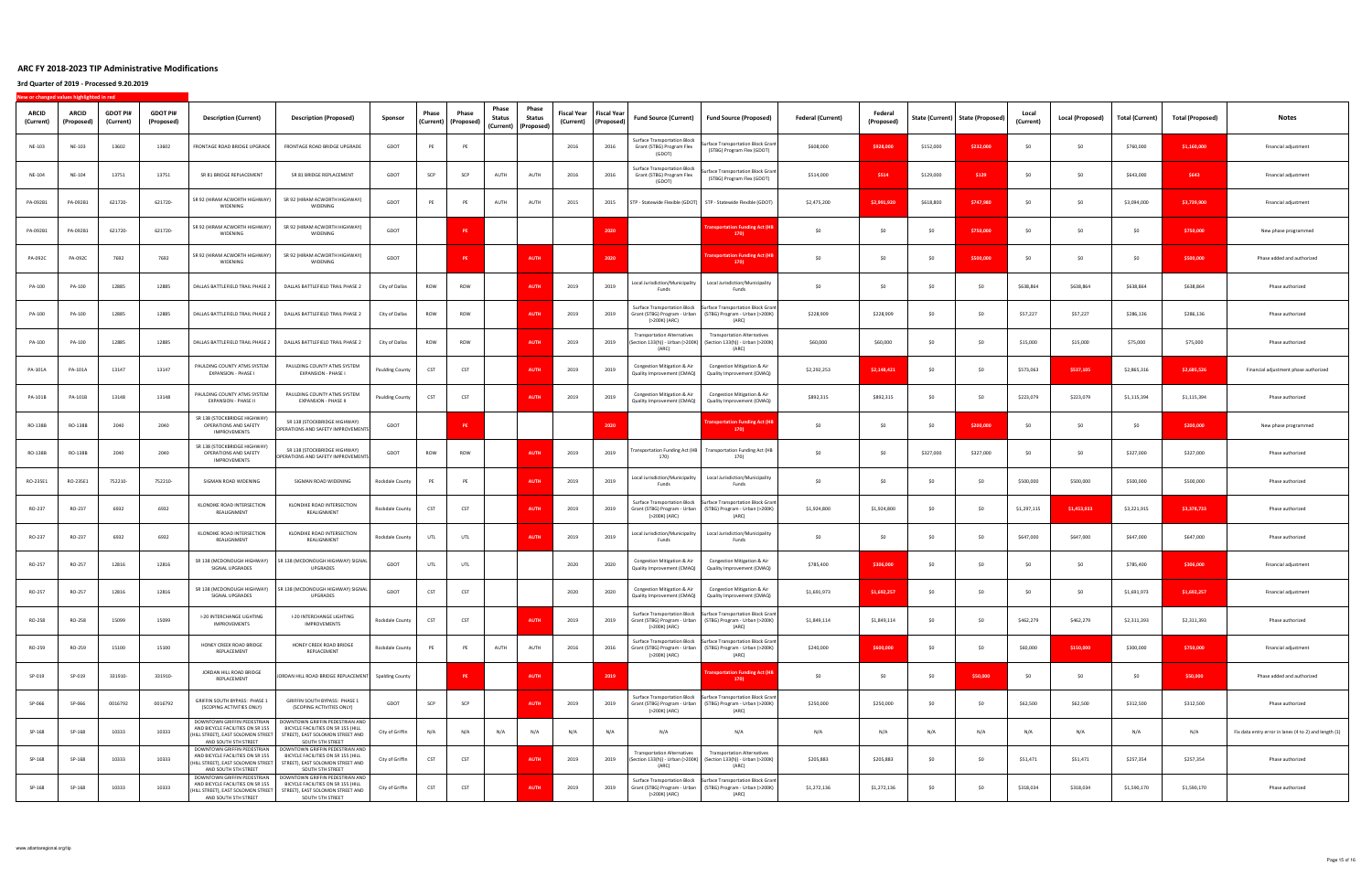| <b>ARCID</b><br>(Current) | <b>ARCID</b><br>(Proposed) | <b>GDOT PI#</b><br>(Current) | <b>GDOT PI#</b><br>(Proposed) | <b>Description (Current)</b>                                                                                                  | <b>Description (Proposed)</b>                                                                                                 | Sponsor                | Phase<br>(Current) | Phase<br>(Proposed) | Phase<br>Status | Phase<br>Status<br>(Current) (Proposed) | Fiscal Year<br>(Current) | <b>Fiscal Year</b><br>(Proposed) | <b>Fund Source (Current)</b>                                               | Fund Source (Proposed)                                                                                                                    | <b>Federal (Current)</b> | Federal<br>(Proposed) |           | State (Current)   State (Proposed) | Loca<br>(Current) | <b>Local (Proposed)</b> | Total (Current) | <b>Total (Proposed)</b> | Notes                                                 |
|---------------------------|----------------------------|------------------------------|-------------------------------|-------------------------------------------------------------------------------------------------------------------------------|-------------------------------------------------------------------------------------------------------------------------------|------------------------|--------------------|---------------------|-----------------|-----------------------------------------|--------------------------|----------------------------------|----------------------------------------------------------------------------|-------------------------------------------------------------------------------------------------------------------------------------------|--------------------------|-----------------------|-----------|------------------------------------|-------------------|-------------------------|-----------------|-------------------------|-------------------------------------------------------|
| NE-103                    | NE-103                     | 13602                        | 13602                         | FRONTAGE ROAD BRIDGE UPGRADE                                                                                                  | FRONTAGE ROAD BRIDGE UPGRADE                                                                                                  | GDOT                   | PE                 | PE                  |                 |                                         | 2016                     | 2016                             | <b>Surface Transportation Block</b><br>Grant (STBG) Program Flex<br>(GDOT) | Surface Transportation Block Grant<br>(STBG) Program Flex (GDOT)                                                                          | \$608,000                | \$928,000             | \$152,000 | \$232,000                          |                   | \$0                     | \$760,000       | \$1,160,000             | Financial adjustment                                  |
| NE-104                    | NE-104                     | 13751                        | 13751                         | SR 81 BRIDGE REPLACEMENT                                                                                                      | SR 81 BRIDGE REPLACEMENT                                                                                                      | GDOT                   | SCP                | SCP                 | AUTH            | AUTH                                    | 2016                     | 2016                             | <b>Surface Transportation Block</b><br>Grant (STBG) Program Flex<br>(GDOT) | Surface Transportation Block Grant<br>(STBG) Program Flex (GDOT)                                                                          | \$514,000                | \$514                 | \$129,000 | \$129                              | -SO               | \$0                     | \$643,000       | \$643                   | Financial adjustment                                  |
| PA-092B1                  | PA-092B1                   | 621720-                      | 621720-                       | SR 92 (HIRAM ACWORTH HIGHWAY)<br>WIDENING                                                                                     | SR 92 (HIRAM ACWORTH HIGHWAY)<br>WIDENING                                                                                     | GDOT                   | PE                 | PE                  | AUTH            | AUTH                                    | 2015                     | 2015                             |                                                                            | STP - Statewide Flexible (GDOT) STP - Statewide Flexible (GDOT)                                                                           | \$2,475,200              | \$2,991.920           | \$618,800 | \$747,980                          |                   | \$0                     | \$3,094,000     | \$3,739,900             | Financial adjustment                                  |
| PA-092B1                  | PA-092B1                   | 621720                       | 621720-                       | SR 92 (HIRAM ACWORTH HIGHWAY)<br>WIDENING                                                                                     | SR 92 (HIRAM ACWORTH HIGHWAY)<br>WIDENING                                                                                     | GDOT                   |                    | <b>PF</b>           |                 |                                         |                          | 2020                             |                                                                            | <b>Insportation Funding Act (F</b><br>170)                                                                                                | \$0                      | \$0                   | \$0       | \$750,000                          | SO.               | \$0                     | \$0             | \$750,000               | New phase programmed                                  |
| PA-092C                   | PA-092C                    | 7692                         | 7692                          | SR 92 (HIRAM ACWORTH HIGHWAY)<br>WIDENING                                                                                     | SR 92 (HIRAM ACWORTH HIGHWAY)<br>WIDENING                                                                                     | GDOT                   |                    | PF                  |                 | <b>AUTH</b>                             |                          | 2020                             |                                                                            | nsportation Funding Act (H<br>170                                                                                                         | \$0                      | SO                    | \$0       | \$500,000                          | SO.               | \$0                     | \$0             | \$500,000               | Phase added and authorized                            |
| PA-100                    | PA-100                     | 12885                        | 12885                         | DALLAS BATTLEFIELD TRAIL PHASE 2                                                                                              | DALLAS BATTLEFIELD TRAIL PHASE 2                                                                                              | City of Dallas         | ROW                | ROW                 |                 | <b>AUTH</b>                             | 2019                     | 2019                             | Local Jurisdiction/Municipality<br>Funds                                   | Local Jurisdiction/Municipality<br>Funds                                                                                                  | SO                       | \$0                   | -SO       | SO                                 | \$638,864         | \$638,864               | \$638,864       | \$638,864               | Phase authorized                                      |
| PA-100                    | PA-100                     | 12885                        | 12885                         | DALLAS BATTLEFIELD TRAIL PHASE 2                                                                                              | DALLAS BATTLEFIELD TRAIL PHASE 2                                                                                              | City of Dallas         | ROW                | ROW                 |                 | <b>AUT</b>                              | 2019                     | 2019                             | (>200K) (ARC)                                                              | Surface Transportation Block Surface Transportation Block Grant<br>Grant (STBG) Program - Urban (STBG) Program - Urban (>200K)<br>(ARC)   | \$228,909                | \$228,909             | \$0       | SO                                 | \$57,227          | \$57,227                | \$286,136       | \$286,136               | Phase authorized                                      |
| PA-100                    | PA-100                     | 12885                        | 12885                         | DALLAS BATTLEFIELD TRAIL PHASE 2                                                                                              | DALLAS BATTLEFIELD TRAIL PHASE 2                                                                                              | City of Dallas         | ROW                | ROW                 |                 | <b>AUT</b>                              | 2019                     | 2019                             | ransportation Alternatives<br>(Section 133(h)) - Urban (>200K)<br>(ARC)    | <b>Transportation Alternatives</b><br>(Section 133(h)) - Urban (>200K)<br>(ARC)                                                           | \$60,000                 | \$60,000              | SO.       | SO                                 | \$15,000          | \$15,000                | \$75,000        | \$75,000                | Phase authorized                                      |
| PA-101A                   | PA-101A                    | 13147                        | 13147                         | PAULDING COUNTY ATMS SYSTEM<br>EXPANSION - PHASE I                                                                            | PAULDING COUNTY ATMS SYSTEM<br>EXPANSION - PHASE I                                                                            | <b>Paulding County</b> | CST                | CST                 |                 | <b>AUTH</b>                             | 2019                     | 2019                             | Congestion Mitigation & Air<br>Quality Improvement (CMAQ)                  | <b>Congestion Mitigation &amp; Air</b><br>Quality Improvement (CMAQ)                                                                      | \$2,292,253              | \$2,148,421           | \$0       | \$0                                | \$573,063         | \$537,105               | \$2,865,316     | \$2,685,526             | Financial adjustment phase authorized                 |
| PA-101B                   | PA-101B                    | 13148                        | 13148                         | PAULDING COUNTY ATMS SYSTEM<br>EXPANSION - PHASE II                                                                           | PAULDING COUNTY ATMS SYSTEM<br>EXPANSION - PHASE II                                                                           | <b>Paulding County</b> | CST                | CST                 |                 | <b>AUTH</b>                             | 2019                     | 2019                             | Congestion Mitigation & Air<br>Quality Improvement (CMAQ)                  | Congestion Mitigation & Air<br>Quality Improvement (CMAQ)                                                                                 | \$892,315                | \$892,315             | \$0       | \$0                                | \$223,079         | \$223,079               | \$1,115,394     | \$1,115,394             | Phase authorized                                      |
| RO-138B                   | RO-138B                    | 2040                         | 2040                          | SR 138 (STOCKBRIDGE HIGHWAY)<br>OPERATIONS AND SAFETY<br>IMPROVEMENTS                                                         | SR 138 (STOCKBRIDGE HIGHWAY)<br>OPERATIONS AND SAFETY IMPROVEMENTS                                                            | GDOT                   |                    | <b>PE</b>           |                 |                                         |                          | 2020                             |                                                                            | nsportation Funding Act (H<br>170)                                                                                                        | \$0                      | \$0                   | \$0       | \$200,000                          | SO.               | \$0                     | \$0             | \$200,000               | New phase programmed                                  |
| RO-138B                   | RO-138B                    | 2040                         | 2040                          | SR 138 (STOCKBRIDGE HIGHWAY)<br>OPERATIONS AND SAFETY<br>IMPROVEMENTS                                                         | SR 138 (STOCKBRIDGE HIGHWAY)<br>OPERATIONS AND SAFETY IMPROVEMENTS                                                            | GDOT                   | ROW                | ROW                 |                 | <b>AUTH</b>                             | 2019                     | 2019                             | <b>Fransportation Funding Act (HB</b><br>170)                              | Transportation Funding Act (HB<br>170)                                                                                                    | \$0                      | \$0                   | \$327,000 | \$327,000                          | SO.               | SO                      | \$327,000       | \$327,000               | Phase authorized                                      |
| RO-235E1                  | RO-235E1                   | 752210                       | 752210-                       | SIGMAN ROAD WIDENING                                                                                                          | SIGMAN ROAD WIDENING                                                                                                          | Rockdale County        | PE                 | PE                  |                 | <b>AUTH</b>                             | 2019                     | 2019                             | Local Jurisdiction/Municipality<br>Funds                                   | Local Jurisdiction/Municipality<br>Funds                                                                                                  | \$0                      | -SO                   | -SO       | \$0                                | \$500,000         | \$500,000               | \$500,000       | \$500,000               | Phase authorized                                      |
| RO-237                    | RO-237                     | 6932                         | 6932                          | KLONDIKE ROAD INTERSECTION<br>REALIGNMENT                                                                                     | KLONDIKE ROAD INTERSECTION<br>REALIGNMENT                                                                                     | Rockdale County        | CST                | CST                 |                 | <b>AUT</b>                              | 2019                     | 2019                             | (>200K) (ARC)                                                              | Surface Transportation Block Surface Transportation Block Grant<br>Grant (STBG) Program - Urban   (STBG) Program - Urban (>200K)<br>(ARC) | \$1,924,800              | \$1,924,800           | \$0       | \$0                                | \$1,297,115       | \$1,453,933             | \$3,221,915     | \$3,378,733             | Phase authorized                                      |
| RO-237                    | RO-237                     | 6932                         | 6932                          | KLONDIKE ROAD INTERSECTION<br>REALIGNMENT                                                                                     | KLONDIKE ROAD INTERSECTION<br>REALIGNMENT                                                                                     | Rockdale County        | UTL                | UTL                 |                 | <b>AUT</b>                              | 2019                     | 2019                             | Local Jurisdiction/Municipality<br>Funds                                   | Local Jurisdiction/Municipality<br>Funds                                                                                                  | \$0                      | SO                    | \$0       | \$0                                | \$647,000         | \$647,000               | \$647,000       | \$647,000               | Phase authorized                                      |
| RO-257                    | RO-257                     | 12816                        | 12816                         | SR 138 (MCDONOUGH HIGHWAY)<br>SIGNAL UPGRADES                                                                                 | SR 138 (MCDONOUGH HIGHWAY) SIGNAL<br>UPGRADES                                                                                 | GDOT                   | UTL                | UTL                 |                 |                                         | 2020                     | 2020                             | Congestion Mitigation & Air<br>Quality Improvement (CMAQ)                  | <b>Congestion Mitigation &amp; Air</b><br>Quality Improvement (CMAQ)                                                                      | \$785,400                | \$306,000             | \$0       | \$0                                |                   | \$0                     | \$785,400       | \$306,000               | Financial adjustment                                  |
| RO-257                    | RO-257                     | 12816                        | 12816                         | SR 138 (MCDONOUGH HIGHWAY)<br>SIGNAL UPGRADES                                                                                 | SR 138 (MCDONOUGH HIGHWAY) SIGNAL<br>UPGRADES                                                                                 | GDOT                   | CST                | CST                 |                 |                                         | 2020                     | 2020                             | Congestion Mitigation & Air<br>Quality Improvement (CMAQ)                  | Congestion Mitigation & Air<br>Quality Improvement (CMAQ)                                                                                 | \$1,691,973              | \$1,692,257           | \$0       | \$0                                |                   | \$0                     | \$1,691,973     | \$1,692,257             | Financial adjustment                                  |
| RO-258                    | RO-258                     | 15099                        | 15099                         | I-20 INTERCHANGE LIGHTING<br>IMPROVEMENTS                                                                                     | I-20 INTERCHANGE LIGHTING<br>IMPROVEMENTS                                                                                     | Rockdale County        | CST                | CST                 |                 | <b>AUTH</b>                             | 2019                     | 2019                             | (>200K) (ARC)                                                              | Surface Transportation Block Surface Transportation Block Grant<br>Grant (STBG) Program - Urban (STBG) Program - Urban (>200K)<br>(ARC)   | \$1,849,114              | \$1,849,114           | \$0       | \$0                                | \$462,279         | \$462,279               | \$2,311,393     | \$2,311,393             | Phase authorized                                      |
| RO-259                    | RO-259                     | 15100                        | 15100                         | HONEY CREEK ROAD BRIDGE<br>REPLACEMENT                                                                                        | HONEY CREEK ROAD BRIDGE<br>REPLACEMENT                                                                                        | Rockdale County        | PE                 | PE                  | AUTH            | AUTH                                    | 2016                     | 2016                             | (>200K) (ARC)                                                              | Surface Transportation Block Surface Transportation Block Grant<br>Grant (STBG) Program - Urban (STBG) Program - Urban (>200K)<br>(ARC)   | \$240,000                | \$600,000             | \$0       | \$0                                | \$60,000          | \$150,000               | \$300,000       | \$750,000               | Financial adjustment                                  |
| SP-019                    | SP-019                     | 331910-                      | 331910-                       | JORDAN HILL ROAD BRIDGE<br>REPLACEMENT                                                                                        | JORDAN HILL ROAD BRIDGE REPLACEMENT Spalding County                                                                           |                        |                    | PE                  |                 | <b>AUTH</b>                             |                          | 2019                             |                                                                            | sportation Funding Act (H<br>170)                                                                                                         | \$0                      | \$0                   | \$0       | \$50,000                           | \$0               | \$0                     | \$0             | \$50,000                | Phase added and authorized                            |
| SP-066                    | SP-066                     | 0016792                      | 0016792                       | GRIFFIN SOUTH BYPASS: PHASE 1<br>(SCOPING ACTIVITIES ONLY)                                                                    | GRIFFIN SOUTH BYPASS: PHASE 1<br>(SCOPING ACTIVITIES ONLY)                                                                    | GDOT                   | SCP                | SCP                 |                 | <b>AUTH</b>                             | 2019                     | 2019                             | (>200K) (ARC)                                                              | Surface Transportation Block Surface Transportation Block Grant<br>Grant (STBG) Program - Urban (STBG) Program - Urban (>200K)<br>(ARC)   | \$250,000                | \$250,000             | \$0       | \$0                                | \$62,500          | \$62,500                | \$312,500       | \$312,500               | Phase authorized                                      |
| SP-168                    | SP-168                     | 10333                        | 10333                         | DOWNTOWN GRIFFIN PEDESTRIAN<br>AND BICYCLE FACILITIES ON SR 155<br>(HILL STREET), EAST SOLOMON STREET<br>AND SOUTH 5TH STREET | DOWNTOWN GRIFFIN PEDESTRIAN AND<br>BICYCLE FACILITIES ON SR 155 (HILL<br>STREET), EAST SOLOMON STREET AND<br>SOUTH 5TH STREET | City of Griffin        | N/A                | N/A                 | N/A             | N/A                                     | N/A                      | N/A                              | N/A                                                                        | N/A                                                                                                                                       | N/A                      | N/A                   | N/A       | N/A                                | N/A               | N/A                     | N/A             | N/A                     | Fix data entry error in lanes (4 to 2) and length (1) |
| SP-168                    | SP-168                     | 10333                        | 10333                         | DOWNTOWN GRIFFIN PEDESTRIAN<br>AND BICYCLE FACILITIES ON SR 155<br>(HILL STREET), EAST SOLOMON STREET<br>AND SOUTH 5TH STREET | DOWNTOWN GRIFFIN PEDESTRIAN AND<br>BICYCLE FACILITIES ON SR 155 (HILL<br>STREET), EAST SOLOMON STREET AND<br>SOUTH 5TH STREET | City of Griffin        | CST                | CST                 |                 | AUTH                                    | 2019                     | 2019                             | <b>Transportation Alternatives</b><br>(ARC)                                | <b>Transportation Alternatives</b><br>(Section 133(h)) - Urban (>200K)   (Section 133(h)) - Urban (>200K)<br>(ARC)                        | \$205,883                | \$205,883             | \$0       | \$0                                | \$51,471          | \$51,471                | \$257,354       | \$257,354               | Phase authorized                                      |
| SP-168                    | $SP-168$                   | 10333                        | 10333                         | DOWNTOWN GRIFFIN PEDESTRIAN<br>AND BICYCLE FACILITIES ON SR 155<br>(HILL STREET), EAST SOLOMON STREET<br>AND SOUTH 5TH STREET | DOWNTOWN GRIFFIN PEDESTRIAN AND<br>BICYCLE FACILITIES ON SR 155 (HILL<br>STREET), EAST SOLOMON STREET AND<br>SOUTH 5TH STREET | City of Griffin        | CST                | CST                 |                 | <b>AUTH</b>                             | 2019                     | 2019                             | (>200K) (ARC)                                                              | Surface Transportation Block Surface Transportation Block Grant<br>Grant (STBG) Program - Urban (STBG) Program - Urban (>200K)<br>(ARC)   | \$1,272,136              | \$1,272,136           | \$0       | \$0                                | \$318,034         | \$318,034               | \$1,590,170     | \$1,590,170             | Phase authorized                                      |